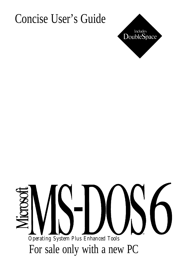# Concise User's Guide



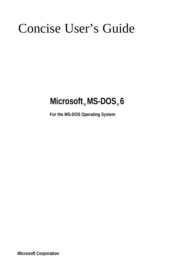# Concise User's Guide

# **Microsoft ® MS-DOS® 6**

**For the MS-DOS Operating System**

**Microsoft Corporation**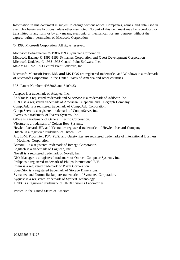Information in this document is subject to change without notice. Companies, names, and data used in examples herein are fictitious unless otherwise noted. No part of this document may be reproduced or transmitted in any form or by any means, electronic or mechanical, for any purpose, without the express written permission of Microsoft Corporation.

© 1993 Microsoft Corporation. All rights reserved.

Microsoft Defragmenter © 1988- 1993 Symantec Corporation Microsoft Backup © 1991-1993 Symantec Corporation and Quest Development Corporation Microsoft Undelete © 1988-1993 Central Point Software, Inc. MSAV © 1992-1993 Central Point Software, Inc.

Microsoft, Microsoft Press, MS, **and** MS-DOS are registered trademarks, and Windows is a trademark of Microsoft Corporation in the United States of America and other countries.

U.S. Patent Numbers 4955066 and 5109433

Adaptec is a trademark of Adaptec, Inc.

AddStor is a registered trademark and SuperStor is a trademark of AddStor, Inc.

AT&T is a registered trademark of American Telephone and Telegraph Company.

CompuAdd is a registered trademark of CompuAdd Corporation.

CompuServe is a registered trademark of CompuServe, Inc.

Everex is a trademark of Everex Systems, Inc.

GEnie is a trademark of General Electric Corporation.

Vfeature is a trademark of Golden Bow Systems.

Hewlett-Packard, HP, and Vectra are registered trademarks of Hewlett-Packard Company.

Hitachi is a registered trademark of Hitachi, Ltd.

AT, IBM, Proprinter, PS/l, PS/2, and Quietwriter are registered trademarks of International Business Machines Corporation.

Bernoulli is a registered trademark of Iomega Corporation.

Logitech is a trademark of Logitech, Inc.

Novell is a registered trademark of Novell, Inc.

Disk Manager is a registered trademark of Ontrack Computer Systems, Inc.

Philips is a registered trademark of Philips International B.V.

Priam is a registered trademark of Priam Corporation.

SpeedStor is a registered trademark of Storage Dimensions.

Symantec and Norton Backup are trademarks of Symantec Corporation.

Syquest is a registered trademark of Syquest Technology.

UNIX is a registered trademark of UNIX Systems Laboratories.

Printed in the United States of America.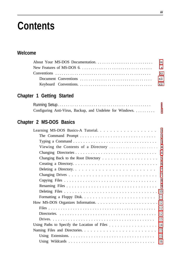# **Contents**

## **Welcome**

## **Chapter 1 Getting Started**

| Configuring Anti-Virus, Backup, and Undelete for Windows |  |
|----------------------------------------------------------|--|

## **Chapter 2 MS-DOS Basics**

| 3                                                                                                       |
|---------------------------------------------------------------------------------------------------------|
| 3                                                                                                       |
|                                                                                                         |
|                                                                                                         |
| -5                                                                                                      |
|                                                                                                         |
| 7                                                                                                       |
| 7                                                                                                       |
|                                                                                                         |
|                                                                                                         |
|                                                                                                         |
|                                                                                                         |
|                                                                                                         |
|                                                                                                         |
|                                                                                                         |
|                                                                                                         |
| Using Paths to Specify the Location of Files [1] [14] Using Paths to Specify the Location of Files [14] |
|                                                                                                         |
| 15                                                                                                      |
| 16                                                                                                      |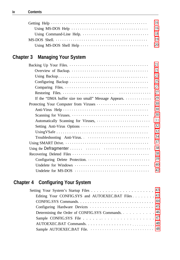## **Chapter 3 Managing Your System**

|                                                                         | 21 |
|-------------------------------------------------------------------------|----|
|                                                                         | 21 |
|                                                                         | 23 |
|                                                                         | 25 |
|                                                                         | 27 |
|                                                                         | 27 |
| If the "DMA buffer size too small" Message Appears. $\dots \dots \dots$ | 29 |
| Protecting Your Computer from Viruses                                   | 30 |
|                                                                         | 30 |
|                                                                         | 30 |
| Automatically Scanning for Viruses,                                     | 31 |
| Setting Anti-Virus Options                                              | 32 |
|                                                                         | 32 |
|                                                                         | 34 |
|                                                                         | 37 |
|                                                                         | 38 |
|                                                                         | 38 |
|                                                                         | 39 |
|                                                                         | 40 |
|                                                                         | 42 |

## **Chapter 4 Configuring Your System**

| Editing Your CONFIG.SYS and AUTOEXEC.BAT Files 43 |  |
|---------------------------------------------------|--|
|                                                   |  |
|                                                   |  |
| Determining the Order of CONFIG.SYS Commands. 46  |  |
|                                                   |  |
|                                                   |  |
|                                                   |  |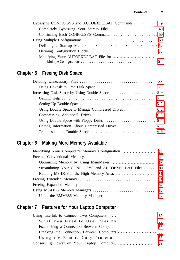| Bypassing CONFIG.SYS and AUTOEXEC.BAT Commands  49                        |
|---------------------------------------------------------------------------|
|                                                                           |
|                                                                           |
|                                                                           |
| Defining a Startup Menu manufacture of the contract of the starting of S2 |
|                                                                           |
|                                                                           |
|                                                                           |

## **Chapter 5 Freeing Disk Space**

| 57                                                 |  |
|----------------------------------------------------|--|
| 58                                                 |  |
|                                                    |  |
|                                                    |  |
|                                                    |  |
| Using Double Space to Manage Compressed Drives 6 2 |  |
|                                                    |  |
|                                                    |  |
|                                                    |  |
|                                                    |  |

### **Chapter 6 Making More Memory Available**

| Streamlining Your CONFIG.SYS and AUTOEXEC.BAT Files 80 |
|--------------------------------------------------------|
|                                                        |
|                                                        |
|                                                        |
|                                                        |
|                                                        |
|                                                        |

## **Chapter 7 Features for Your Laptop Computer**

| What You Need to Use Interlnk86 |  |
|---------------------------------|--|
|                                 |  |
|                                 |  |
|                                 |  |
|                                 |  |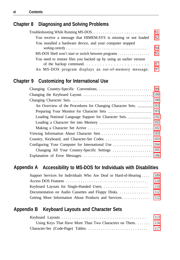### **Chapter 8 Diagnosing and Solving Problems**

|                                                                     | 91 |
|---------------------------------------------------------------------|----|
| You receive a message that HIMEM.SYS is missing or not loaded       | 92 |
| You installed a hardware device, and your computer stopped          |    |
|                                                                     | 94 |
| MS-DOS Shell won't start or switch between programs                 | 95 |
| You need to restore files you backed up by using an earlier version |    |
|                                                                     | 97 |
| An MS-DOS program displays an out-of-memory message.                | 97 |

### **Chapter 9 Customizing for International Use**

| 99                                                              |
|-----------------------------------------------------------------|
|                                                                 |
|                                                                 |
| An Overview of the Procedures for Changing Character Sets.  101 |
|                                                                 |
| Loading National Language Support for Character Sets.  102      |
|                                                                 |
|                                                                 |
|                                                                 |
|                                                                 |
|                                                                 |
|                                                                 |
|                                                                 |
|                                                                 |

### **Appendix A Accessibility to MS-DOS for Individuals with Disabilities**

| Support Services for Individuals Who Are Deaf or Hard-of-Hearing  109 |  |
|-----------------------------------------------------------------------|--|
|                                                                       |  |
|                                                                       |  |
| Documentation on Audio Cassettes and Floppy Disks. 112                |  |
| Getting More Information About Products and Services. 112             |  |

### **Appendix B Keyboard Layouts and Character Sets**

|                                                                    | 113  |
|--------------------------------------------------------------------|------|
| Using Keys That Have More Than Two Characters on Them. $\dots$ 116 |      |
|                                                                    | -117 |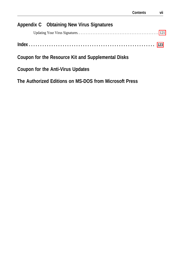| Appendix C Obtaining New Virus Signatures              |
|--------------------------------------------------------|
|                                                        |
|                                                        |
| Coupon for the Resource Kit and Supplemental Disks     |
| <b>Coupon for the Anti-Virus Updates</b>               |
| The Authorized Editions on MS-DOS from Microsoft Press |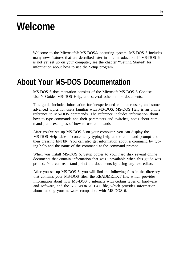# <span id="page-8-0"></span>**Welcome**

Welcome to the Microsoft® MS-DOS® operating system. MS-DOS 6 includes many new features that are described later in this introduction. If MS-DOS 6 is not yet set up on your computer, see the chapter "Getting Started' for information about how to use the Setup program.

## **About Your MS-DOS Documentation**

MS-DOS 6 documentation consists of the Microsoft MS-DOS 6 Concise User's Guide, MS-DOS Help, and several other online documents.

This guide includes information for inexperienced computer users, and some advanced topics for users familiar with MS-DOS. MS-DOS Help is an online reference to MS-DOS commands. The reference includes information about how to type commands and their parameters and switches, notes about commands, and examples of how to use commands.

After you've set up MS-DOS 6 on your computer, you can display the MS-DOS Help table of contents by typing **help** at the command prompt and then pressing ENTER. You can also get information about a command by typing **help** and the name of the command at the command prompt.

When you install MS-DOS 6, Setup copies to your hard disk several online documents that contain information that was unavailable when this guide was printed. You can read (and print) the documents by using any text editor.

After you set up MS-DOS 6, you will find the following files in the directory that contains your MS-DOS files: the README.TXT file, which provides information about how MS-DOS 6 interacts with certain types of hardware and software, and the NETWORKS.TXT file, which provides information about making your network compatible with MS-DOS 6.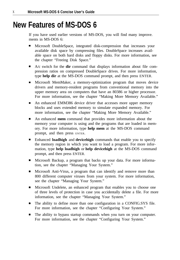## <span id="page-9-0"></span>**New Features of MS-DOS 6**

If you have used earlier versions of MS-DOS, you will find many improve. ments in MS-DOS 6:

- Microsoft DoubleSpace, integrated disk-compression that increases your available disk space by compressing files. DoubleSpace increases available space on both hard disks and floppy disks. For more information, see the chapter "Freeing Disk Space."
- A/c switch for the **dir** command that displays information about file compression ratios on compressed DoubleSpace drives. For more information, type **help dir** at the MS-DOS command prompt, and then press ENTER.
- **Microsoft MemMaker, a memory-optimization program that moves device** drivers and memory-resident programs from conventional memory into the upper memory area on computers that have an 80386 or higher processor. For more information, see the chapter "Making More Memory Available."
- An enhanced EMM386 device driver that accesses more upper memory blocks and uses extended memory to simulate expanded memory. For more information, see the chapter "Making More Memory Available."
- An enhanced **mem** command that provides more information about the memory your computer is using and the programs that are loaded in memory. For more information, type **help mem** at the MS-DOS command prompt, and then press ENTER.
- Enhanced **loadhigh** and **devicehigh** commands that enable you to specify the memory region in which you want to load a program. For more information, type **help loadhigh** or **help devicehigh** at the MS-DOS command prompt, and then press ENTER.
- **Microsoft Backup, a program that backs up your data. For more informa**tion, see the chapter "Managing Your System."
- **Microsoft Anti-Virus, a program that can identify and remove more than** 800 different computer viruses from your system. For more information, see the chapter "Managing Your System."
- Microsoft Undelete, an enhanced program that enables you to choose one of three levels of protection in case you accidentally delete a file. For more information, see the chapter "Managing Your System."
- The ability to define more than one configuration in a CONFIG.SYS file. For more information, see the chapter "Configuring Your System."
- The ability to bypass startup commands when you turn on your computer. For more information, see the chapter "Configuring Your System."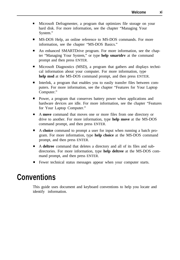- <span id="page-10-0"></span>Microsoft Defragmenter, a program that optimizes file storage on your hard disk. For more information, see the chapter "Managing Your System."
- $\blacksquare$ MS-DOS Help, an online reference to MS-DOS commands. For more information, see the chapter "MS-DOS Basics."
- An enhanced SMARTDrive program. For more information, see the chapter "Managing Your System," or type **help smartdrv** at the command prompt and then press ENTER.
- Microsoft Diagnostics (MSD), a program that gathers and displays technical information about your computer. For more information, type **help msd** at the MS-DOS command prompt, and then press ENTER.
- Interlnk, a program that enables you to easily transfer files between computers. For more information, see the chapter "Features for Your Laptop Computer."
- **Power, a program that conserves battery power when applications and** hardware devices are idle. For more information, see the chapter "Features for Your Laptop Computer."
- A **move** command that moves one or more files from one directory or drive to another. For more information, type **help move** at the MS-DOS command prompt, and then press ENTER.
- $\blacksquare$ A **choice** command to prompt a user for input when running a batch program. For more information, type **help choice** at the MS-DOS command prompt, and then press ENTER.
- A **deltree** command that deletes a directory and all of its files and subdirectories. For more information, type **help deltree** at the MS-DOS command prompt, and then press ENTER.
- **Fewer technical status messages appear when your computer starts.**

## **Conventions**

This guide uses document and keyboard conventions to help you locate and identify information.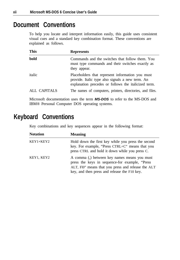## <span id="page-11-0"></span>**Document Conventions**

To help you locate and interpret information easily, this guide uses consistent visual cues and a standard key combination format. These conventions are explained as follows.

| <b>This</b>  | <b>Represents</b>                                                                                                                                            |  |  |
|--------------|--------------------------------------------------------------------------------------------------------------------------------------------------------------|--|--|
| bold         | Commands and the switches that follow them. You<br>must type commands and their switches exactly as<br>they appear.                                          |  |  |
| italic       | Placeholders that represent information you must<br>provide. Italic type also signals a new term. An<br>explanation precedes or follows the italicized term. |  |  |
| ALL CAPITALS | The names of computers, printers, directories, and files.                                                                                                    |  |  |

Microsoft documentation uses the term *MS-DOS* to refer to the MS-DOS and IBM® Personal Computer DOS operating systems.

## **Keyboard Conventions**

Key combinations and key sequences appear in the following format:

| <b>Notation</b> | <b>Meaning</b>                                                                                                                                                                                        |
|-----------------|-------------------------------------------------------------------------------------------------------------------------------------------------------------------------------------------------------|
| KEY1+KEY2       | Hold down the first key while you press the second<br>key. For example, "Press CTRL+C" means that you<br>press CTRL and hold it down while you press C.                                               |
| KEY1, KEY2      | A comma (,) between key names means you must<br>press the keys in sequence-for example, "Press"<br>ALT, Fl0" means that you press and release the ALT<br>key, and then press and release the F10 key. |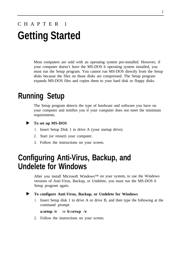# <span id="page-12-0"></span>CHAPTER 1 **Getting Started**

Most computers are sold with an operating system pre-installed. However, if your computer doesn't have the MS-DOS 6 operating system installed, you must run the Setup program. You cannot run MS-DOS directly from the Setup disks because the files on those disks are compressed. The Setup program expands MS-DOS files and copies them to your hard disk or floppy disks.

## **Running Setup**

The Setup program detects the type of hardware and software you have on your computer and notifies you if your computer does not meet the minimum requirements.



- 1. Insert Setup Disk 1 in drive A (your startup drive).
- 2. Start (or restart) your computer.
- 3. Follow the instructions on your screen.

## **Configuring Anti-Virus, Backup, and Undelete for Windows**

After you install Microsoft Windows™ on your system, to use the Windows versions of Anti-Virus, Backup, or Undelete, you must run the MS-DOS 6 Setup program again.

```
To configure Anti-Virus, Backup, or Undelete for Windows
```
1. Insert Setup disk 1 in drive A or drive B, and then type the following at the command prompt:

```
a:setup /e or b:setup /e
```
2. Follow the instructions on your screen.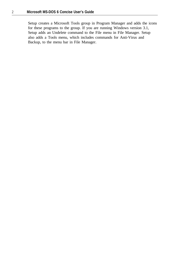Setup creates a Microsoft Tools group in Program Manager and adds the icons for these programs to the group. If you are running Windows version 3.1, Setup adds an Undelete command to the File menu in File Manager. Setup also adds a Tools menu, which includes commands for Anti-Virus and Backup, to the menu bar in File Manager.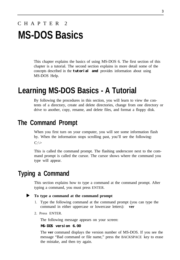# <span id="page-14-0"></span>CHAPTER 2 **MS-DOS Basics**

This chapter explains the basics of using MS-DOS 6. The first section of this chapter is a tutorial. The second section explains in more detail some of the concepts described in the **tutorial and** provides information about using MS-DOS Help.

## **Learning MS-DOS Basics - A Tutorial**

By following the procedures in this section, you will learn to view the contents of a directory, create and delete directories, change from one directory or drive to another, copy, rename, and delete files, and format a floppy disk.

## **The Command Prompt**

When you first turn on your computer, you will see some information flash by. When the information stops scrolling past, you'll see the following:  $C$ :\>

This is called the command prompt. The flashing underscore next to the command prompt is called the cursor. The cursor shows where the command you type will appear.

## **Typing a Command**

This section explains how to type a command at the command prompt. After typing a command, you must press ENTER.

#### **To type a command at the command prompt**

- 1. Type the following command at the command prompt (you can type the command in either uppercase or lowercase letters): **ver**
- 2. Press ENTER.

The following message appears on your screen:

#### **MS-DOS version 6.00**

The **ver** command displays the version number of MS-DOS. If you see the message "Bad command or file name," press the BACKSPACE key to erase the mistake, and then try again.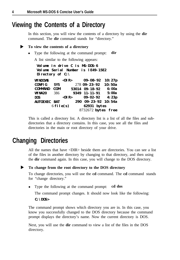## <span id="page-15-0"></span>**Viewing the Contents of a Directory**

In this section, you will view the contents of a directory by using the **dir** command. The **dir** command stands for "directory."

#### ▶ **To view the contents of a directory**

Type the following at the command prompt: **dir** 

A list similar to the following appears:

| Volume in drive C is MS-DOS-6           |                         |             |                                |
|-----------------------------------------|-------------------------|-------------|--------------------------------|
| Volume Serial Number is 1E49-15E2       |                         |             |                                |
| Directory of $C: \setminus$             |                         |             |                                |
| WI NDOWS                                |                         |             | $\langle$ DIR> 09-08-92 10:27p |
| CONFIG                                  |                         |             | SYS 278 09-23-92 10:50a        |
| <b>COMMAND COM 53014 09-18-92 6:00a</b> |                         |             |                                |
| WINA20 386 9349 11-11-91 5:00a          |                         |             |                                |
| DOS                                     | $\langle$ DIR $\rangle$ |             | $09 - 02 - 92$ 4: 23p          |
| <b>AUTOEXEC BAT</b>                     |                         |             | 290 09-23-92 10:54a            |
|                                         | $6$ file(s)             | 62931 bytes |                                |
|                                         |                         |             | 8732672 bytes free             |

This is called a directory list. A directory list is a list of all the files and subdirectories that a directory contains. In this case, you see all the files and directories in the main or root directory of your drive.

## **Changing Directories**

All the names that have <DIR> beside them are directories. You can see a list of the files in another directory by changing to that directory, and then using the **dir** command again. In this case, you will change to the DOS directory.

#### ▶ **To change from the root directory to the DOS directory**

To change directories, you will use the **cd** command. The **cd** command stands for "change directory."

• Type the following at the command prompt: **cd dos** 

The command prompt changes. It should now look like the following:

#### **C:\DOS>**

The command prompt shows which directory you are in. In this case, you know you successfully changed to the DOS directory because the command prompt displays the directory's name. Now the current directory is DOS.

Next, you will use the **dir** command to view a list of the files in the DOS directory.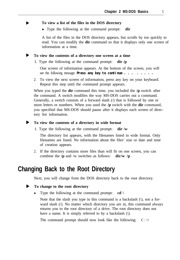#### **To view a list of the files in the DOS directory**

• Type the following at the command prompt: **dir** 

A list of the files in the DOS directory appears, but scrolls by too quickly to read. You can modify the **dir** command so that it displays only one screen of information at a time.

▶

<span id="page-16-0"></span> $\blacktriangleright$ 

- **To view the contents of a directory one screen at a time**
	- 1. Type the following at the command prompt: **dir /p**

One screen of information appears. At the bottom of the screen, you will see the following message: **Press any key to continue . . . . . .** 

2. To view the next screen of information, press any key on your keyboard. Repeat this step until the command prompt appears.

When you typed the **dir** command this time, you included the **/p** switch after the command. A switch modifies the way MS-DOS carries out a command. Generally, a switch consists of a forward slash (/) that is followed by one or more letters or numbers. When you used the **/p** switch with the **dir** command, you specified that MS-DOS should pause after it displays each screen of directory list information.

#### **To view the contents of a directory in wide format**

1. Type the following at the command prompt: **dir /w**

The directory list appears, with the filenames listed in wide format. Only filenames are listed. No information about the files' size or date and time of creation appears.

2. If the directory contains more files than will fit on one screen, you can combine the **/p** and /w switches as follows: **dir/w /p**

## **Changing Back to the Root Directory**

Next, you will change from the DOS directory back to the root directory.

#### **To change to the root directory**

• Type the following at the command prompt:  $cd \$ 

Note that the slash you type in this command is a backslash  $(\cdot)$ , not a forward slash (/). No matter which directory you are in, this command always returns you to the root directory of a drive. The root directory does not have a name. It is simply referred to by a backslash (\).

The command prompt should now look like the following:  $C : \triangleright$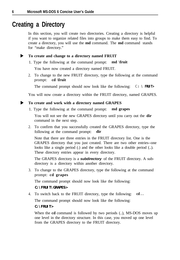## **Creating a Directory**

In this section, you will create two directories. Creating a directory is helpful if you want to organize related files into groups to make them easy to find. To create a directory, you will use the **md** command. The **md** command stands for "make directory."

#### **To create and change to a directory named FRUIT**

1. Type the following at the command prompt: **md \fruit**

You have now created a directory named FRUIT.

2. To change to the new FRUIT directory, type the following at the command prompt: **cd \fruit**

The command prompt should now look like the following:  $C: \mathcal{F}$  **FRUIT**>

You will now create a directory within the FRUIT directory, named GRAPES.

#### **To create and work with a directory named GRAPES**

1. Type the following at the command prompt: **md grapes**

You will not see the new GRAPES directory until you carry out the **dir** command in the next step.

2. To confirm that you successfully created the GRAPES directory, type the following at the command prompt: **dir**

Note that there are three entries in the FRUIT directory list. One is the GRAPES directory that you just created. There are two other entries--one looks like a single period (.) and the other looks like a double period (..). These directory entries appear in every directory.

The GRAPES directory is a *subdirectory* of the FRUIT directory. A subdirectory is a directory within another directory.

3. To change to the GRAPES directory, type the following at the command prompt: **cd grapes**

The command prompt should now look like the following:

#### **C:\FRUIT\GRAPES>**

4. To switch back to the FRUIT directory, type the following: **cd . .**

The command prompt should now look like the following:

#### **C:\FRUIT>**

When the **cd** command is followed by two periods (..), MS-DOS moves up one level in the directory structure. In this case, you moved up one level from the GRAPES directory to the FRUIT directory.

<span id="page-17-0"></span>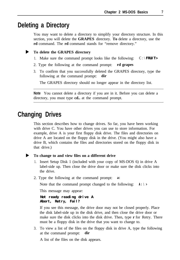## <span id="page-18-0"></span>**Deleting a Directory**

You may want to delete a directory to simplify your directory structure. In this section, you will delete the **GRAPES** directory. **To** delete a directory, use the **rd** command. The **rd** command stands for "remove directory."

#### **To delete the GRAPES directory**

- 1. Make sure the command prompt looks like the following:  $C : \mathbf{FRUIT}$
- 2. Type the following at the command prompt: **rd grapes**
- 3. To confirm that you successfully deleted the GRAPES directory, type the following at the command prompt: **dir**

The GRAPES directory should no longer appear in the directory list.

**Note** You cannot delete a directory if you are in it. Before you can delete a directory, you must type **cd..** at the command prompt.

## **Changing Drives**

This section describes how to change drives. So far, you have been working with drive C. You have other drives you can use to store information. For example, drive A is your first floppy disk drive. The files and directories on drive A are located on the floppy disk in the drive. (You might also have a drive B, which contains the files and directories stored on the floppy disk in that drive.)

▶

#### **To change to and view files on a different drive**

- 1. Insert Setup Disk 1 (included with your copy of MS-DOS 6) in drive A label-side up. Then close the drive door or make sure the disk clicks into the drive.
- 2. Type the following at the command prompt: **a:**

Note that the command prompt changed to the following: **A : \ >**

This message may appear:

#### **Not ready reading drive A Abort, Retry, Fail?**

If you see this message, the drive door may not be closed properly. Place the disk label-side up in the disk drive, and then close the drive door or make sure the disk clicks into the disk drive. Then, type **r** for Retry. There must be a floppy disk in the drive that you want to change to.

3. To view a list of the files on the floppy disk in drive A, type the following at the command prompt: **dir**

A list of the files on the disk appears.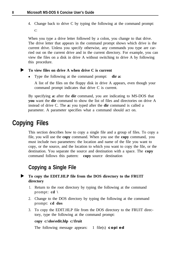<span id="page-19-0"></span>4. Change back to drive C by typing the following at the command prompt: c:

When you type a drive letter followed by a colon, you change to that drive. The drive letter that appears in the command prompt shows which drive is the current drive. Unless you specify otherwise, any commands you type are carried out on the current drive and in the current directory. For example, you can view the files on a disk in drive A without switching to drive A by following this procedure.

#### **To view files on drive A when drive C is current**

• Type the following at the command prompt: **dir a:** 

A list of the files on the floppy disk in drive A appears, even though your command prompt indicates that drive C is current.

By specifying **a:** after the **dir** command, you are indicating to MS-DOS that **you** want the **dir** command to show the list of files and directories on drive A instead of drive C. The **a:** you typed after the **dir** command is called a parameter. A parameter specifies what a command should act on.

## **Copying Files**

This section describes how to copy a single file and a group of files. To copy a file, you will use the **copy** command. When you use the **copy** command, you must include two parameters: the location and name of the file you want to copy, or the source, and the location to which you want to copy the file, or the destination. You separate the source and destination with a space. The **copy** command follows this pattern: **copy** source destination

### **Copying a Single File**

**To copy the EDIT.HLP file from the DOS directory to the FRUIT directory**

- 1. Return to the root directory by typing the following at the command prompt: **cd \**
- 2. Change to the DOS directory by typing the following at the command prompt: **cd dos**
- 3. To copy the EDIT.HLP file from the DOS directory to the FRUIT directory, type the following at the command prompt:

#### **copy c:\dos\edit.hlp c:\fruit**

The following message appears: 1 file(s) **copie d**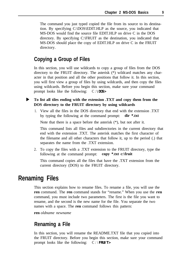<span id="page-20-0"></span>The command you just typed copied the file from its source to its destination. By specifying C:\DOS\EDIT.HLP as the source, you indicated that MS-DOS would find the source file EDIT.HLP on drive C in the DOS directory. By specifying C:\FRUIT as the destination, you indicated that MS-DOS should place the copy of EDIT.HLP on drive C in the FRUIT directory.

### **Copying a Group of Files**

In this section, you will use wildcards to copy a group of files from the DOS directory to the FRUIT directory. The asterisk (\*) wildcard matches any character in that position and all the other positions that follow it. In this section, you will first view a group of files by using wildcards, and then copy the files using wildcards. Before you begin this section, make sure your command prompt looks like the following: C : **\DOS>**

 $\blacktriangleright$ **To list all tiles ending with the extension .TXT and copy them from the DOS directory to the FRUIT directory by using wildcards**

1. View all the files in the DOS directory that end with the extension .TXT by typing the following at the command prompt: **dir \*.txt**

Note that there is a space before the asterisk (\*), but not after it.

This command lists all files and subdirectories in the current directory that end with the extension .TXT. The asterisk matches the first character of the filename and all other characters that follow it, up to the period (.) that separates the name from the .TXT extension.

2. To copy the files with a .TXT extension to the FRUIT directory, type the following at the command prompt: **copy \*.txt c:\fruit**

This command copies all the files that have the .TXT extension from the current directory (DOS) to the FRUIT directory.

## **Renaming Files**

This section explains how to rename files. To rename a file, you will use the **ren** command. The **ren** command stands for "rename." When you use the **ren** command, you must include two parameters. The first is the file you want to rename, and the second is the new name for the file. You separate the two names with a space. The **ren** command follows this pattern:

**ren** *oldname newname*

### **Renaming a File**

In this section, you will rename the README.TXT file that you copied into the FRUIT directory. Before you begin this section, make sure your command prompt looks like the following: C : \ **FRUIT>**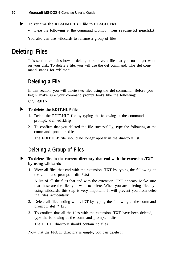<span id="page-21-0"></span>**To rename the README.TXT file to PEACH.TXT**

**•** Type the following at the command prompt: **ren readme.txt peach.txt** 

You also can use wildcards to rename a group of files.

## **Deleting Files**

This section explains how to delete, or remove, a file that you no longer want on your disk. To delete a file, you will use the **del** command. The **del** command stands for "delete."

## **Deleting a File**

In this section, you will delete two files using the **del** command. Before you begin, make sure your command prompt looks like the following:

**C:\FRUIT>**

#### $\blacktriangleright$

#### **To delete the EDIT.HLP file**

- 1. Delete the EDIT.HLP file by typing the following at the command prompt: **del edit.hlp**
- 2. To confirm that you deleted the file successfully, type the following at the command prompt: **dir**

The EDIT.HLP file should no longer appear in the directory list.

## **Deleting a Group of Files**



#### **To delete files in the current directory that end with the extension .TXT by using wildcards**

1. View all files that end with the extension .TXT by typing the following at the command prompt: **dir \*.txt**

A list of all the files that end with the extension .TXT appears. Make sure that these are the files you want to delete. When you are deleting files by using wildcards, this step is very important. It will prevent you from deleting files accidentally.

- 2. Delete all files ending with .TXT by typing the following at the command prompt: **del \*.txt**
- 3. To confirm that all the files with the extension .TXT have been deleted, type the following at the command prompt: **dir**

The FRUIT directory should contain no files.

Now that the FRUIT directory is empty, you can delete it.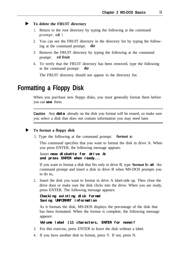#### <span id="page-22-0"></span>▶ **To delete the FRUIT directory**

- 1. Return to the root directory by typing the following at the command prompt: **cd \**
- 2. You can see the FRUIT directory in the directory list by typing the following at the command prompt: **dir**
- 3. Remove the FRUIT directory by typing the following at the command prompt: **rd fruit**
- 4. To verify that the FRUIT directory has been removed, type the following at the command prompt: **dir**

The FRUIT directory should not appear in the directory list.

## **Formatting a Floppy Disk**

When you purchase new floppy disks, you must generally format them before you can **use** them.

**Caution** Any **data** already on the disk you format will be erased, so make sure you select a disk that does not contain information you may need later.

#### **To format a floppy disk**

1. Type the following at the command prompt: **format a:**

This command specifies that you want to format the disk in drive A. When you press ENTER, the following message appears:

```
Insert new diskette for drive A:
and press ENTER when ready...
```
If you want to format a disk that fits only in drive B, type **format b: at** the command prompt and insert a disk in drive B when MS-DOS prompts you to do so,

2. Insert the disk you want to format in drive A label-side up. Then close the drive door or make sure the disk clicks into the drive. When you are ready, press ENTER. The following message appears:

#### **Checking existing disk format Saving UNFORMAT information**

As it formats the disk, MS-DOS displays the percentage of the disk that has been formatted. When the format is complete, the following message appears:

#### **Volume label (11 characters, ENTER for none)?**

- 3. For this exercise, press ENTER to leave the disk without a label.
- 4. If you have another disk to format, press Y. If not, press N.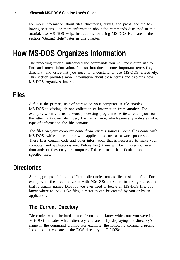<span id="page-23-0"></span>For more information about files, directories, drives, and paths, see the following sections. For more information about the commands discussed in this tutorial, use MS-DOS Help. Instructions for using MS-DOS Help are in the section "Getting Help" later in this chapter.

## **How MS-DOS Organizes Information**

The preceding tutorial introduced the commands you will most often use to find and move information. It also introduced some important terms-file, directory, and drive-that you need to understand to use MS-DOS effectively. This section provides more information about these terms and explains how MS-DOS organizes information.

## **Files**

A file is the primary unit of storage on your computer. A file enables MS-DOS to distinguish one collection of information from another. For example, when you use a word-processing program to write a letter, you store the letter in its own file. Every file has a name, which generally indicates what type of information the file contains.

The files on your computer come from various sources. Some files come with MS-DOS, while others come with applications such as a word processor. These files contain code and other information that is necessary to make your computer and applications run. Before long, there will be hundreds or even thousands of files on your computer. This can make it difficult to locate specific files.

## **Directories**

Storing groups of files in different directories makes files easier to find. For example, all the files that come with MS-DOS are stored in a single directory that is usually named DOS. If you ever need to locate an MS-DOS file, you know where to look. Like files, directories can be created by you or by an application.

### **The Current Directory**

Directories would be hard to use if you didn't know which one you were in. MS-DOS indicates which directory you are in by displaying the directory's name in the command prompt. For example, the following command prompt indicates that you are in the DOS directory: C : **\DOS>**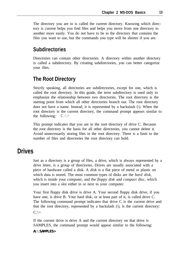<span id="page-24-0"></span>The directory you are in is called the current directory. Knowing which directory is current helps you find files and helps you move from one directory to another more easily. You do not have to be in the directory that contains the files you want to use, but the commands you type will be shorter if you are.

### **Subdirectories**

Directories can contain other directories. A directory within another directory is called a subdirectory. By creating subdirectories, you can better categorize your files.

### **The Root Directory**

Strictly speaking, all directories are subdirectories, except for one, which is called the root directory. In this guide, the term subdirectory is used only to emphasize the relationship between two directories. The root directory is the starting point from which all other directories branch out. The root directory does not have a name. Instead, it is represented by a backslash (\). When the root directory is the current directory, the command prompt appears similar to the following:  $C$  :  $\rangle$  >

This prompt indicates that you are in the root directory of drive C. Because the root directory is the basis for all other directories, you cannot delete it. Avoid unnecessarily storing files in the root directory. There is a limit to the number of files and directories the root directory can hold.

## **Drives**

Just as a directory is a group of files, a drive, which is always represented by a drive letter, is a group of directories. Drives are usually associated with a piece of hardware called a disk. A *disk* is a flat piece of metal or plastic on which data is stored. The most common types of disks are the *hard disk,* which is inside your computer, and the *floppy disk* and *compact disc,* which you insert into a slot either in or next to your computer.

Your first floppy disk drive is drive A. Your second floppy disk drive, if you have one, is drive B. Your hard disk, or at least part of it, is called drive C. The following command prompt indicates that drive C is the current drive and that the root directory, represented by a backslash  $(\cdot)$ , is the current directory:  $C$ :\>

If the current drive is drive A and the current directory on that drive is SAMPLES, the command prompt would appear similar to the following:

#### **A:\SAMPLES>**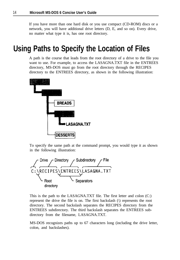<span id="page-25-0"></span>If you have more than one hard disk or you use compact (CD-ROM) discs or a network, you will have additional drive letters (D, E, and so on). Every drive, no matter what type it is, has one root directory.

## **Using Paths to Specify the Location of Files**

A path is the course that leads from the root directory of a drive to the file you want to use. For example, to access the LASAGNA.TXT file in the ENTREES directory, MS-DOS must go from the root directory through the RECIPES directory to the ENTREES directory, as shown in the following illustration:



To specify the same path at the command prompt, you would type it as shown in the following illustration:



This is the path to the LASAGNA.TXT file. The first letter and colon (C:) represent the drive the file is on. The first backslash (\) represents the root directory. The second backslash separates the RECIPES directory from the ENTREES subdirectory. The third backslash separates the ENTREES subdirectory from the filename, LASAGNA.TXT.

MS-DOS recognizes paths up to 67 characters long (including the drive letter, colon, and backslashes).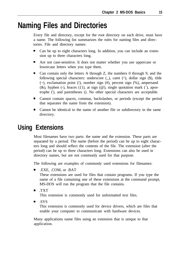## <span id="page-26-0"></span>**Naming Files and Directories**

Every file and directory, except for the root directory on each drive, must have a name. The following list summarizes the rules for naming files and directories. File and directory names:

- Can be up to eight characters long. In addition, you can include an extension up to three characters long.
- Are not case-sensitive. It does not matter whether you use uppercase or lowercase letters when you type them.
- Can contain only the letters A through Z, the numbers 0 through 9, and the following special characters: underscore (\_), caret (^), dollar sign (\$), tilde  $(\sim)$ , exclamation point (!), number sign  $(\#)$ , percent sign  $(\%)$ , ampersand  $(\&)$ , hyphen (-), braces ({}), at sign  $(\&)$ , single quotation mark (`), apostrophe ('), and parentheses (). No other special characters are acceptable.
- Cannot contain spaces, commas, backslashes, or periods (except the period that separates the name from the extension).
- Cannot be identical to the name of another file or subdirectory in the same directory.

## **Using Extensions**

Most filenames have two parts: the name and the extension. These parts are separated by a period. The name (before the period) can be up to eight characters long and should reflect the contents of the file. The extension (after the period) can be up to three characters long. Extensions can also be used in directory names, but are not commonly used for that purpose.

The following are examples of commonly used extensions for filenames:

.EXE, .COM, or .BAT

These extensions are used for files that contain programs. If you type the name of a file containing one of these extensions at the command prompt, MS-DOS will run the program that the file contains.

 $\blacksquare$ . TXT

This extension is commonly used for unformatted text files.

.SYS .

> This extension is commonly used for device drivers, which are files that enable your computer to communicate with hardware devices.

Many applications name files using an extension that is unique to that application.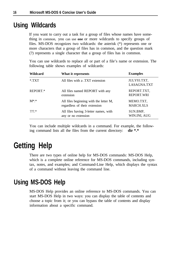## <span id="page-27-0"></span>**Using Wildcards**

If you want to carry out a task for a group of files whose names have something in common, you can use **one** or more wildcurds to specify groups of files. MS-DOS recognizes two wildcards: the asterisk (\*) represents one or more characters that a group of files has in common, and the question mark (?) represents a single character that a group of files has in common.

You can use wildcards to replace all or part of a file's name or extension. The following table shows examples of wildcards:

| Wildcard | What it represents                                                      | <b>Examples</b>            |
|----------|-------------------------------------------------------------------------|----------------------------|
| $*$ TXT  | All files with a .TXT extension                                         | JULY93.TXT,<br>LASAGNA.TXT |
| REPORT.* | All files named REPORT with any<br>extension                            | REPORT.TXT,<br>REPORT.WRI  |
| $M^*$    | All files beginning with the letter M,<br>regardless of their extension | MEMO.TXT,<br>MARCH.XLS     |
| $222 *$  | All files having 3-letter names, with<br>any or no extension            | SUN.BMP,<br>WIN.INI, AUG   |

You can include multiple wildcards in a command. For example, the following command lists all the files from the current directory: **dir \*.\***

## **Getting Help**

There are two types of online help for MS-DOS commands: MS-DOS Help, which is a complete online reference for MS-DOS commands, including syntax, notes, and examples; and Command-Line Help, which displays the syntax of a command without leaving the command line.

## **Using MS-DOS Help**

MS-DOS Help provides an online reference to MS-DOS commands. You can start MS-DOS Help in two ways: you can display the table of contents and choose a topic from it; or you can bypass the table of contents and display information about a specific command.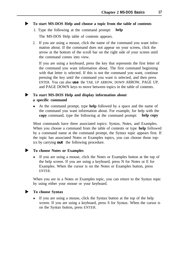#### **To start MS-DOS Help and choose a topic from the table of contents**

1. Type the following at the command prompt: **help**

The MS-DOS Help table of contents appears.

2. If you are using a mouse, click the name of the command you want information about. If the command does not appear on your screen, click the arrow at the bottom of the scroll bar on the right side of your screen until the command comes into view.

If you are using a keyboard, press the key that represents the first letter of the command you want information about. The first command beginning with that letter is selected. If this is not the command you want, continue pressing the key until the command you want is selected, and then press ENTER. You can also **use** the TAB, UP ARROW, DOWN ARROW, PAGE UP, and PAGE DOWN keys to move between topics in the table of contents.

#### **To start MS-DOS Help and display information about a specific command**

• At the command prompt, type **help** followed by a space and the name of the command you want information about. For example, for help with the **copy** command, type the following at the command prompt: **help copy**

Most commands have three associated topics: Syntax, Notes, and Examples. When you choose a command from the table of contents or type **help** followed by a command name at the command prompt, the Syntax topic appears first. If the topic has associated Notes or Examples topics, you can choose those topics by carrying **out** the following procedure.

#### **To choose Notes or Examples**

If you are using a mouse, click the Notes or Examples button at the top of the help screen. If you are using a keyboard, press N for Notes or E for Examples. When the cursor is on the Notes or Examples button, press ENTER.

When you are in a Notes or Examples topic, you can return to the Syntax topic by using either your mouse or your keyboard.

#### **To choose Syntax**

If you are using a mouse, click the Syntax button at the top of the help screen. If you are using a keyboard, press S for Syntax. When the cursor is on the Syntax button, press ENTER.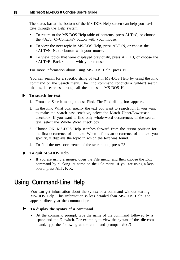The status bar at the bottom of the MS-DOS Help screen can help you navigate through the Help system.

- To return to the MS-DOS Help table of contents, press ALT+C, or choose the <ALT+C=Contents> button with your mouse.
- To view the next topic in MS-DOS Help, press ALT+N, or choose the <ALT+N=Next> button with your mouse.
- To view topics that were displayed previously, press ALT+B, or choose the <ALT+B=Back> button with your mouse.

For more information about using MS-DOS Help, press Fl.

You can search for a specific string of text in MS-DOS Help by using the Find command on the Search menu. The Find command conducts a full-text search -that is, it searches through all the topics in MS-DOS Help.



#### **To search for text**

- 1. From the Search menu, choose Find. The Find dialog box appears.
- 2. In the Find What box, specify the text you want to search for. If you want to make the search case-sensitive, select the Match Upper/Lowercase checkbox. If you want to find only whole-word occurrences of the search text, select the Whole Word check box.
- 3. Choose OK. MS-DOS Help searches forward from the cursor position for the first occurrence of the text. When it finds an occurrence of the text you specify, it displays the topic in which the text was found.
- 4. To find the next occurrence of the search text, press F3.

#### **To quit MS-DOS Help**

<sup>l</sup> If you are using a mouse, open the File menu, and then choose the Exit command by clicking its name on the File menu. If you are using a keyboard, press ALT, F, X.

## **Using Command-Line Help**

You can get information about the syntax of a command without starting MS-DOS Help. This information is less detailed than MS-DOS Help, and appears directly at the command prompt.

**To display the syntax of a command**

At the command prompt, type the name of the command followed by a space and the /? switch. For example, to view the syntax of the **dir** command, type the following at the command prompt **dir /?**

<span id="page-29-0"></span>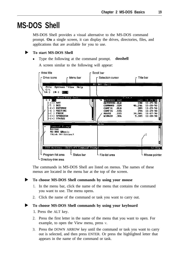## <span id="page-30-0"></span>**MS-DOS Shell**

MS-DOS Shell provides a visual alternative to the MS-DOS command prompt. **On** a single screen, it can display the drives, directories, files, and applications that are available for you to use.

#### **To start MS-DOS Shell**

Type the following at the command prompt. **dosshell** 

A screen similar to the following will appear:



The commands in MS-DOS Shell are listed on menus. The names of these menus are located in the menu bar at the top of the screen.

#### **To choose MS-DOS Shell commands by using your mouse**

- 1. In the menu bar, click the name of the menu that contains the command you want to use. The menu opens.
- 2. Click the name of the command or task you want to carry out.

#### **To choose MS-DOS Shell commands by using your keyboard**

- 1. Press the ALT key.
- 2. Press the first letter in the name of the menu that you want to open. For example, to open the View menu, press V.
- 3. Press the DOWN ARROW key until the command or task you want to carry out is selected, and then press ENTER. Or press the highlighted letter that appears in the name of the command or task.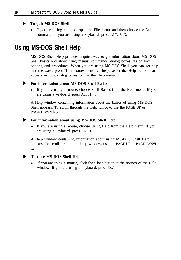#### <span id="page-31-0"></span>**To quit MS-DOS Shell** ▶.

If you are using a mouse, open the File menu, and then choose the Exit command. If you are using a keyboard, press ALT, F, X.

## **Using MS-DOS Shell Help**

MS-DOS Shell Help provides a quick way to get information about MS-DOS Shell basics and about using menus, commands, dialog boxes, dialog box options, and procedures. When you are using MS-DOS Shell, you can get help in three ways: press Fl for context-sensitive help, select the Help button that appears in most dialog boxes, or use the Help menu.

#### ▶ **For information about MS-DOS Shell Basics**

If you are using a mouse, choose Shell Basics from the Help menu. If you are using a keyboard, press ALT, H, S.

A Help window containing information about the basics of using MS-DOS Shell appears. To scroll through the Help window, use the PAGE UP or PAGE DOWN key.

#### **For information about using MS-DOS Shell Help**

• If you are using a mouse, choose Using Help from the Help menu. If you are using a keyboard, press ALT, H, U.

A Help window containing information about using MS-DOS Shell Help appears. To scroll through the Help window, use the PAGE UP or PAGE DOWN key.

#### **To close MS-DOS Shell Help**

If you are using a mouse, click the Close button at the bottom of the Help window. If you are using a keyboard, press ESC.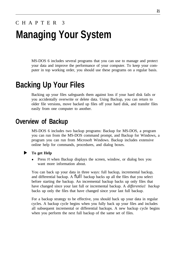# <span id="page-32-0"></span>CHAPTER 3 **Managing Your System**

MS-DOS 6 includes several programs that you can use to manage and protect your data and improve the performance of your computer. To keep your computer in top working order, you should use these programs on a regular basis.

## **Backing Up Your Files**

Backing up your files safeguards them against loss if your hard disk fails or you accidentally overwrite or delete data. Using Backup, you can return to older file versions, move backed up files off your hard disk, and transfer files easily from one computer to another.

## **Overview of Backup**

MS-DOS 6 includes two backup programs: Backup for MS-DOS, a program you can run from the MS-DOS command prompt, and Backup for Windows, a program you can run from Microsoft Windows. Backup includes extensive online help for commands, procedures, and dialog boxes.

#### **To get Help**

Press Fl when Backup displays the screen, window, or dialog box you want more information about.

You can back up your data in three ways: full backup, incremental backup, and differential backup. A *full* backup backs up all the files that you select before starting the backup. An incremental backup backs up only files that have changed since your last full or incremental backup. A *differentia1 backup* backs up only the files that have changed since your last full backup.

For a backup strategy to be effective, you should back up your data in regular cycles. A backup cycle begins when you fully back up your files and includes all subsequent incremental or differential backups. A new backup cycle begins when you perform the next full backup of the same set of files.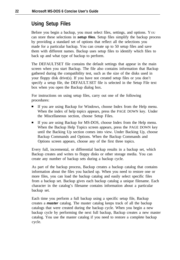### **Using Setup Files**

Before you begin a backup, you must select files, settings, and options. YOU can store these selections in *setup files.* Setup files simplify the backup process by providing a standard set of options that reflect all the selections you made for a particular backup. You can create up to 50 setup files and save them with different names. Backup uses setup files to identify which files to back up and what type of backup to perform.

The DEFAULTSET file contains the default settings that appear in the main screen when you start Backup. The file also contains information that Backup gathered during the compatibility test, such as the size of the disks used in your floppy disk drive(s). If you have not created setup files or you don't specify a setup file, the DEFAULT.SET file is selected in the Setup File text box when you open the Backup dialog box.

For instructions on using setup files, carry out one of the following procedures:

- If you are using Backup for Windows, choose Index from the Help menu. When the index of help topics appears, press the PAGE DOWN key. Under the Miscellaneous section, choose Setup Files.
- If you are using Backup for MS-DOS, choose Index from the Help menu. When the Backup Help Topics screen appears, press the PAGE DOWN key until the Backing Up section comes into view. Under Backing Up, choose Backup Commands and Options. When the Backup Commands and Options screen appears, choose any of the first three topics.

Every full, incremental, or differential backup results in a backup set, which Backup creates and writes to floppy disks or other storage media. You can create any number of backup sets during a backup cycle.

As part of the backup process, Backup creates a backup catalog that contains information about the files you backed up. When you need to restore one or more files, you can load the backup catalog and easily select specific files from a backup set. Backup gives each backup catalog a unique filename. Each character in the catalog's filename contains information about a particular backup set.

Each time you perform a full backup using a specific setup file, Backup creates a *master* catalog. The master catalog keeps track of all the backup catalogs that were created during the backup cycle. When you begin a new backup cycle by performing the next full backup, Backup creates a new master catalog. You use the master catalog if you need to restore a complete backup cycle.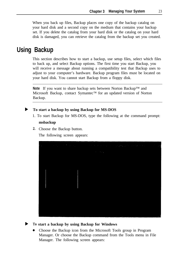<span id="page-34-0"></span>When you back up files, Backup places one copy of the backup catalog on your hard disk and a second copy on the medium that contains your backup set. If you delete the catalog from your hard disk or the catalog on your hard disk is damaged, you can retrieve the catalog from the backup set you created.

## **Using Backup**

This section describes how to start a backup, use setup files, select which files to back up, and select Backup options. The first time you start Backup, you will receive a message about running a compatibility test that Backup uses to adjust to your computer's hardware. Backup program files must be located on your hard disk. You cannot start Backup from a floppy disk.

**Note** If you want to share backup sets between Norton Backup™ and Microsoft Backup, contact Symantec™ for an updated version of Norton Backup.

- **To start a backup by using Backup for MS-DOS**
	- 1. To start Backup for MS-DOS, type the following at the command prompt: **msbackup**
	- **2.** Choose the Backup button.

The following screen appears:



- **To start a backup by using Backup for Windows**
	- **.** Choose the Backup icon from the Microsoft Tools group in Program Manager. Or choose the Backup command from the Tools menu in File Manager. The following screen appears: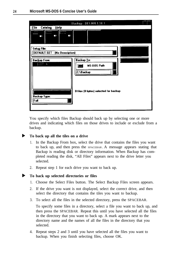|                                                         | Backup DFFAUL1.SE1                                                                            |  |
|---------------------------------------------------------|-----------------------------------------------------------------------------------------------|--|
| Catalog<br>Help<br><b>Eile</b>                          |                                                                                               |  |
| E<br>E<br>E                                             |                                                                                               |  |
| Setup File:<br>DEFAULT.SET [No Description]             |                                                                                               |  |
| <b>Backup From:</b><br>C<br><b>Backup Type:</b><br>Full | <b>Backup To:</b><br><b>MS-DOS Path</b><br>C:\Backup<br>O files (O bytes) selected for backup |  |

You specify which files Backup should back up by selecting one or more drives and indicating which files on those drives to include or exclude from a backup.

#### **To back up all the tiles on a drive**

- 1. In the Backup From box, select the drive that contains the files you want to back up, and then press the SPACEBAR . A message appears stating that Backup is reading disk or directory information. When Backup has completed reading the disk, "All Files" appears next to the drive letter you selected.
- 2. Repeat step 1 for each drive you want to back up.

#### **To back up selected directories or files**

- 1. Choose the Select Files button. The Select Backup Files screen appears.
- 2. If the drive you want is not displayed, select the correct drive, and then select the directory that contains the tiles you want to backup.
- 3. To select all the files in the selected directory, press the SPACEBAR.

To specify some files in a directory, select a file you want to back up, and then press the SPACEBAR. Repeat this until you have selected all the files in the directory that you want to back up. A mark appears next to the directory name and the names of all the files in the directory that you selected.

4. Repeat steps 2 and 3 until you have selected all the files you want to backup. When you finish selecting files, choose OK.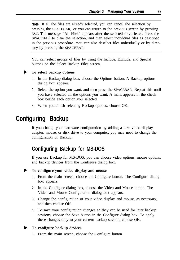**Note** If all the files are already selected, you can cancel the selection by pressing the SPACEBAR, or you can return to the previous screen by pressing ESC. The message "All Files" appears after the selected drive letter. Press the SPACEBAR to clear the selection, and then select individual files as described in the previous procedure. You can also deselect files individually or by directory by pressing the SPACEBAR.

You can select groups of files by using the Include, Exclude, and Special buttons on the Select Backup Files screen.

#### **To select backup options**

- 1. In the Backup dialog box, choose the Options button. A Backup options dialog box appears.
- 2. Select the option you want, and then press the SPACEBAR. Repeat this until you have selected all the options you want. A mark appears in the check box beside each option you selected.
- 3. When you finish selecting Backup options, choose OK.

### **Configuring Backup**

If you change your hardware configuration by adding a new video display adapter, mouse, or disk drive to your computer, you may need to change the configuration of Backup.

### **Configuring Backup for MS-DOS**

If you use Backup for MS-DOS, you can choose video options, mouse options, and backup devices from the Configure dialog box.

#### **To configure your video display and mouse**

- 1. From the main screen, choose the Configure button. The Configure dialog box appears.
- 2. In the Configure dialog box, choose the Video and Mouse button. The Video and Mouse Configuration dialog box appears.
- 3. Change the configuration of your video display and mouse, as necessary, and then choose OK.
- 4. To save your configuration changes so they can be used for later backup sessions, choose the Save button in the Configure dialog box. To apply these changes only to your current backup session, choose OK.

#### **To configure backup devices**

1. From the main screen, choose the Configure button.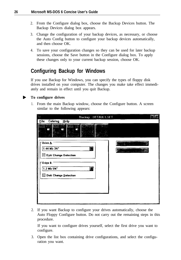- 2. From the Configure dialog box, choose the Backup Devices button. The Backup Devices dialog box appears.
- 3. Change the configuration of your backup devices, as necessary, or choose the Auto Config button to configure your backup devices automatically, and then choose OK.
- 4. To save your configuration changes so they can be used for later backup sessions, choose the Save button in the Configure dialog box. To apply these changes only to your current backup session, choose OK.

### **Configuring Backup for Windows**

If you use Backup for Windows, you can specify the types of floppy disk drives installed on your computer. The changes you make take effect immediately and remain in effect until you quit Backup.

#### **To configure drives**

1. From the main Backup window, choose the Configure button. A screen similar to the following appears:

| Backup - DEFAULT.SET                                                                                                                                                                           |                                           |
|------------------------------------------------------------------------------------------------------------------------------------------------------------------------------------------------|-------------------------------------------|
| Catalog Help<br>Eile<br>⊤Drive <u>A</u> :<br>1.44 Mb 3½"<br>i.<br>$\boxtimes$ Disk Change Detection<br>⊺ Dri <u>v</u> e B∶`<br>$\mathbf{C}$<br>1.2 Mb 5%"<br>$\boxtimes$ Disk Change Detection | Carolina (1980)<br>Guadana (1980) a Chean |
|                                                                                                                                                                                                |                                           |

2. If you want Backup to configure your drives automatically, choose the Auto Floppy Configure button. Do not carry out the remaining steps in this procedure.

If you want to configure drives yourself, select the first drive you want to configure.

3. Open the list box containing drive configurations, and select the configuration you want.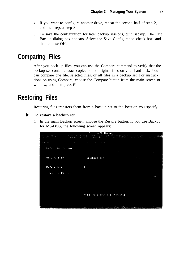- 4. If you want to configure another drive, repeat the second half of step 2, and then repeat step 3.
- 5. To save the configuration for later backup sessions, quit Backup. The Exit Backup dialog box appears. Select the Save Configuration check box, and then choose OK.

### **Comparing Files**

After you back up files, you can use the Compare command to verify that the backup set contains exact copies of the original files on your hard disk. You can compare one file, selected files, or all files in a backup set. For instructions on using Compare, choose the Compare button from the main screen or window, and then press F1.

### **Restoring Files**

Restoring files transfers them from a backup set to the location you specify.

#### **To restore a backup set**

1. In the main Backup screen, choose the Restore button. If you use Backup for MS-DOS, the following screen appears:

|                                                                          | weekend a company of the company of the company of the stage of                                                                        |                                                                     |                    |
|--------------------------------------------------------------------------|----------------------------------------------------------------------------------------------------------------------------------------|---------------------------------------------------------------------|--------------------|
| Backup Set Catalog:<br><u> 1980 - Johann Barnett, fransk politiker (</u> | $\alpha_{\rm{max}} = \alpha_{\rm{max}} = 1$ , where $\alpha_{\rm{max}} = 1$ and $\alpha_{\rm{max}}$                                    |                                                                     | $\sim$ 100         |
| Restore From:                                                            | - Restore To:<br><u> 1989 - An Dùbhlachd an Dùbhlachd an Dùbhlachd an Dùbhlachd an Dùbhlachd an Dùbhlachd an Dùbhlachd an Dùbhlach</u> | $\mathcal{L}^{\mathcal{L}}(\mathcal{L}^{\mathcal{L}}(\mathcal{L}))$ | $\rho \rightarrow$ |
| $IC: \nabla$ Backup 1<br><b>Restore Files</b>                            |                                                                                                                                        | للاسي                                                               |                    |
|                                                                          |                                                                                                                                        |                                                                     |                    |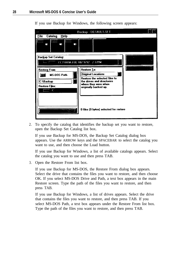Backup - DEFAULT.SET Eile Catalog Help m П  $\mathbf{u}$ **Backup Set Catalog:** CC21009A.FUL 107 9792 2.17PM Restore From: Restore <u>T</u>o: **Original Locations MS-DOS Path** Restore the selected files to C:\Backup the drives and directories where they were when **Restore Files:** originally backed up. O files (O bytes) selected for restore

If you use Backup for Windows, the following screen appears:

2. To specify the catalog that identifies the backup set you want to restore, open the Backup Set Catalog list box.

If you use Backup for MS-DOS, the Backup Set Catalog dialog box appears. Use the ARROW keys and the SPACEBAR to select the catalog you want to use, and then choose the Load button.

If you use Backup for Windows, a list of available catalogs appears. Select the catalog you want to use and then press TAB.

3. Open the Restore From list box.

If you use Backup for MS-DOS, the Restore From dialog box appears. Select the drive that contains the files you want to restore, and then choose OK. If you select MS-DOS Drive and Path, a text box appears in the main Restore screen. Type the path of the files you want to restore, and then press TAB.

If you use Backup for Windows, a list of drives appears. Select the drive that contains the files you want to restore, and then press TAB. If you select MS-DOS Path, a text box appears under the Restore From list box. Type the path of the files you want to restore, and then press TAB.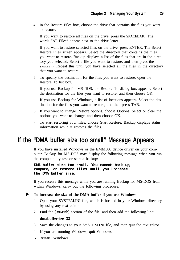4. In the Restore Files box, choose the drive that contains the files you want to restore.

If you want to restore all files on the drive, press the SPACEBAR. The words "All Files" appear next to the drive letter.

If you want to restore selected files on the drive, press ENTER. The Select Restore Files screen appears. Select the directory that contains the files you want to restore. Backup displays a list of the files that are in the directory you selected. Select a file you want to restore, and then press the SPACEBAR. Repeat this until you have selected all the files in the directory that you want to restore.

5. To specify the destination for the files you want to restore, open the Restore To list box.

If you use Backup for MS-DOS, the Restore To dialog box appears. Select the destination for the files you want to restore, and then choose OK.

If you use Backup for Windows, a list of locations appears. Select the destination for the files you want to restore, and then press TAB.

- 6. If you want to change Restore options, choose Options. Select or clear the options you want to change, and then choose OK.
- 7. To start restoring your files, choose Start Restore. Backup displays status information while it restores the files.

### **If the "DMA buffer size too small" Message Appears**

If you have installed Windows or the EMM386 device driver on your computer, Backup for MS-DOS may display the following message when you run the compatibility test or start a backup:

**DMA buffer size too small. You cannot back up, compare, or restore files until you increase the DMA buffer size.**

If you receive this message while you are running Backup for MS-DOS from within Windows, carry out the following procedure:

#### **To increase the size of the DMA buffer if you use Windows**

- 1. Open your SYSTEM.INI file, which is located in your Windows directory, by using any text editor.
- 2. Find the [386Enh] section of the file, and then add the following line:

#### **dmabuffersize=32**

- 3. Save the changes to your SYSTEM.INI file, and then quit the text editor.
- 4. If you are running Windows, quit Windows.
- 5. Restart Windows.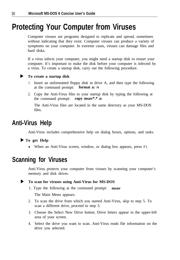# **Protecting Your Computer from Viruses**

Computer viruses are programs designed to replicate and spread, sometimes without indicating that they exist. Computer viruses can produce a variety of symptoms on your computer. In extreme cases, viruses can damage files and hard disks.

If a virus infects your computer, you might need a startup disk to restart your computer. It's important to make the disk before your computer is infected by a virus. To create a startup disk, carry out the following procedure.



#### **To create a startup disk**

- 1. Insert an unformatted floppy disk in drive A, and then type the following at the command prompt: **format a: /s**
- 2. Copy the Anti-Virus files to your startup disk by typing the following at the command prompt: **copy msav\*.\* a:**

The Anti-Virus files are located in the same directory as your MS-DOS files.

### **Anti-Virus Help**

Anti-Virus includes comprehensive help on dialog boxes, options, and tasks.

- **To get Help**
	- When an Anti-Virus screen, window, or dialog box appears, press F1.

### **Scanning for Viruses**

Anti-Virus protects your computer from viruses by scanning your computer's memory and disk drives.

#### **To scan for viruses using Anti-Virus for MS-DOS**

1. Type the following at the command prompt: **msav**

The Main Menu appears.

- 2. To scan the drive from which you started Anti-Virus, skip to step 5. To scan a different drive, proceed to step 3.
- 3. Choose the Select New Drive button. Drive letters appear in the upper-left area of your screen.
- 4. Select the drive you want to scan. Anti-Virus reads file information on the drive you selected.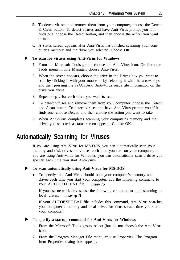- 5. To detect viruses and remove them from your computer, choose the Detect & Clean button. To detect viruses and have Anti-Virus prompt you if it finds one, choose the Detect button, and then choose the action you want to take.
- 6. A status screen appears after Anti-Virus has finished scanning your computer's memory and the drive you selected. Choose OK.

**To scan for viruses using Anti-Virus for Windows**

- 1. From the Microsoft Tools group, choose the Anti-Virus icon. Or, from the Tools menu in File Manager, choose Anti-Virus.
- 2. When the screen appears, choose the drive in the Drives box you want to scan by clicking it with your mouse or by selecting it with the arrow keys and then pressing the SPACEBAR. Anti-Virus reads file information on the drive you chose.
- 3. Repeat step 2 for each drive you want to scan.
- 4. To detect viruses and remove them from your computer, choose the Detect and Clean button. To detect viruses and have Anti-Virus prompt you if it finds one, choose Detect, and then choose the action you want to take.
- 5. When Anti-Virus completes scanning your computer's memory and the drives you selected, a status screen appears. Choose OK.

### **Automatically Scanning for Viruses**

If you are using Anti-Virus for MS-DOS, you can automatically scan your memory and disk drives for viruses each time you turn on your computer. If you are using Anti-Virus for Windows, you can automatically scan a drive you specify each time you start Anti-Virus.

**To scan automatically using Anti-Virus for MS-DOS**

• To specify that Anti-Virus should scan your computer's memory and drives each time you start your computer, add the following command to your AUTOEXEC.BAT file: **msav /p**

If you use network drives, use the following command to limit scanning to local drives: **msav /p /1**

If your AUTOEXEC.BAT file includes this command, Anti-Virus searches your computer's memory and local drives for viruses each time you start your computer.

#### **To specify a startup command for Anti-Virus for Windows**

- 1. From the Microsoft Tools group, select (but do not choose) the Anti-Virus icon.
- 2. From the Program Manager File menu, choose Properties. The Program Item Properties dialog box appears.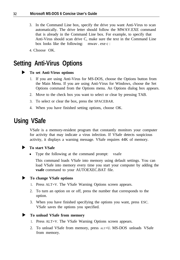3. In the Command Line box, specify the drive you want Anti-Virus to scan automatically. The drive letter should follow the MWAV.EXE command that is already in the Command Line box. For example, to specify that Anti-Virus should scan drive C, make sure the text in the Command Line box looks like the following: mwav . exe c :

4. Choose OK.

### **Setting Anti-Virus Options**

- 1. If you are using Anti-Virus for MS-DOS, choose the Options button from the Main Menu. If you are using Anti-Virus for Windows, choose the Set Options command from the Options menu. An Options dialog box appears.
- 2. Move to the check box you want to select or clear by pressing TAB.
- 3. To select or clear the box, press the SPACEBAR.
- 4. When you have finished setting options, choose OK.

## **Using VSafe**

VSafe is a memory-resident program that constantly monitors your computer for activity that may indicate a virus infection. If VSafe detects suspicious activity, it displays a warning message. VSafe requires 44K of memory.

#### **To start VSafe**

• Type the following at the command prompt: vsafe

This command loads VSafe into memory using default settings. You can load VSafe into memory every time you start your computer by adding the **vsafe** command to your AUTOEXEC.BAT file.

#### **To change VSafe options**

- 1. Press ALT+V. The VSafe Warning Options screen appears.
- 2. To turn an option on or off, press the number that corresponds to the option.
- 3. When you have finished specifying the options you want, press ESC. VSafe saves the options you specified.

#### **To unload VSafe from memory**

- 1. Press ALT+V. The VSafe Warning Options screen appears.
- 2. To unload VSafe from memory, press ALT+U. MS-DOS unloads VSafe from memory.

<sup>▶</sup> **To set Anti-Virus options**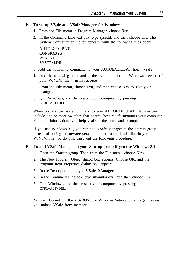#### **To set up VSafe and VSafe Manager for Windows**

- 1. From the File menu in Program Manager, choose Run.
- 2. In the Command Line text box, type **sysedit,** and then choose OK. The System Configuration Editor appears, with the following files open:

AUTOEXEC.BAT CONFIG.SYS WIN.INI SYSTEM.INI

▶

- 3. Add the following command to your AUTOEXEC.BAT file: **vsafe**
- 4. Add the following command to the **load=** line in the [Windows] section of your WIN.INI file: **mwavtsr.exe**
- 5. From the File menu, choose Exit, and then choose Yes to save your changes.
- 6. Quit Windows, and then restart your computer by pressing CTRL+ALT+DEL.

When you add the vsafe command to your AUTOEXEC.BAT file, you can include one or more switches that control how VSafe monitors your computer. For more information, type **help vsafe** at the command prompt.

If you use Windows 3.1, you can add VSafe Manager to the Startup group instead of adding the **mwavtsr.exe** command to the **load=** line in your WIN.INI file. To do this, carry out the following procedure.

#### **To add VSafe Manager to your Startup group if you use Windows 3.1**

- 1. Open the Startup group. Then from the File menu, choose New.
- 2. The New Program Object dialog box appears. Choose OK, and the Program Item Properties dialog box appears.
- 3. In the Description box, type **VSafe Manager.**
- 4. In the Command Line box, type **mwavtsr.exe,** and then choose OK.
- 5. Quit Windows, and then restart your computer by pressing CTRL+ALT+DEL.

**Caution** Do not run the MS-DOS 6 or Windows Setup program again unless you unload VSafe from memory.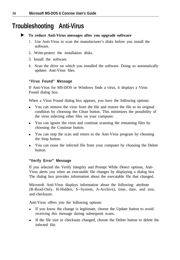## **Troubleshooting Anti-Virus**

#### **To reduce Anti-Virus messages after you upgrade software**

- 1. Use Anti-Virus to scan the manufacturer's disks before you install the software.
- 2. Write-protect the installation disks.
- 3. Install the software.
- 4. Scan the drive on which you installed the software. Doing so automatically updates Anti-Virus files.

#### **"Virus Found" Message**

If Anti-Virus for MS-DOS or Windows finds a virus, it displays a Virus Found dialog box.

When a Virus Found dialog box appears, you have the following options:

- <sup>n</sup> You can remove the virus from the file and restore the file to its original condition by choosing the Clean button. This minimizes the possibility of the virus infecting other files on your computer.
- <sup>n</sup> You can ignore the virus and continue scanning the remaining files by choosing the Continue button.
- <sup>n</sup> You can stop the scan and return to the Anti-Virus program by choosing the Stop button.
- <sup>n</sup> You can erase the infected file from your computer by choosing the Delete button.

#### **"Verify Error" Message**

If you selected the Verify Integrity and Prompt While Detect options, Anti-Virus alerts you when an executable file changes by displaying a dialog box The dialog box provides information about the executable file that changed.

Microsoft Anti-Virus displays information about the following: attribute (R-Read-Only, H-Hidden, S--System, A-Archive), time, date, and size, and checksum.

Anti-Virus offers you the following options:

- <sup>n</sup> If you know the change is legitimate, choose the Update button to avoid receiving this message during subsequent scans.
- <sup>n</sup> If the file size or checksum changed, choose the Delete button to delete the infected file.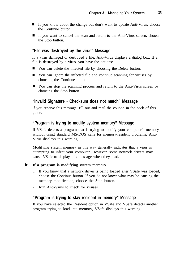- n If you know about the change but don't want to update Anti-Virus, choose the Continue button.
- n If you want to cancel the scan and return to the Anti-Virus screen, choose the Stop button.

#### **"File was destroyed by the virus" Message**

If a virus damaged or destroyed a file, Anti-Virus displays a dialog box. If a file is destroyed by a virus, you have the options:

- You can delete the infected file by choosing the Delete button.
- You can ignore the infected file and continue scanning for viruses by choosing the Continue button.
- You can stop the scanning process and return to the Anti-Virus screen by choosing the Stop button.

#### **"invalid Signature - Checksum does not match" Message**

If you receive this message, fill out and mail the coupon in the back of this guide.

#### **"Program is trying to modify system memory" Message**

If VSafe detects a program that is trying to modify your computer's memory without using standard MS-DOS calls for memory-resident programs, Anti-Virus displays this warning.

Modifying system memory in this way generally indicates that a virus is attempting to infect your computer. However, some network drivers may cause VSafe to display this message when they load.

▶

#### **If a program is modifying system memory**

- 1. If you know that a network driver is being loaded alter VSafe was loaded, choose the Continue button. If you do not know what may be causing the memory modification, choose the Stop button.
- 2. Run Anti-Virus to check for viruses.

### **"Program is trying to stay resident in memory" Message**

If you have selected the Resident option in VSafe and VSafe detects another program trying to load into memory, VSafe displays this warning.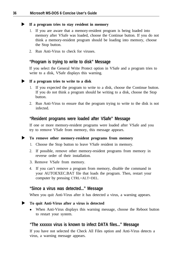#### **If a program tries to stay resident in memory**

- 1. If you are aware that a memory-resident program is being loaded into memory after VSafe was loaded, choose the Continue button. If you do not think a memory-resident program should be loading into memory, choose the Stop button.
- 2. Run Anti-Virus to check for viruses.

#### **"Program is trying to write to disk" Message**

If you select the General Write Protect option in VSafe and a program tries to write to a disk, VSafe displays this warning.

#### **If a program tries to write to a disk**

- 1. If you expected the program to write to a disk, choose the Continue button. If you do not think a program should be writing to a disk, choose the Stop button.
- 2. Run Anti-Virus to ensure that the program trying to write to the disk is not infected.

#### **"Resident programs were loaded after VSafe" Message**

If one or more memory-resident programs were loaded after VSafe and you try to remove VSafe from memory, this message appears.

▶.

#### **To remove other memory-resident programs from memory**

- 1. Choose the Stop button to leave VSafe resident in memory.
- 2. If possible, remove other memory-resident programs from memory in reverse order of their installation.
- 3. Remove VSafe from memory.
- 4. If you can't remove a program from memory, disable the command in your AUTOEXEC.BAT file that loads the program. Then, restart your computer by pressing CTRL+ALT+DEL.

#### **"Since a virus was detected..." Message**

When you quit Anti-Virus after it has detected a virus, a warning appears.

#### **To quit Anti-Virus after a virus is detected**

• When Anti-Virus displays this warning message, choose the Reboot button to restart your system.

#### **"The xxxxxx virus is known to infect DATA files..." Message**

If you have not selected the Check All Files option and Anti-Virus detects a virus, a warning message appears.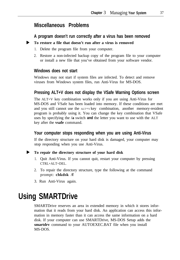### **Miscellaneous Problems**

**A program doesn't run correctly after a virus has been removed**

#### **To restore a file that doesn't run after a virus is removed**

- 1. Delete the program file from your computer.
- 2. Restore a non-infected backup copy of the program file to your computer or install a new file that you've obtained from your software vendor.

### **Windows does not start**

Windows may not start if system files are infected. To detect and remove viruses from Windows system files, run Anti-Virus for MS-DOS.

### **Pressing ALT+V does not display the VSafe Warning Options screen**

The ALT+V key combination works only if you are using Anti-Virus for MS-DOS and VSafe has been loaded into memory. If these conditions are met and you still cannot use the ALT+V key combination, another memory-resident program is probably using it. You can change the key combination that VSafe uses by specifying the **/a** switch **and** the letter you want to use with the ALT key after the **vsafe** command.

### **Your computer stops responding when you are using Anti-Virus**

If the directory structure on your hard disk is damaged, your computer may stop responding when you use Anti-Virus.

#### ▶ **To repair the directory structure of your hard disk**

- 1. Quit Anti-Virus. If you cannot quit, restart your computer by pressing CTRL+ALT+DEL.
- 2. To repair the directory structure, type the following at the command prompt: **chkdsk /f**
- 3. Run Anti-Virus again.

# **Using SMARTDrive**

SMARTDrive reserves an area in extended memory in which it stores information that it reads from your hard disk. An application can access this information in memory faster than it can access the same information on a hard disk. If your computer can use SMARTDrive, MS-DOS Setup adds the **smartdrv** command to your AUTOEXEC.BAT file when you install MS-DOS.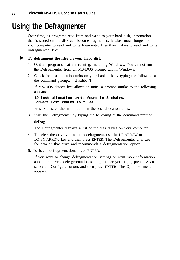## **Using the Defragmenter**

Over time, as programs read from and write to your hard disk, information that is stored on the disk can become fragmented. It takes much longer for your computer to read and write fragmented files than it does to read and write unfragmented files.

▶

#### **To defragment the files on your hard disk**

- 1. Quit all programs that are running, including Windows. You cannot run the Defragmenter from an MS-DOS prompt within Windows.
- 2. Check for lost allocation units on your hard disk by typing the following at the command prompt: **chkdsk /f**

If MS-DOS detects lost allocation units, a prompt similar to the following appears:

#### **10 lost allocation units found in 3 chains. Convert lost chains to files?**

Press *x* to save the information in the lost allocation units.

3. Start the Defragmenter by typing the following at the command prompt: **defrag**

#### The Defragmenter displays a list of the disk drives on your computer.

- 4. To select the drive you want to defragment, use the UP ARROW or DOWN ARROW key and then press ENTER. The Defragmenter analyzes the data on that drive and recommends a defragmentation option.
- 5. To begin defragmentation, press ENTER.

If you want to change defragmentation settings or want more information about the current defragmentation settings before you begin, press TAB to select the Configure button, and then press ENTER. The Optimize menu appears.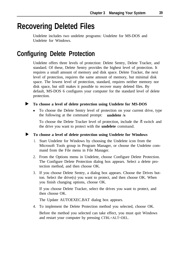## **Recovering Deleted Files**

Undelete includes two undelete programs: Undelete for MS-DOS and Undelete for Windows.

### **Configuring Delete Protection**

Undelete offers three levels of protection: Delete Sentry, Delete Tracker, and standard. Of these, Delete Sentry provides the highest level of protection. It requires a small amount of memory and disk space. Delete Tracker, the next level of protection, requires the same amount of memory, but minimal disk space. The lowest level of protection, standard, requires neither memory nor disk space, but still makes it possible to recover many deleted files. By default, MS-DOS 6 configures your computer for the standard level of delete protection.

#### **To choose a level of delete protection using Undelete for MS-DOS**

<sup>l</sup> To choose the Delete Sentry level of protection on your current drive, type the following at the command prompt: **undelete /s**

To choose the Delete Tracker level of protection, include the /t switch and the drive you want to protect with the **undelete** command.

**To choose a level of delete protection using Undelete for Windows**

- 1. Start Undelete for Windows by choosing the Undelete icon from the Microsoft Tools group in Program Manager, or choose the Undelete command from the File menu in File Manager.
- 2. From the Options menu in Undelete, choose Configure Delete Protection. The Configure Delete Protection dialog box appears. Select a delete protection method, and then choose OK.
- 3. If you choose Delete Sentry, a dialog box appears. Choose the Drives button. Select the drive(s) you want to protect, and then choose OK. When you finish changing options, choose OK.

If you choose Delete Tracker, select the drives you want to protect, and then choose OK.

The Update AUTOEXEC.BAT dialog box appears.

4. To implement the Delete Protection method you selected, choose OK.

Before the method you selected can take effect, you must quit Windows and restart your computer by pressing CTRL+ALT+DEL.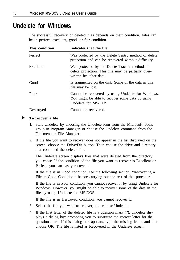### **Undelete for Windows**

The successful recovery of deleted files depends on their condition. Files can be in perfect, excellent, good, or fair condition.

| This condition | Indicates that the file                                                                                                        |  |
|----------------|--------------------------------------------------------------------------------------------------------------------------------|--|
| Perfect        | Was protected by the Delete Sentry method of delete<br>protection and can be recovered without difficulty.                     |  |
| Excellent      | Was protected by the Delete Tracker method of<br>delete protection. This file may be partially over-<br>written by other data. |  |
| Good           | Is fragmented on the disk. Some of the data in this<br>file may be lost.                                                       |  |
| Poor           | Cannot be recovered by using Undelete for Windows.<br>You might be able to recover some data by using<br>Undelete for MS-DOS.  |  |
| Destroyed      | Cannot be recovered.                                                                                                           |  |

#### **To recover a file**

- 1. Start Undelete by choosing the Undelete icon from the Microsoft Tools group in Program Manager, or choose the Undelete command from the File menu in File Manager.
- 2. If the file you want to recover does not appear in the list displayed on the screen, choose the Drive/Dir button. Then choose the drive and directory that contained the deleted file.

The Undelete screen displays files that were deleted from the directory you chose. If the condition of the file you want to recover is Excellent or Perfect, you can easily recover it.

If the file is in Good condition, see the following section, "Recovering a File in Good Condition," before carrying out the rest of this procedure.

If the file is in Poor condition, you cannot recover it by using Undelete for Windows. However, you might be able to recover some of the data in the file by using Undelete for MS-DOS.

If the file is in Destroyed condition, you cannot recover it.

- 3. Select the file you want to recover, and choose Undelete.
- 4. If the first letter of the deleted file is a question mark (?), Undelete displays a dialog box prompting you to substitute the correct letter for the question mark. If this dialog box appears, type the missing letter, and then choose OK. The file is listed as Recovered in the Undelete screen.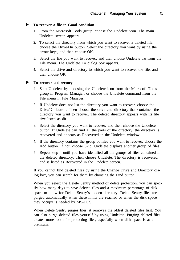#### **To recover a file in Good condition**

- 1. From the Microsoft Tools group, choose the Undelete icon. The main Undelete screen appears.
- 2. To select the directory from which you want to recover a deleted file, choose the Drive/Dir button. Select the directory you want by using the arrow keys, and then choose OK.
- 3. Select the file you want to recover, and then choose Undelete To from the File menu. The Undelete To dialog box appears.
- 4. Select the drive and directory to which you want to recover the file, and then choose OK.

#### **To recover a directory**

- 1. Start Undelete by choosing the Undelete icon from the Microsoft Tools group in Program Manager, or choose the Undelete command from the File menu in File Manager.
- 2. If Undelete does not list the directory you want to recover, choose the Drive/Dir button. Then choose the drive and directory that contained the directory you want to recover. The deleted directory appears with its file size listed as dir.
- 3. Select the directory you want to recover, and then choose the Undelete button. If Undelete can find all the parts of the directory, the directory is recovered and appears as Recovered in the Undelete window.
- 4. If the directory contains the group of files you want to recover, choose the Add button. If not, choose Skip. Undelete displays another group of files
- 5. Repeat step 4 until you have identified all the groups of files contained in the deleted directory. Then choose Undelete. The directory is recovered and is listed as Recovered in the Undelete screen.

If you cannot find deleted files by using the Change Drive and Directory dialog box, you can search for them by choosing the Find button.

When you select the Delete Sentry method of delete protection, you can specify how many days to save deleted files and a maximum percentage of disk space to allow for Delete Sentry's hidden directory. Delete Sentry files are purged automatically when these limits are reached or when the disk space they occupy is needed by MS-DOS.

When Delete Sentry purges files, it removes the oldest deleted files first. You can also purge deleted files yourself by using Undelete. Purging deleted files creates more room for protecting files, especially when disk space is at a premium.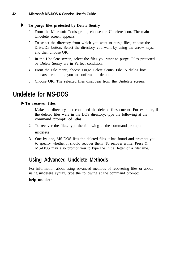#### ▶ **To purge files protected by Delete Sentry**

- I. From the Microsoft Tools group, choose the Undelete icon. The main Undelete screen appears.
- 2. To select the directory from which you want to purge files, choose the Drive/Dir button. Select the directory you want by using the arrow keys, and then choose OK.
- 3. In the Undelete screen, select the files you want to purge. Files protected by Delete Sentry are in Perfect condition.
- 4. From the File menu, choose Purge Delete Sentry File. A dialog box appears, prompting you to confirm the deletion.
- 5. Choose OK. The selected files disappear from the Undelete screen.

### **Undelete for MS-DOS**

#### $\blacktriangleright$  To recover files

- 1. Make the directory that contained the deleted files current. For example, if the deleted files were in the DOS directory, type the following at the command prompt: **cd \dos**
- 2. To recover the files, type the following at the command prompt:

#### **undelete**

3. One by one, MS-DOS lists the deleted files it has found and prompts you to specify whether it should recover them. To recover a file, Press Y. MS-DOS may also prompt you to type the initial letter of a filename.

### **Using Advanced Undelete Methods**

For information about using advanced methods of recovering files or about using **undelete** syntax, type the following at the command prompt:

#### **help undelete**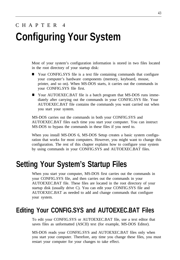# CHAPTER 4 **Configuring Your System**

Most of your system's configuration information is stored in two files located in the root directory of your startup disk:

- n Your CONFIG.SYS file is a text file containing commands that configure your computer's hardware components (memory, keyboard, mouse, printer, and so on). When MS-DOS starts, it carries out the commands in your CONFIG.SYS file first.
- Your AUTOEXEC.BAT file is a batch program that MS-DOS runs immediately after carrying out the commands in your CONFIG.SYS file. Your AUTOEXEC.BAT file contains the commands you want carried out when you start your system.

MS-DOS carries out the commands in both your CONFIG.SYS and AUTOEXEC.BAT files each time you start your computer. You can instruct MS-DOS to bypass the commands in these files if you need to.

When you install MS-DOS 6, MS-DOS Setup creates a basic system configuration that works for most computers. However, you might want to change this configuration. The rest of this chapter explains how to configure your system by using commands in your CONFIG.SYS and AUTOEXEC.BAT files.

# **Setting Your System's Startup Files**

When you start your computer, MS-DOS first carries out the commands in your CONFIG.SYS file, and then carries out the commands in your AUTOEXEC.BAT file. These files are located in the root directory of your startup disk (usually drive C). You can edit your CONFIG.SYS file and AUTOEXEC.BAT as needed to add and change commands that configure your system.

## **Editing Your CONFIG.SYS and AUTOEXEC.BAT Files**

To edit your CONFIG.SYS or AUTOEXEC.BAT file, use a text editor that saves files as unformatted (ASCII) text (for example, MS-DOS Editor).

MS-DOS reads your CONFIG.SYS and AUTOEXEC.BAT files only when you start your computer. Therefore, any time you change these files, you must restart your computer for your changes to take effect.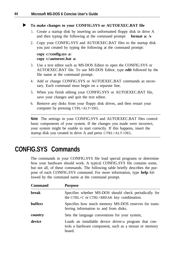#### **To make changes to your CONFIG.SYS or AUTOEXEC.BAT file**

- 1. Create a startup disk by inserting an unformatted floppy disk in drive A and then typing the following at the command prompt: **format a: /s**
- 2. Copy your CONFIG.SYS and AUTOEXEC.BAT files to the startup disk you just created by typing the following at the command prompt:

**copy c:\config.sys a: copy c:\autoexec.bat a:**

- 3. Use a text editor such as MS-DOS Editor to open the CONFIG.SYS or AUTOEXEC.BAT file. To use MS-DOS Editor, type **edit** followed by the file name at the command prompt.
- 4. Add or change CONFIG.SYS or AUTOEXEC.BAT commands as necessary. Each command must begin on a separate line.
- 5. When you finish editing your CONFIG.SYS or AUTOEXEC.BAT file, save your changes and quit the text editor.
- 6. Remove any disks from your floppy disk drives, and then restart your computer by pressing CTRL+ALT+DEL.

**Note** The settings in your CONFIG.SYS and AUTOEXEC.BAT files control basic components of your system. If the changes you made were incorrect, your system might be unable to start correctly. If this happens, insert the startup disk you created in drive A and press CTRL+ALT+DEL.

### **CONFIG.SYS Commands**

The commands in your CONFIG.SYS file load special programs or determine how your hardware should work. A typical CONFIG.SYS file contains some, but not all, of these commands. The following table briefly describes the purpose of each CONFIG.SYS command. For more information, type **help** followed by the command name at the command prompt.

| <b>Command</b> | <b>Purpose</b>                                                                                                            |  |
|----------------|---------------------------------------------------------------------------------------------------------------------------|--|
| break          | Specifies whether MS-DOS should check periodically for<br>the CTRL+C or CTRL+BREAK key combination.                       |  |
| buffers        | Specifies how much memory MS-DOS reserves for trans-<br>ferring information to and from disks.                            |  |
| country        | Sets the language conventions for your system,                                                                            |  |
| device         | Loads an installable device driver-a program that con-<br>trols a hardware component, such as a mouse or memory<br>board. |  |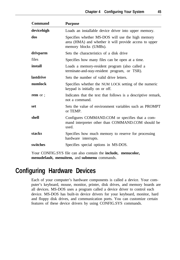| <b>Command</b> | <b>Purpose</b>                                                                                                                       |  |
|----------------|--------------------------------------------------------------------------------------------------------------------------------------|--|
| devicehigh     | Loads an installable device driver into upper memory.                                                                                |  |
| dos            | Specifies whether MS-DOS will use the high memory<br>area (HMA) and whether it will provide access to upper<br>memory blocks (UMBs). |  |
| drivparm       | Sets the characteristics of a disk drive                                                                                             |  |
| files          | Specifies how many files can be open at a time.                                                                                      |  |
| install        | Loads a memory-resident program (also called a<br>terminate-and-stay-resident program, or TSR).                                      |  |
| lastdrive      | Sets the number of valid drive letters.                                                                                              |  |
| numlock        | Specifies whether the NUM LOCK setting of the numeric<br>keypad is initially on or off.                                              |  |
| rem or;        | Indicates that the text that follows is a descriptive remark,<br>not a command.                                                      |  |
| set            | Sets the value of environment variables such as PROMPT<br>or TEMP.                                                                   |  |
| shell          | Configures COMMAND.COM or specifies that a com-<br>mand interpreter other than COMMAND.COM should be<br>used.                        |  |
| stacks         | Specifies how much memory to reserve for processing<br>hardware interrupts.                                                          |  |
| switches       | Specifies special options in MS-DOS.                                                                                                 |  |

Your CONFIG.SYS file can also contain the **include, menucolor, menudefault, menuitem,** and **submenu** commands.

### **Configuring Hardware Devices**

Each of your computer's hardware components is called a device. Your computer's keyboard, mouse, monitor, printer, disk drives, and memory boards are all devices. MS-DOS uses a program called a device driver to control each device. MS-DOS has built-in device drivers for your keyboard, monitor, hard and floppy disk drives, and communication ports. You can customize certain features of these device drivers by using CONFIG.SYS commands.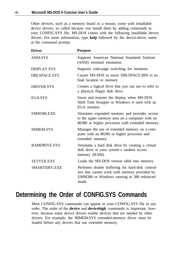Other devices, such as a memory board or a mouse, come with installable device drivers, so called because you install them by adding commands to your CONFIG.SYS file. MS-DOS comes with the following installable device drivers. For more information, type **help** followed by the device-driver name at the command prompt.

| <b>Purpose</b>                                                                                                                                          |  |  |
|---------------------------------------------------------------------------------------------------------------------------------------------------------|--|--|
| Supports American National Standards Institute<br>(ANSI) terminal emulation.                                                                            |  |  |
| Supports code-page switching for monitors.                                                                                                              |  |  |
| Causes MS-DOS to move DBLSPACE.BIN to its<br>final location in memory.                                                                                  |  |  |
| Creates a logical drive that you can use to refer to<br>a physical floppy disk drive.                                                                   |  |  |
| Saves and restores the display when MS-DOS<br>Shell Task Swapper or Windows is used with an<br>EGA monitor.                                             |  |  |
| Simulates expanded memory and provides access<br>to the upper memory area on a computer with an<br>80386 or higher processor with extended memory.      |  |  |
| Manages the use of extended memory on a com-<br>puter with an 80286 or higher processor and<br>extended memory.                                         |  |  |
| Simulates a hard disk drive by creating a virtual<br>disk drive in your system's random access<br>memory (RAM).                                         |  |  |
| Loads the MS-DOS version table into memory.                                                                                                             |  |  |
| Performs double buffering for hard-disk control-<br>lers that cannot work with memory provided by<br>EMM386 or Windows running in 386 enhanced<br>mode. |  |  |
|                                                                                                                                                         |  |  |

### **Determining the Order of CONFIG.SYS Commands**

Most CONFIG.SYS commands can appear in your CONFIG.SYS file in any order. The order of the **device** and **devicehigh** commands is important, however, because some device drivers enable devices that are needed by other drivers. For example, the HIMEM.SYS extended-memory driver must be loaded before any drivers that use extended memory.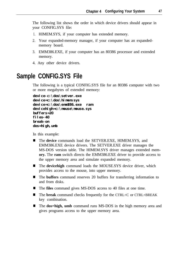The following list shows the order in which device drivers should appear in your CONFIG.SYS file:

- 1. HIMEM.SYS, if your computer has extended memory.
- 2. Your expanded-memory manager, if your computer has an expandedmemory board.
- 3. EMM386.EXE, if your computer has an 80386 processor and extended memory.
- 4. Any other device drivers.

### **Sample CONFIG.SYS File**

The following is a typical CONFIG.SYS file for an 80386 computer with two or more megabytes of extended memory:

```
device-c:\dos\setver.exe
device=c:\dos\himem.sys
device=c:\dos\emm386.exe ram
devicehigh=c:\mouse\mouse.sys
buffers=20
files-40
break-on
dos=high,umb
```
In this example:

- The **device** commands load the SETVER.EXE, HIMEM.SYS, and EMM386.EXE device drivers. The SETVER.EXE driver manages the MS-DOS version table. The HIMEM.SYS driver manages extended mem**ory.** The **ram** switch directs the EMM386.EXE driver to provide access to the upper memory area and simulate expanded memory.
- **n** The **device high** command loads the MOUSE.SYS device driver, which provides access to the mouse, into upper memory.
- **n** The **buffers** command reserves 20 buffers for transferring information to and from disks.
- The **files** command gives MS-DOS access to 40 files at one time.
- The **break** command checks frequently for the CTRL+C or CTRL+BREAK key combination.
- The **dos=high, umb** command runs MS-DOS in the high memory area and gives programs access to the upper memory area.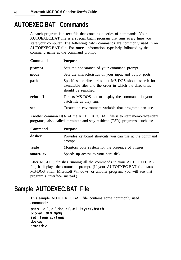### **AUTOEXEC.BAT Commands**

A batch program is a text file that contains a series of commands. Your AUTOEXEC.BAT file is a special batch program that runs every time you start your computer. The following batch commands are commonly used in an AUTOEXEC.BAT file. For **more** information, type **help** followed by the command name at the command prompt.

| <b>Purpose</b>                                                                                                                            |  |  |
|-------------------------------------------------------------------------------------------------------------------------------------------|--|--|
| Sets the appearance of your command prompt.                                                                                               |  |  |
| Sets the characteristics of your input and output ports.                                                                                  |  |  |
| Specifies the directories that MS-DOS should search for<br>executable files and the order in which the directories<br>should be searched. |  |  |
| Directs MS-DOS not to display the commands in your<br>batch file as they run.                                                             |  |  |
| Creates an environment variable that programs can use.                                                                                    |  |  |
|                                                                                                                                           |  |  |

Another common **use** of the AUTOEXEC.BAT file is to start memory-resident programs, also called terminate-and-stay-resident (TSR) programs, such as:

| <b>Command</b> | <b>Purpose</b>                                                    |
|----------------|-------------------------------------------------------------------|
| doskey         | Provides keyboard shortcuts you can use at the command<br>prompt. |
| vsafe          | Monitors your system for the presence of viruses.                 |
| smartdry       | Speeds up access to your hard disk.                               |

After MS-DOS finishes running all the commands in your AUTOEXEC.BAT file, it displays the command prompt. (If your AUTOEXEC.BAT file starts MS-DOS Shell, Microsoft Windows, or another program, you will see that program's interface instead.)

### **Sample AUTOEXEC.BAT File**

This sample AUTOEXEC.BAT file contains some commonly used commands:

```
path c:\;c:\dos;c:\utility;c:\batch
prompt $t$_$p$g
set temp=c:\temp
doskey
smartdrv
```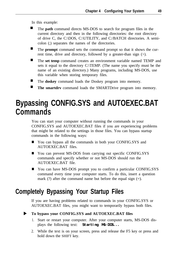In this example:

- n The **path** command directs MS-DOS to search for program files in the current directory and then in the following directories: the root directory of drive C, the C:\DOS, C:\UTILITY, and C:/BATCH directories. A semicolon (;) separates the names of the directories.
- n The **prompt** command sets the command prompt so that it shows the current time, drive and directory, followed by a greater-than sign  $(>)$ .
- n The **set temp** command creates an environment variable named TEMP and sets it equal to the directory C:\TEMP. (The name you specify must be the name of an existing directory.) Many programs, including MS-DOS, use this variable when storing temporary files.
- n The **doskey** command loads the Doskey program into memory.
- n **The smartdrv** command loads the SMARTDrive program into memory.

## **Bypassing CONFIG.SYS and AUTOEXEC.BAT Commands**

You can start your computer without running the commands in your CONFIG.SYS and AUTOEXEC.BAT files if you are experiencing problems that might be related to the settings in those files. You can bypass startup commands in the following ways:

- You can bypass all the commands in both your CONFIG.SYS and AUTOEXEC.BAT files.
- You can prevent MS-DOS from carrying out specific CONFIG.SYS commands and specify whether or not MS-DOS should run the AUTOEXEC.BAT file.
- You can have MS-DOS prompt you to confirm a particular CONFIG.SYS command every time your computer starts. To do this, insert a question mark  $(?)$  after the command name but before the equal sign  $(=)$ .

## **Completely Bypassing Your Startup Files**

If you are having problems related to commands in your CONFIG.SYS or AUTOEXEC.BAT files, you might want to temporarily bypass both files.

▶ **To bypass your CONFIG.SYS and AUTOEXEC.BAT files**

- 1. Start or restart your computer. After your computer starts, MS-DOS displays the following text: **Starting MS-DOS...**
- 2. While the text is on your screen, press and release the F5 key or press and hold down the SHIFT key.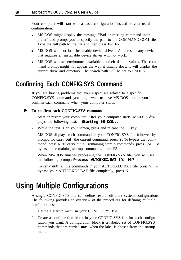Your computer will start with a basic configuration instead of your usual configuration:

- <sup>n</sup> MS-DOS might display the message "Bad or missing command interpreter" and prompt you to specify the path to the COMMAND.COM file. Type the full path to the file and then press ENTER.
- <sup>n</sup> MS-DOS will not load installable device drivers. As a result, any device that requires an installable device driver will not work.
- <sup>n</sup> MS-DOS will set environment variables to their default values. The command prompt might not appear the way it usually does; it will display the current drive and directory. The search path will be set to C:\DOS.

### **Confirming Each CONFIG.SYS Command**

If you are having problems that you suspect are related to a specific CONFIG.SYS command, you might want to have MS-DOS prompt you to confirm each command when your computer starts.

#### ▶ **To confirm each CONFIG.SYS command**

- 1. Start or restart your computer. After your computer starts, MS-DOS displays the following text: **Starting MS-DOS...**
- 2. While the text is on your screen, press and release the F8 key.

MS-DOS displays each command in your CONFIG.SYS file followed by a prompt. To carry **out** the current command, press Y. To bypass that command, press N. To carry out all remaining startup commands, press ESC. To bypass all remaining startup commands, press F5.

3. When MS-DOS finishes processing the CONFIG.SYS file, you will see the following prompt: **Process AUTOEXEC.BAT [Y, N]?**

To carry **out** all the commands in your AUTOEXEC.BAT file, press Y. T<sup>O</sup> bypass your AUTOEXEC.BAT file completely, press N.

## **Using Multiple Configurations**

A single CONFIG.SYS file can define several different system configurations. The following provides an overview of the procedures for defining multiple configurations:

- 1. Define a startup menu in your CONFIG.SYS file.
- 2. Create a configuration block in your CONFIG.SYS file for each configuration you want. A configuration block is a labeled set of CONFIG.SYS commands that are carried **out** when the label is chosen from the startup menu.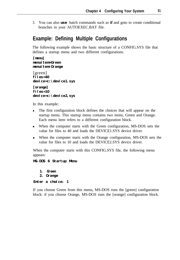3. You can also **use** batch commands such as **if** and goto to create conditional branches in your AUTOEXEC.BAT file.

### **Example: Defining Multiple Configurations**

The following example shows the basic structure of a CONFIG.SYS file that defines a startup menu and two different configurations.

```
[menu]
menuitem=Green
menuitem-Orange
[green]
files=40
device=c:\device1.sys
[orange]
files=10
device=c:\device2,sys
```
In this example:

- <sup>n</sup> The first configuration block defines the choices that will appear on the startup menu. This startup menu contains two items, Green and Orange. Each menu item refers to a different configuration block.
- <sup>n</sup> When the computer starts with the Green configuration, MS-DOS sets the value for files to 40 and loads the DEVICE1.SYS device driver.
- <sup>n</sup> When the computer starts with the Orange configuration, MS-DOS sets the value for files to 10 and loads the DEVICE2.SYS device driver.

When the computer starts with this CONFIG.SYS file, the following menu appears:

#### **MS-DOS 6 Startup Menu**

**1. Green 2. Orange**

#### **Enter a choice: 1**

If you choose Green from this menu, MS-DOS runs the [green] configuration block: if you choose Orange, MS-DOS runs the [orange] configuration block.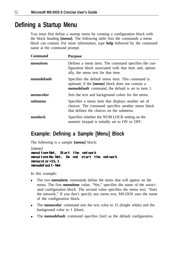### **Defining a Startup Menu**

You must first define a startup menu by creating a configuration block with the block heading **[menu].** The following table lists the commands a menu block can contain. For more information, type **help** followed by the command name at the command prompt.

| <b>Command</b> | <b>Purpose</b>                                                                                                                                             |
|----------------|------------------------------------------------------------------------------------------------------------------------------------------------------------|
| menuitem       | Defines a menu item. The command specifies the con-<br>figuration block associated with that item and, option-<br>ally, the menu text for that item.       |
| menudefault    | Specifies the default menu item. This command is<br>optional; if the [menu] block does not contain a<br>menudefault command, the default is set to item 1. |
| menucolor      | Sets the text and background colors for the menu.                                                                                                          |
| submenu        | Specifies a menu item that displays another set of<br>choices. The command specifies another menu block<br>that defines the choices on the submenu.        |
| numlock        | Specifies whether the NUM LOCK setting on the<br>numeric keypad is initially set to ON or OFF.                                                             |

### **Example: Defining a Sample [Menu] Block**

The following is a sample **[menu]** block:

```
[menu]
menuitem-Net, Start the network
menuitem-No-Net, Do not start the network
menucolor=15,1
menudefault-Net
```
In this example:

- <sup>n</sup> The two **menuitem** commands define the items that will appear on the menu. The first **menuitem** value, "Net," specifies the name of the associated configuration block. The second value specifies the menu text, "Start the network." If you don't specify any menu text, MS-DOS uses the name of the configuration block.
- <sup>n</sup> The **menucolor** command sets the text color to 15 (bright white) and the background color to 1 (blue).
- <sup>n</sup> The **menudefault** command specifies [net] as the default configuration.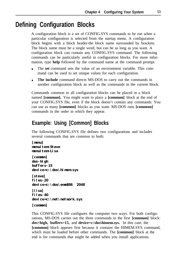### **Defining Configuration Blocks**

A configuration block is a set of CONFIG.SYS commands to be run when a particular configuration is selected from the startup menu. A configuration block begins with a block header-the block name surrounded by brackets. The block name must be a single word, but can be as long as you want. A configuration block can contain any CONFIG.SYS command. The following commands can be particularly useful in configuration blocks. For more information, type **help** followed by the command name at the command prompt.

- <sup>n</sup> The **set** command sets the value of an environment variable. This command can be used to set unique values for each configuration.
- **n The include** command directs MS-DOS to carry out the commands in another configuration block as well as the commands in the current block.

Commands common to all configuration blocks can be placed in a block named **[common].** You might want to place a **[common]** block at the end of your CONFIG.SYS file, even if the block doesn't contain any commands. You can use as many **[common]** blocks as you want. MS-DOS runs **[common]** commands in the order in which they appear.

### **Example: Using [Common] Blocks**

The following CONFIG.SYS file defines two configurations and includes several commands that are common to both:

```
[menu]
menuitem-Steve
menuitem-Lisa
[common]
dos-high
buffers-15
device=c:\dos\himem.sys
[steve]
files-20
device=c:\dos\emm386 2048
[lisa]
files-40
device=c:\net\network.sys
```
#### **[common]**

This CONFIG.SYS file configures the computer two ways. For both configurations, MS-DOS carries out the three commands in the first **[common]** block: **dos=high, buffers=15,** and **device=c:\dos\himem.sys.** In this case, the **[common]** block appears first because it contains the HIMEM.SYS command, which must be loaded before other commands. The **[common]** block at the end is for commands that might be added when you install applications.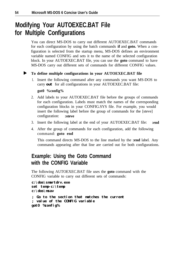## **Modifying Your AUTOEXEC.BAT File for Multiple Configurations**

You can direct MS-DOS to carry out different AUTOEXEC.BAT commands for each configuration by using the batch commands **if** and **goto.** When a configuration is selected from the startup menu, MS-DOS defines an environment variable named CONFIG and sets it to the name of the selected configuration block. In your AUTOEXEC.BAT file, you can use the **goto** command to have MS-DOS carry out different sets of commands for different CONFIG values.

#### **To define multiple configurations in your AUTOEXEC.BAT file**

1. Insert the following command after any commands you want MS-DOS to carry **out** for all configurations in your AUTOEXEC.BAT file:

#### **got0 %config%**

- 2. Add labels to your AUTOEXEC.BAT file before the groups of commands for each configuration. Labels must match the names of the corresponding configuration blocks in your CONFIG.SYS file. For example, you would insert the following label before the group of commands for the [steve] configuration: **:steve**
- 3. Insert the following label at the end of your AUTOEXEC.BAT file: **:end**
- 4. After the group of commands for each configuration, add the following command: **goto end**

This command directs MS-DOS to the line marked by the **:end** label. Any commands appearing after that line are carried out for both configurations.

### **Example: Using the Goto Command with the CONFIG Variable**

The following AUTOEXEC.BAT file uses the **goto** command with the CONFIG variable to carry out different sets of commands:

```
c:\dos\smartdrv.exe
set temp-c:\temp
c:\dos\msav
; Go to the section that matches the current
; value of the CONFIG variable
got0 %config%
```
▶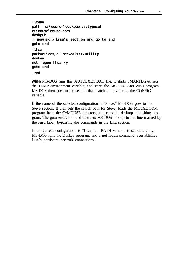```
:Steve
path c:\dos;c:\deskpub;c:\typeset
c:\mouse\mouse.com
deskpub
; now skip Lisa's section and go to end
goto end
:Lisa
path=c:\dos;c:\network;c:\utility
doskey
net logon lisa /y
goto end
:end
```
**When** MS-DOS runs this AUTOEXEC.BAT file, it starts SMARTDrive, sets the TEMP environment variable, and starts the MS-DOS Anti-Virus program. MS-DOS then goes to the section that matches the value of the CONFIG variable.

If the name of the selected configuration is "Steve," MS-DOS goes to the Steve section. It then sets the search path for Steve, loads the MOUSE.COM program from the C:\MOUSE directory, and runs the desktop publishing program. The goto **end** command instructs MS-DOS to skip to the line marked by the **:end** label, bypassing the commands in the Lisa section.

If the current configuration is "Lisa," the PATH variable is set differently, MS-DOS runs the Doskey program, and a **net logon** command reestablishes Lisa's persistent network connections.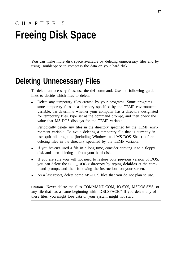# CHAPTER 5 **Freeing Disk Space**

You can make more disk space available by deleting unnecessary files and by using DoubleSpace to compress the data on your hard disk.

## **Deleting Unnecessary Files**

To delete unnecessary files, use the **del** command. Use the following guidelines to decide which files to delete:

<sup>n</sup> Delete any temporary files created by your programs. Some programs store temporary files in a directory specified by the TEMP environment variable. To determine whether your computer has a directory designated for temporary files, type set at the command prompt, and then check the value that MS-DOS displays for the TEMP variable.

Periodically delete any files in the directory specified by the TEMP environment variable. To avoid deleting a temporary file that is currently in use, quit all programs (including Windows and MS-DOS Shell) before deleting files in the directory specified by the TEMP variable.

- <sup>n</sup> If you haven't used a file in a long time, consider copying it to a floppy disk and then deleting it from your hard disk.
- <sup>n</sup> If you are sure you will not need to restore your previous version of DOS, you can delete the OLD\_DOG.x directory by typing **deloldos** at the command prompt, and then following the instructions on your screen.
- As a last resort, delete some MS-DOS files that you do not plan to use.

**Caution** Never delete the files COMMAND.COM, IO.SYS, MSDOS.SYS, or any file that has a name beginning with "DBLSPACE." If you delete any of these files, you might lose data or your system might not start.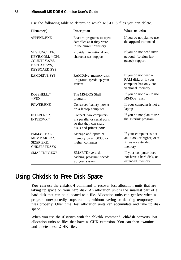| Filename(s)                                                                             | <b>Description</b>                                                                                         | When to delete                                                                             |
|-----------------------------------------------------------------------------------------|------------------------------------------------------------------------------------------------------------|--------------------------------------------------------------------------------------------|
| <b>APPEND.EXE</b>                                                                       | Enables programs to open<br>data files as if they were<br>in the current directory                         | If you do not plan to use<br>the append command                                            |
| NLSFUNC.EXE,<br>KEYB.COM, *.CPI,<br>COUNTRY.SYS.<br>DISPLAY.SYS,<br><b>KEYBOARD.SYS</b> | Provide international and<br>character-set support                                                         | If you do not need inter-<br>national (foreign lan-<br>guage) support                      |
| RAMDRIVE.SYS                                                                            | RAMDrive memory-disk<br>program; speeds up your<br>system                                                  | If you do not need a<br>RAM disk, or if your<br>computer has only con-<br>ventional memory |
| DOSSHELL.*<br>*.VID                                                                     | The MS-DOS Shell<br>program.                                                                               | If you do not plan to use<br>MS-DOS Shell                                                  |
| POWER EXE                                                                               | Conserves battery power<br>on a laptop computer                                                            | If your computer is not a<br>laptop                                                        |
| INTERLNK.*,<br><b>INTERSVR.*</b>                                                        | Connect two computers<br>via parallel or serial ports<br>so that they can share<br>disks and printer ports | If you do not plan to use<br>the Interlnk program                                          |
| EMM386.EXE,<br>MEMMAKER.*,<br>SIZER.EXE,<br>CHKSTATE.SYS                                | Manage and optimize<br>memory on an 80386 or<br>higher computer                                            | If your computer is not<br>an 80386 or higher, or if<br>it has no extended<br>memory       |
| SMARTDRV.EXE                                                                            | SMARTDrive disk-<br>caching program; speeds<br>up your system                                              | If your computer does<br>not have a hard disk, or<br>extended memory                       |

Use the following table to determine which MS-DOS files you can delete.

## **Using Chkdsk to Free Disk Space**

You can use the chkdsk /f command to recover lost allocation units that are taking up space on your hard disk. An allocation unit is the smallest part of a hard disk that can be allocated to a file. Allocation units can get lost when a program unexpectedly stops running without saving or deleting temporary files properly. Over time, lost allocation units can accumulate and take up disk space.

When you use the **/f** switch with the **chkdsk** command, **chkdsk** converts lost allocation units to files that have a .CHK extension. You can then examine and delete these .CHK files.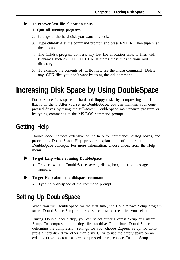#### $\blacktriangleright$ **To recover lost file allocation units**

- 1. Quit all running programs.
- 2. Change to the hard disk you want to check.
- **3.** Type **chkdsk /f** at the command prompt, and press ENTER. Then type Y at the prompt.
- 4. The Chkdsk program converts any lost file allocation units to files with filenames such as FILE0000.CHK. It stores these files in your root directory.
- 5. To examine the contents of .CHK files, use the **more** command. Delete any .CHK files you don't want by using the **del** command.

# **Increasing Disk Space by Using DoubleSpace**

DoubleSpace frees space on hard and floppy disks by compressing the data that is on them. After you set up DoubleSpace, you can maintain your compressed drives by using the full-screen DoubleSpace maintenance program or by typing commands at the MS-DOS command prompt.

### **Getting Help**

DoubleSpace includes extensive online help for commands, dialog boxes, and procedures. DoubleSpace Help provides explanations of important DoubleSpace concepts. For more information, choose Index from the Help menu.

#### $\blacktriangleright$ **To get Help while running DoubleSpace**

- Press F1 when a DoubleSpace screen, dialog box, or error message appears.
- **To get Help about the dblspace command**
	- <sup>l</sup> Type **help dblspace** at the command prompt.

### **Setting Up DoubleSpace**

When you run DoubleSpace for the first time, the DoubleSpace Setup program starts. DoubleSpace Setup compresses the data on the drive you select.

During DoubleSpace Setup, you can select either Express Setup or Custom Setup. To compress the existing files **on** drive C and have DoubleSpace determine the compression settings for you, choose Express Setup. To compress a hard disk drive other than drive C, or to use the empty space on an existing drive to create a new compressed drive, choose Custom Setup.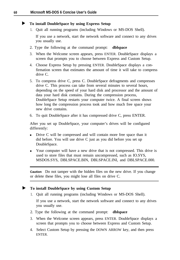#### **To install DoubleSpace by using Express Setup**

1. Quit all running programs (including Windows or MS-DOS Shell).

If you use a network, start the network software and connect to any drives you usually use.

- 2. Type the following at the command prompt: **dblspace**
- 3. When the Welcome screen appears, press ENTER. DoubleSpace displays a screen that prompts you to choose between Express and Custom Setup.
- 4. Choose Express Setup by pressing ENTER. DoubleSpace displays a confirmation screen that estimates the amount of time it will take to compress drive C.
- 5. To compress drive C, press C. DoubleSpace defragments and compresses drive C. This process can take from several minutes to several hours, depending on the speed of your hard disk and processor and the amount of data your hard disk contains. During the compression process, DoubleSpace Setup restarts your computer twice. A final screen shows how long the compression process took and how much free space your new drive contains.
- 6. To quit DoubleSpace after it has compressed drive C, press ENTER.

After you set up DoubleSpace, your computer's drives will be configured differently:

- Drive C will be compressed and will contain more free space than it did before. You will use drive C just as you did before you set up DoubleSpace.
- <sup>n</sup> Your computer will have a new drive that is not compressed. This drive is used to store files that must remain uncompressed, such as IO.SYS, MSDOS.SYS, DBLSPACE.BIN, DBLSPACE.INI, and DBLSPACE.000.

**Caution** Do not tamper with the hidden files on the new drive. If you change or delete these files, you might lose all files on drive C.

#### **To install DoubleSpace by using Custom Setup**

1. Quit all running programs (including Windows or MS-DOS Shell).

If you use a network, start the network software and connect to any drives you usually use.

- 2. Type the following at the command prompt: **dblspace**
- 3. When the Welcome screen appears, press ENTER. DoubleSpace displays a screen that prompts you to choose between Express and Custom Setup.
- 4. Select Custom Setup by pressing the DOWN ARROW key, and then press ENTER.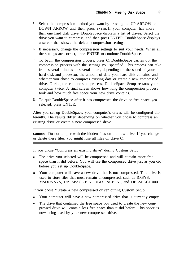- 5. Select the compression method you want by pressing the UP ARROW or DOWN ARROW and then press ENTER. If your computer has more than one hard disk drive, DoubleSpace displays a list of drives. Select the drive you want to compress, and then press ENTER. DoubleSpace displays a screen that shows the default compression settings.
- 6. If necessary, change the compression settings to suit your needs. When all the settings are correct, press ENTER to continue DoubleSpace.
- 7. To begin the compression process, press C. DoubleSpace carries out the compression process with the settings you specified. This process can take from several minutes to several hours, depending on the speed of your hard disk and processor, the amount of data your hard disk contains, and whether you chose to compress existing data or create a new compressed drive. During the compression process, DoubleSpace Setup restarts your computer twice. A final screen shows how long the compression process took and how much free space your new drive contains.
- 8. To quit DoubleSpace after it has compressed the drive or free space you selected, press ENTER.

After you set up DoubleSpace, your computer's drives will be configured differently. The results differ, depending on whether you chose to compress an existing drive or create a new compressed drive.

**Caution** Do not tamper with the hidden files on the new drive. If you change or delete these files, you might lose all files on drive C.

If you chose "Compress an existing drive" during Custom Setup:

- The drive you selected will be compressed and will contain more free space than it did before. You will use the compressed drive just as you did before you set up DoubleSpace.
- <sup>n</sup> Your computer will have a new drive that is not compressed. This drive is used to store files that must remain uncompressed, such as IO.SYS, MSDOS.SYS, DBLSPACE.BIN, DBLSPACE.INI, and DBLSPACE.000.

If you chose "Create a new compressed drive" during Custom Setup:

- Your computer will have a new compressed drive that is currently empty.
- <sup>n</sup> The drive that contained the free space you used to create the new compressed drive will contain less free space than it did before. This space is now being used by your new compressed drive.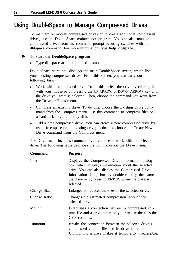## **Using DoubleSpace to Manage Compressed Drives**

To maintain or modify compressed drives or to create additional compressed drives, use the DoubleSpace maintenance program. You can also manage compressed drives from the command prompt by using switches with the **dblspace** command. For more information, type **help dblspace.**

### **To start the DoubleSpace program**

<sup>l</sup> Type **dblspace** at the command prompt.

DoubleSpace starts and displays the main DoubleSpace screen, which lists your existing compressed drives. From this screen, you can carry out the following tasks:

- Work with a compressed drive. To do this, select the drive by clicking it with your mouse or by pressing the UP ARROW or DOWN ARROW key until the drive you want is selected. Then, choose the command you want from the Drive or Tools menu.
- <sup>n</sup> Compress an existing drive. To do this, choose the Existing Drive command from the Compress menu. Use this command to compress files on a hard disk drive or floppy disk.
- <sup>n</sup> Add a new compressed drive. You can create a new compressed drive by using free space on an existing drive; to do this, choose the Create New Drive command from the Compress menu.

The Drive menu includes commands you can use to work with the selected drive. The following table describes the commands on the Drive menu.

| <b>Command</b> | <b>Purpose</b>                                                                                                                                                                                                                                                                        |  |
|----------------|---------------------------------------------------------------------------------------------------------------------------------------------------------------------------------------------------------------------------------------------------------------------------------------|--|
| Info           | Displays the Compressed Drive Information dialog<br>box, which displays information about the selected<br>drive. You can also display the Compressed Drive<br>Information dialog box by double-clicking the name of<br>the drive or by pressing ENTER, when the drive is<br>selected. |  |
| Change Size    | Enlarges or reduces the size of the selected drive.                                                                                                                                                                                                                                   |  |
| Change Ratio   | Changes the estimated compression ratio of the<br>selected drive.                                                                                                                                                                                                                     |  |
| Mount          | Establishes a connection between a compressed vol-<br>ume file and a drive letter, so you can use the files the<br>CVF contains.                                                                                                                                                      |  |
| Unmount        | Breaks the connection between the selected drive's<br>compressed volume file and its drive letter.<br>Unmounting a drive makes it temporarily inaccessible.                                                                                                                           |  |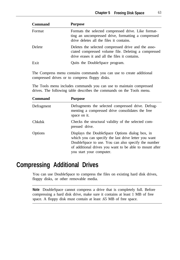| <b>Command</b> | <b>Purpose</b>                                                                                                                                                |
|----------------|---------------------------------------------------------------------------------------------------------------------------------------------------------------|
| Format         | Formats the selected compressed drive. Like format-<br>ting an uncompressed drive, formatting a compressed<br>drive deletes all the files it contains.        |
| Delete         | Deletes the selected compressed drive and the asso-<br>ciated compressed volume file. Deleting a compressed<br>drive erases it and all the files it contains. |
| Exit           | Quits the DoubleSpace program.                                                                                                                                |

The Compress menu contains commands you can use to create additional compressed drives or to compress floppy disks.

The Tools menu includes commands you can use to maintain compressed drives. The following table describes the commands on the Tools menu.

| <b>Command</b> | <b>Purpose</b>                                                                                                                                                                                                                                        |
|----------------|-------------------------------------------------------------------------------------------------------------------------------------------------------------------------------------------------------------------------------------------------------|
| Defragment     | Defragments the selected compressed drive. Defrag-<br>menting a compressed drive consolidates the free<br>space on it.                                                                                                                                |
| Chkdsk         | Checks the structural validity of the selected com-<br>pressed drive.                                                                                                                                                                                 |
| <b>Options</b> | Displays the DoubleSpace Options dialog box, in<br>which you can specify the last drive letter you want<br>DoubleSpace to use. You can also specify the number<br>of additional drives you want to be able to mount after<br>you start your computer. |

## **Compressing Additional Drives**

You can use DoubleSpace to compress the files on existing hard disk drives, floppy disks, or other removable media.

**Note** DoubleSpace cannot compress a drive that is completely full. Before compressing a hard disk drive, make sure it contains at least 1 MB of free space. A floppy disk must contain at least .65 MB of free space.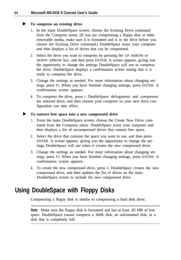### **To compress an existing drive**

- 1. In the main DoubleSpace screen, choose the Existing Drive command from the Compress menu. (If you are compressing a floppy disk or other removable media, make sure it is formatted and is in the drive before you choose the Existing Drive command.) DoubleSpace scans your computer and then displays a list of drives that can be compressed.
- 2. Select the drive you want to compress by pressing the UP ARROW or DOWN ARROW key, and then press ENTER. A screen appears, giving you the opportunity to change the settings DoubleSpace will use to compress the drive. DoubleSpace displays a confirmation screen stating that it is ready to compress the drive.
- 3. Change the settings as needed. For more information about changing settings, press F1. When you have finished changing settings, press ENTER. A confirmation screen appears.
- 4. To compress the drive, press C. DoubleSpace defragments and compresses the selected drive, and then restarts your computer so your new drive configuration can take effect.

### **To convert free space into a new compressed drive**

- 1. From the main DoubleSpace screen, choose the Create New Drive command from the Compress menu. DoubleSpace scans your computer and then displays a list of uncompressed drives that contain free space.
- 2. Select the drive that contains the space you want to use, and then press ENTER. A screen appears, giving you the opportunity to change the settings DoubleSpace will use when it creates the new compressed drive.
- 3. Change the settings as needed. For more information about changing settings, press F1. When you have finished changing settings, press ENTER. A confirmation screen appears.
- 4. To create the new compressed drive, press C. DoubleSpace creates the new compressed drive, and then updates the list of drives on the main DoubleSpace screen to include the new compressed drive.

## **Using DoubleSpace with Floppy Disks**

Compressing a floppy disk is similar to compressing a hard disk drive.

**Note** Make sure the floppy disk is formatted and has at least .65 MB of free space. DoubleSpace cannot compress a 360K disk, an unformatted disk, or a disk that is completely full.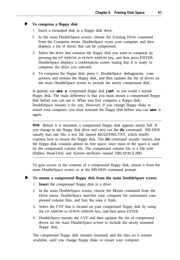#### ▶ **To compress a floppy disk**

- 1. Insert a formatted disk in a floppy disk drive.
- 2. In the main DoubleSpace screen, choose the Existing Drive command from the Compress menu. DoubleSpace scans your computer and then displays a list of drives that can be compressed.
- 3. Select the drive that contains the floppy disk you want to compress by pressing the UP ARROW or DOWN ARROW key, and then press ENTER. DoubleSpace displays a confirmation screen stating that it is ready to compress the drive you selected.
- 4. To compress the floppy disk, press C. DoubleSpace defragments, compresses, and mounts the floppy disk, and then updates the list of drives on the main DoubleSpace screen to include the newly compressed disk.

In general, you **use a** compressed floppy disk **just** as you would a normal floppy disk. The main difference is that you must mount a compressed floppy disk before you can use it. When you first compress a floppy disk, DoubleSpace mounts it for you. However, if you change floppy disks or restart your computer, you must remount the floppy disk before you can **use** it again.

**Note** Before it is mounted, a compressed floppy disk appears nearly full. If you change to the floppy disk drive and carry out the **dir** command, MS-DOS usually lists one file: a text file named READTHIS.TXT, which briefly explains how to mount the floppy disk. The **dir** command usually reports that the floppy disk contains almost no free space, since most of the space is used by the compressed volume file. The compressed volume file is a file with Hidden, Read-Only and System attributes named DBLSPACE.000.

To gain access to the contents of a compressed floppy disk, mount it from the main DoubleSpace screen or at the MS-DOS command prompt.

### **To mount a compressed floppy disk from the main DoubleSpace screen**

- 1. **Insert** the compressed floppy disk in a drive.
- 2. In the main DoubleSpace screen, choose the Mount command from the Drive menu. DoubleSpace searches your computer for unmounted compressed volume files, and lists the ones it finds.
- 3. Select the CVF that is located on your compressed floppy disk by using the UP ARROW or DOWN ARROW key, and then press ENTER.
- 4. DoubleSpace mounts the CVF and then updates the list of compressed drives on the main DoubleSpace screen to include the newly mounted floppy disk.

The compressed floppy disk remains mounted, and the files on it remain available, until you change floppy disks or restart your computer.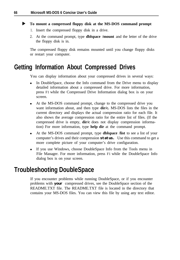#### ▶ **To mount a compressed floppy disk at the MS-DOS command prompt**

- 1. Insert the compressed floppy disk in a drive.
- 2. At the command prompt, type **dblspace /mount** and the letter of the drive the floppy disk is in.

The compressed floppy disk remains mounted until you change floppy disks or restart your computer.

## **Getting Information About Compressed Drives**

You can display information about your compressed drives in several ways:

- <sup>n</sup> In DoubleSpace, choose the Info command from the Drive menu to display detailed information about a compressed drive. For more information, press F1 while the Compressed Drive Information dialog box is on your screen.
- <sup>n</sup> At the MS-DOS command prompt, change to the compressed drive you want information about, and then type **dir/c.** MS-DOS lists the files in the current directory and displays the actual compression ratio for each file. It also shows the average compression ratio for the entire list of files. (If the compressed drive is empty, **dir/c** does not display compression information) For more information, type **help dir** at the command prompt.
- <sup>n</sup> At the MS-DOS command prompt, type **dblspace /list** to see a list of your computer's drives and their compression **status.** Use this command to get a more complete picture of your computer's drive configuration.
- <sup>n</sup> If you use Windows, choose DoubleSpace Info from the Tools menu in File Manager. For more information, press F1 while the DoubleSpace Info dialog box is on your screen.

## **Troubleshooting DoubleSpace**

If you encounter problems while running DoubleSpace, or if you encounter problems with **your** compressed drives, see the DoubleSpace section of the README.TXT file. The README.TXT file is located in the directory that contains your MS-DOS files. You can view this file by using any text editor.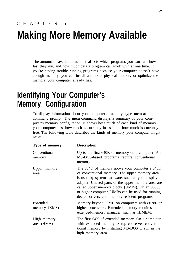# CHAPTER 6 **Making More Memory Available**

The amount of available memory affects which programs you can run, how fast they run, and how much data a program can work with at one time. If you're having trouble running programs because your computer doesn't have enough memory, you can install additional physical memory or optimize the memory your computer already has.

# **Identifying Your Computer's Memory Configuration**

To display information about your computer's memory, type **mem** at the command prompt. The **mem** command displays a summary of your computer's memory configuration. It shows how much of each kind of memory your computer has, how much is currently in use, and how much is currently free. The following table describes the kinds of memory your computer might have:

| Type of memory            | <b>Description</b>                                                                                                                                                                                                                                                                                                                                             |
|---------------------------|----------------------------------------------------------------------------------------------------------------------------------------------------------------------------------------------------------------------------------------------------------------------------------------------------------------------------------------------------------------|
| Conventional<br>memory    | Up to the first 640K of memory on a computer. All<br>MS-DOS-based programs require conventional<br>memory.                                                                                                                                                                                                                                                     |
| Upper memory<br>area      | The 384K of memory above your computer's 640K<br>of conventional memory. The upper memory area<br>is used by system hardware, such as your display<br>adapter. Unused parts of the upper memory area are<br>called upper memory blocks (UMBs). On an 80386<br>or higher computer, UMBs can be used for running<br>device drivers and memory-resident programs. |
| Extended<br>memory (XMS)  | Memory beyond 1 MB on computers with 80286 or<br>higher processors. Extended memory requires an<br>extended-memory manager, such as HIMEM.                                                                                                                                                                                                                     |
| High memory<br>area (HMA) | The first 64K of extended memory. On a computer<br>with extended memory, Setup conserves conven-<br>tional memory by installing MS-DOS to run in the<br>high memory area.                                                                                                                                                                                      |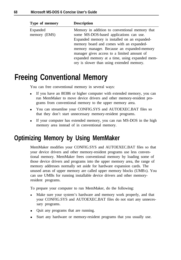| Type of memory           | <b>Description</b>                                                                                                                          |
|--------------------------|---------------------------------------------------------------------------------------------------------------------------------------------|
| Expanded<br>memory (EMS) | Memory in addition to conventional memory that<br>some MS-DOS-based applications can use.                                                   |
|                          | Expanded memory is installed on an expanded-<br>memory board and comes with an expanded-                                                    |
|                          | memory manager. Because an expanded-memory<br>manager gives access to a limited amount of<br>expanded memory at a time, using expanded mem- |
|                          | ory is slower than using extended memory.                                                                                                   |

# **Freeing Conventional Memory**

You can free conventional memory in several ways:

- <sup>n</sup> If you have an 80386 or higher computer with extended memory, you can run MemMaker to move device drivers and other memory-resident programs from conventional memory to the upper memory area.
- <sup>n</sup> You can streamline your CONFIG.SYS and AUTOEXEC.BAT files so that they don't start unnecessary memory-resident programs.
- <sup>n</sup> If your computer has extended memory, you can run MS-DOS in the high memory area instead of in conventional memory.

## **Optimizing Memory by Using MemMaker**

MemMaker modifies your CONFIG.SYS and AUTOEXEC.BAT files so that your device drivers and other memory-resident programs use less conventional memory. MemMaker frees conventional memory by loading some of those device drivers and programs into the upper memory area, the range of memory addresses normally set aside for hardware expansion cards. The unused areas of upper memory are called upper memory blocks (UMBS). You can use UMBs for running installable device drivers and other memoryresident programs.

To prepare your computer to run MemMaker, do the following:

- Make sure your system's hardware and memory work properly, and that your CONFIG.SYS and AUTOEXEC.BAT files do not start any unnecessary programs.
- Quit any programs that are running.
- <sup>n</sup> Start any hardware or memory-resident programs that you usually use.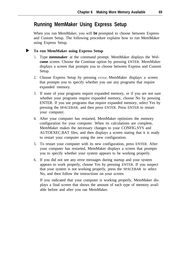## **Running MemMaker Using Express Setup**

When you run MemMaker, you will **be** prompted to choose between Express and Custom Setup. The following procedure explains how to run MemMaker using Express Setup.

## **To run MemMaker using Express Setup**

- 1. Type **memmaker** at the command prompt. MemMaker displays the Wel**come** screen. Choose the Continue option by pressing ENTER. MemMaker displays a screen that prompts you to choose between Express and Custom Setup.
- 2. Choose Express Setup by pressing ENTER. MemMaker displays a screen that prompts you to specify whether you use any programs that require expanded memory.
- 3. If none of your programs require expanded memory, or if you are not sure whether your programs require expanded memory, choose No by pressing ENTER. If you use programs that require expanded memory, select Yes by pressing the SPACEBAR, and then press ENTER. Press ENTER to restart your computer.
- 4. After your computer has restarted, MemMaker optimizes the memory configuration for your computer. When its calculations are complete, MemMaker makes the necessary changes to your CONFIG.SYS and AUTOEXEC.BAT files, and then displays a screen stating that it is ready to restart your computer using the new configuration.
- 5. To restart your computer with its new configuration, press ENTER. After your computer has restarted, MemMaker displays a screen that prompts you to specify whether your system appears to be working properly.
- 6. If you did not see any error messages during startup and your system appears to work properly, choose Yes by pressing ENTER. If you suspect that your system is not working properly, press the SPACEBAR to select No, and then follow the instructions on your screen.

If you indicated that your computer is working properly, MemMaker displays a final screen that shows the amount of each type of memory available before and after you ran MemMaker.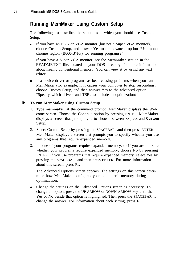## **Running MemMaker Using Custom Setup**

The following list describes the situations in which you should use Custom Setup.

<sup>n</sup> If you have an EGA or VGA monitor (but not a Super VGA monitor), choose Custom Setup, and answer Yes to the advanced option "Use monochrome region (B000-B7FF) for running programs?"

If you have a Super VGA monitor, see the MemMaker section in the README.TXT file, located in your DOS directory, for more information about freeing conventional memory. You can view it by using any text editor.

<sup>n</sup> If a device driver or program has been causing problems when you run MemMaker (for example, if it causes your computer to stop responding), choose Custom Setup, and then answer Yes to the advanced option "Specify which drivers and TSRs to include in optimization?"

### **To run MemMaker using Custom Setup**

- 1. Type **memmaker** at the command prompt. MemMaker displays the Welcome screen. Choose the Continue option by pressing ENTER. MemMaker displays a screen that prompts you to choose between Express and **Custom** Setup.
- 2. Select Custom Setup by pressing the SPACEBAR, and then press ENTER. MemMaker displays a screen that prompts you to specify whether you use any programs that require expanded memory.
- 3. If none of your programs require expanded memory, or if you are not sure whether your programs require expanded memory, choose No by pressing ENTER. If you use programs that require expanded memory, select Yes by pressing the SPACEBAR, and then press ENTER. For more information about this screen, press F1.

The Advanced Options screen appears. The settings on this screen determine how MemMaker configures your computer's memory during optimization.

4. Change the settings on the Advanced Options screen as necessary. To change an option, press the UP ARROW or DOWN ARROW key until the Yes or No beside that option is highlighted. Then press the SPACEBAR to change the answer. For information about each setting, press F1.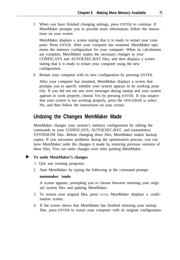5. When you have finished changing settings, press ENTER to continue. If MemMaker prompts you to provide more information, follow the instructions on your screen.

MemMaker displays a screen stating that it is ready to restart your computer. Press ENTER. After your computer has restarted, MemMaker optimizes the memory configuration for your computer. When its calculations are complete, MemMaker makes the necessary changes to your CONFIG.SYS and AUTOEXEC.BAT files, and then displays a screen stating that it is ready to restart your computer using the new configuration.

6. Restart your computer with its new configuration by pressing ENTER.

After your computer has restarted, MemMaker displays a screen that prompts you to specify whether your system appears to be working properly. If you did not see any error messages during startup and your system appears to work properly, choose Yes by pressing ENTER. If you suspect that your system is not working properly, press the SPACEBAR to select No, and then follow the instructions on your screen.

## **Undoing the Changes MemMaker Made**

MemMaker changes your system's memory configuration by editing the commands in your CONFIG.SYS, AUTOEXEC.BAT, and (sometimes) SYSTEM.INI files. Before changing these files, MemMaker makes backup copies. If you encounter problems during the optimization process, you can have MemMaker undo the changes it made by restoring previous versions of these files. You can undo changes even after quitting MemMaker.

#### ▶ **To undo MemMaker's changes**

- 1. Quit any running programs.
- 2. Start MemMaker by typing the following at the command prompt:

### **memmaker /undo**

A screen appears, prompting you to choose between restoring your original system files and quitting MemMaker.

- 3. To restore your original files, press ENTER. MemMaker displays a confirmation screen.
- 4. If the screen shows that MemMaker has finished restoring your startup files. press ENTER to restart your computer with its original configuration.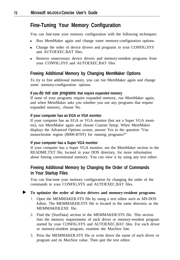## **Fine-Tuning Your Memory Configuration**

You can fine-tune your memory configuration with the following techniques:

- <sup>n</sup> Run MemMaker again and change some memory-configuration options.
- <sup>n</sup> Change the order of device drivers and programs in your CONFIG.SYS and AUTOEXEC.BAT files.
- <sup>n</sup> Remove unnecessary device drivers and memory-resident programs from your CONFIG.SYS and AUTOEXEC.BAT files.

## **Freeing Additional Memory by Changing MemMaker Options**

To try to free additional memory, you can run MemMaker again and change some memory-configuration options.

## **If you do not use programs that require expanded memory**

If none of your programs require expanded memory, run MemMaker again, and when MemMaker asks you whether you use any programs that require expanded memory, choose No.

### **If your computer has an EGA or VGA monitor**

If your computer has an EGA or VGA monitor (but not a Super VGA monitor), run MemMaker again and choose Custom Setup. When MemMaker displays the Advanced Options screen, answer Yes to the question "Use monochrome region (B000-B7FF) for running programs?"

### **If your computer has a Super VGA monitor**

If your computer has a Super VGA monitor, see the MemMaker section in the README.TXT file, located in your DOS directory, for more information about freeing conventional memory. You can view it by using any text editor.

## **Freeing Additional Memory by Changing the Order of Commands in Your Startup Files**

You can fine-tune your memory configuration by changing the order of the commands in your CONFIG.SYS and AUTOEXEC.BAT files.

### **To optimize the order of device drivers and memory-resident programs**

- 1. Open the MEMMAKER.STS file by using a text editor such as MS-DOS Editor. The MEMMAKER.STS file is located in the same directory as the MEMMAKER.EXE file.
- 2. Find the [SizeData] section in the MEMMAKER.STS file. This section lists the memory requirements of each driver or memory-resident program started by your CONFIG.SYS and AUTOEXEC.BAT files. For each driver or memory-resident program, examine the MaxSize line.
- 3. Print the MEMMAKER.STS file or write down the name of each driver or program and its MaxSize value. Then quit the text editor.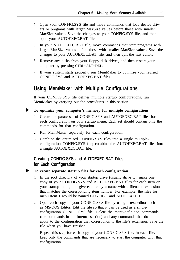- 4. Open your CONFIG.SYS file and move commands that load device drivers or programs with larger MaxSize values before those with smaller MaxSize values. Save the changes to your CONFIG.SYS file, and then open your AUTOEXEC.BAT file.
- 5. In your AUTOEXEC.BAT file, move commands that start programs with larger MaxSize values before those with smaller MaxSize values. Save the changes to your AUTOEXEC.BAT file, and then quit the text editor.
- 6. Remove any disks from your floppy disk drives, and then restart your computer by pressing CTRL+ALT+DEL.
- 7. If your system starts properly, run MemMaker to optimize your revised CONFIG.SYS and AUTOEXEC.BAT files.

## **Using MemMaker with Multiple Configurations**

If your CONFIG.SYS file defines multiple startup configurations, run MemMaker by carrying out the procedures in this section.

#### ▶ **To optimize your computer's memory for multiple configurations**

- 1. Create a separate set of CONFIG.SYS and AUTOEXEC.BAT files for each configuration on your startup menu. Each set should contain only the commands for that configuration.
- 2. Run MemMaker separately for each configuration.
- 3. Combine the optimized CONFIG.SYS files into a single multipleconfiguration CONFIG.SYS file; combine the AUTOEXEC.BAT files into a single AUTOEXEC.BAT file.

## **Creating CONFIG.SYS and AUTOEXEC.BAT Files for Each Configuration**

- $\blacktriangleright$ **To create separate startup files for each configuration**
	- 1. In the root directory of your startup drive (usually drive C), make one copy of your CONFIG.SYS and AUTOEXEC.BAT files for each item on your startup menu, and give each copy a name with a filename extension that matches the corresponding item number. For example, the files for menu item 1 would be named CONFIG.1 and AUTOEXEC.1.
	- 2. Open each copy of your CONFIG.SYS file by using a text editor such as MS-DOS Editor. Edit the file so that it can be used as a singleconfiguration CONFIG.SYS file. Delete the menu-definition commands (the commands in the **[menu]** section) and any commands that do not apply to the configuration that corresponds to the file's extension. Save the file when you have finished.

Repeat this step for each copy of your CONFIG.SYS file. In each file, keep only the commands that are necessary to start the computer with that configuration.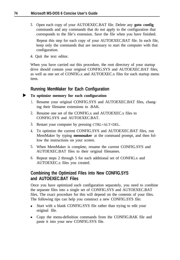3. Open each copy of your AUTOEXEC.BAT file. Delete any **goto config** commands and any commands that do not apply to the configuration that corresponds to the file's extension. Save the file when you have finished.

Repeat this step for each copy of your AUTOEXEC.BAT file. In each file, keep only the commands that are necessary to start the computer with that configuration.

4. Quit the text editor.

When you have carried out this procedure, the root directory of your startup drive should contain your original CONFIG.SYS and AUTOEXEC.BAT files, as well as one set of CONFIG.x and AUTOEXEC.x files for each startup menu item.

## **Running MemMaker for Each Configuration**

## **To optimize memory for each configuration**

- 1. Rename your original CONFIG.SYS and AUTOEXEC.BAT files, changing their filename extensions to .BAK.
- 2. Rename one set of the CONFIG.x and AUTOEXEC.x files to CONFIG.SYS and AUTOEXEC.BAT.
- 3. Restart your computer by pressing CTRL+ALT+DEL.
- 4. To optimize the current CONFIG.SYS and AUTOEXEC.BAT files, run MemMaker by typing **memmaker** at the command prompt, and then follow the instructions on your screen.
- 5. When MemMaker is complete, rename the current CONFIG.SYS and AUTOEXEC.BAT files to their original filenames.
- 6. Repeat steps 2 through 5 for each additional set of CONFIG.x and AUTOEXEC.x files you created.

## **Combining the Optimized Files into New CONFIG.SYS and AUTOEXEC.BAT Files**

Once you have optimized each configuration separately, you need to combine the separate files into a single set of CONFIG.SYS and AUTOEXEC.BAT files. The exact procedure for this will depend on the contents of your files. The following tips can help you construct a new CONFIG.SYS file:

- Start with a blank CONFIG.SYS file rather than trying to edit your original file.
- <sup>n</sup> Copy the menu-definition commands from the CONFIG.BAK file and paste it into your new CONFIG.SYS file.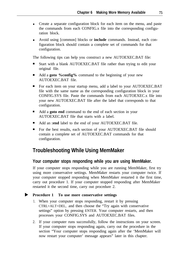- <sup>n</sup> Create a separate configuration block for each item on the menu, and paste the commands from each CONFIG.x file into the corresponding configuration block.
- <sup>n</sup> Avoid using [common] blocks or **include** commands. Instead, each configuration block should contain a complete set of commands for that configuration.

The following tips can help you construct a new AUTOEXEC.BAT file:

- Start with a blank AUTOEXEC.BAT file rather than trying to edit your original file.
- Add a **goto %config%** command to the beginning of your new AUTOEXEC.BAT file.
- For each item on your startup menu, add a label to your AUTOEXEC.BAT file with the same name as the corresponding configuration block in your CONFIG.SYS file. Paste the commands from each AUTOEXEC.x file into your new AUTOEXEC.BAT file after the label that corresponds to that configuration.
- Add a **goto end** command to the end of each section in your AUTOEXEC.BAT file that starts with a label.
- Add an **:end** label to the end of your AUTOEXEC.BAT file.
- For the best results, each section of your AUTOEXEC.BAT file should contain a complete set of AUTOEXEC.BAT commands for that configuration.

## **Troubleshooting While Using MemMaker**

## **Your computer stops responding while you are using MemMaker.**

If your computer stops responding while you are running MemMaker, first try using more conservative settings. MemMaker restarts your computer twice. If your computer stopped responding when MemMaker restarted it the first time, carry out procedure 1. If your computer stopped responding after MemMaker restarted it the second time, carry out procedure 2.

#### ▶. **Procedure 1 To use more conservative settings**

- 1. When your computer stops responding, restart it by pressing CTRL+ALT+DEL, and then choose the "Try again with conservative settings" option by pressing ENTER. Your computer restarts, and then processes your CONFIG.SYS and AUTOEXEC.BAT files.
- 2. If your computer runs successfully, follow the instructions on your screen. If your computer stops responding again, carry out the procedure in the section "Your computer stops responding again after the 'MemMaker will now restart your computer' message appears" later in this chapter.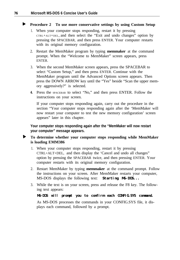### **Procedure 2 To use more conservative settings by using Custom Setup**

- 1. When your computer stops responding, restart it by pressing CTRL+ALT+DEL, and then select the "Exit and undo changes" option by pressing the SPACEBAR, and then press ENTER. Your computer restarts with its original memory configuration.
- 2. Restart the MemMaker program by typing **memmaker** at the command prompt. When the "Welcome to MemMaker" screen appears, press ENTER.
- 3. When the second MemMaker screen appears, press the SPACEBAR to select "Custom Setup," and then press ENTER. Continue with the MemMaker program until the Advanced Options screen appears. Then press the DOWN ARROW key until the "Yes" beside "Scan the upper memory aggressively?" is selected.
- **4.** Press the SPACEBAR to select "No," and then press ENTER. Follow the instructions on your screen.

If your computer stops responding again, carry out the procedure in the section "Your computer stops responding again after the 'MemMaker will now restart your computer to test the new memory configuration' screen appears" later in this chapter.

**Your computer stops responding again after the "MemMaker will now restart your computer" message appears.**

## **To determine whether your computer stops responding while MemMaker is loading EMM386**

- 1. When your computer stops responding, restart it by pressing CTRL+ALT+DEL, and then display the 'Cancel and undo all changes" option by pressing the SPACEBAR twice, and then pressing ENTER. Your computer restarts with its original memory configuration.
- 2. Restart MemMaker by typing **memmaker** at the command prompt. Follow the instructions on your screen. After MemMaker restarts your computer, MS-DOS displays the following text: **Starting MS-DOS...**
- 3. While the text is on your screen, press and release the F8 key. The following text appears:

### **MS-DOS will prompt you to confirm each CONFIG.SYS command.**

As MS-DOS processes the commands in your CONFIG.SYS file, it displays each command, followed by a prompt.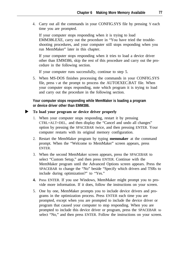4. Carry out all the commands in your CONFIG.SYS file by pressing Y each time you are prompted.

If your computer stops responding when it is trying to load EMM386.EXE, carry out the procedure in "You have tried the troubleshooting procedures, and your computer still stops responding when you run MemMaker" later in this chapter.

If your computer stops responding when it tries to load a device driver other than EMM386, skip the rest of this procedure and carry out the procedure in the following section.

If your computer runs successfully, continue to step 5.

5. When MS-DOS finishes processing the commands in your CONFIG.SYS file, press Y at the prompt to process the AUTOEXEC.BAT file. When your computer stops responding, note which program it is trying to load and carry out the procedure in the following section.

**Your computer stops responding while MemMaker is loading a program or device driver other than EMM386.**

### **To load your program or device driver properly**

- 1. When your computer stops responding, restart it by pressing CTRL+ALT+DEL, and then display the "Cancel and undo all changes" option by pressing the SPACEBAR twice, and then pressing ENTER. Your computer restarts with its original memory configuration.
- 2. Restart the MemMaker program by typing **memmaker** at the command prompt. When the "Welcome to MemMaker" screen appears, press ENTER.
- 3. When the second MemMaker screen appears, press the SPACEBAR to select "Custom Setup," and then press ENTER. Continue with the MemMaker program until the Advanced Options screen appears. Press the SPACEBAR to change the "No" beside "Specify which drivers and TSRs to include during optimization?" to "Yes."
- **4.** Press ENTER. If you use Windows, MemMaker might prompt you to provide more information. If it does, follow the instructions on your screen.
- 5. One by one, MemMaker prompts you to include device drivers and programs in the optimization process. Press ENTER each time you are prompted, except when you are prompted to include the device driver or program that caused your computer to stop responding. When you are prompted to include this device driver or program, press the SPACEBAR to select "No," and then press ENTER. Follow the instructions on your screen.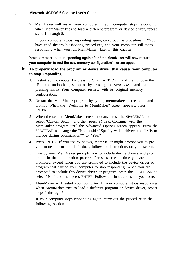6. MemMaker will restart your computer. If your computer stops responding when MemMaker tries to load a different program or device driver, repeat steps 1 through 5.

If your computer stops responding again, carry out the procedure in "You have tried the troubleshooting procedures, and your computer still stops responding when you run MemMaker" later in this chapter.

**Your computer stops responding again after "the MemMaker will now restart your computer to test the new memory configuration" screen appears.**

#### $\blacktriangleright$ **To properly load the program or device driver that causes your computer to stop responding**

- 1. Restart your computer by pressing CTRL+ALT+DEL, and then choose the "Exit and undo changes" option by pressing the SPACEBAR, and then pressing ENTER. Your computer restarts with its original memory configuration.
- 2. Restart the MemMaker program by typing **memmaker** at the command prompt. When the "Welcome to MemMaker" screen appears, press ENTER.
- 3. When the second MemMaker screen appears, press the SPACEBAR to select 'Custom Setup," and then press ENTER. Continue with the MemMaker program until the Advanced Options screen appears. Press the SPACEBAR to change the "No" beside "Specify which drivers and TSRs to include during optimization?" to "Yes."
- 4. Press ENTER. If you use Windows, MemMaker might prompt you to provide more information. If it does, follow the instructions on your screen.
- 5. One by one, MemMaker prompts you to include device drivers and programs in the optimization process. Press ENTER each time you are prompted, except when you are prompted to include the device driver or program that caused your computer to stop responding. When you are prompted to include this device driver or program, press the SPACEBAR to select "No," and then press ENTER. Follow the instructions on your screen.
- 6. MemMaker will restart your computer. If your computer stops responding when MemMaker tries to load a different program or device driver, repeat steps 1 through 5.

If your computer stops responding again, carry out the procedure in the following section.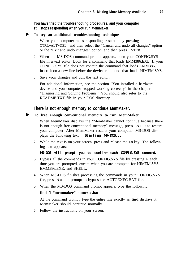**You have tried the troubleshooting procedures, and your computer still stops responding when you run MemMaker.**

#### $\blacktriangleright$ **To try an additional troubleshooting technique**

- 1. When your computer stops responding, restart it by pressing CTRL+ALT+DEL, and then select the "Cancel and undo all changes" option or the "Exit and undo changes" option, and then press ENTER.
- 2. When the MS-DOS command prompt appears, open your CONFIG.SYS file in a text editor. Look for a command that loads EMM386.EXE. If your CONFIG.SYS file does not contain the command that loads EMM386, insert it on a new line below the **device** command that loads HIMEM.SYS.
- 3. Save your changes and quit the text editor.

For additional information, see the section "You installed a hardware device and you computer stopped working correctly" in the chapter "Diagnosing and Solving Problems." You should also refer to the README.TXT file in your DOS directory.

### **There is not enough memory to continue MemMaker.**

### **To free enough conventional memory to run MemMaker**

- 1. When MemMaker displays the "MemMaker cannot continue because there is not enough free conventional memory" message, press ENTER to restart your computer. After MemMaker restarts your computer, MS-DOS displays the following text: **Starting MS-DOS...**
- 2. While the text is on your screen, press and release the F8 key. The following text appears:

### **MS-DOS will prompt you to confirm each CONFIG.SYS command.**

- 3. Bypass all the commands in your CONFIG.SYS file by pressing N each time you are prompted, except when you are prompted for HIMEM.SYS, EMM386.EXE, and SHELL.
- 4. When MS-DOS finishes processing the commands in your CONFIG.SYS file, press N at the prompt to bypass the AUTOEXEC.BAT file.
- 5. When the MS-DOS command prompt appears, type the following:

### **find /i "memmaker" autoexec.bat**

At the command prompt, type the entire line exactly as **find** displays it. MemMaker should continue normally.

6. Follow the instructions on your screen.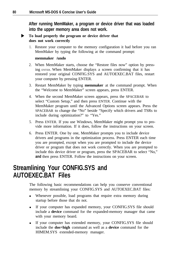**After running MemMaker, a program or device driver that was loaded into the upper memory area does not work.**

#### $\blacktriangleright$ **To load properly the program or device driver that does not work correctly**

1. Restore your computer to the memory configuration it had before you ran MemMaker by typing the following at the command prompt:

### **memmaker /undo**

- 2. When MemMaker starts, choose the "Restore files now" option by pressing ENTER. When MemMaker displays a screen confirming that it has restored your original CONFIG.SYS and AUTOEXEC.BAT files, restart your computer by pressing ENTER.
- 3. Restart MemMaker by typing **memmaker** at the command prompt. When the "Welcome to MemMaker" screen appears, press ENTER.
- 4. When the second MemMaker screen appears, press the SPACEBAR to select "Custom Setup," and then press ENTER. Continue with the MemMaker program until the Advanced Options screen appears. Press the SPACEBAR to change the "No" beside "Specify which drivers and TSRs to include during optimization?" to "Yes."
- 5. Press ENTER. If you use Windows, MemMaker might prompt you to provide more information. If it does, follow the instructions on your screen.
- 6. Press ENTER. One by one, MemMaker prompts you to include device drivers and programs in the optimization process. Press ENTER each time you are prompted, except when you are prompted to include the device driver or program that does not work correctly. When you are prompted to include this device driver or program, press the SPACEBAR to select "No," **and** then press ENTER. Follow the instructions on your screen.

## **Streamlining Your CONFIG.SYS and AUTOEXEC.BAT Files**

The following basic recommendations can help you conserve conventional memory by streamlining your CONFIG.SYS and AUTOEXEC.BAT files:

- <sup>n</sup> Whenever possible, load programs that require extra memory during startup before those that do not.
- <sup>n</sup> If your computer has expanded memory, your CONFIG.SYS file should include a **device** command for the expanded-memory manager that came with your memory board.
- <sup>n</sup> If your computer has extended memory, your CONFIG.SYS file should include the **dos=high** command as well as a **device** command for the HIMEM.SYS extended-memory manager.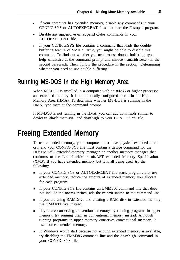- <sup>n</sup> If your computer has extended memory, disable any commands in your CONFIG.SYS or AUTOEXEC.BAT files that start the Fastopen program.
- Disable any **append /e or append c**:\dos commands in your AUTOEXEC.BAT file.
- If your CONFIG.SYS file contains a command that loads the doublebuffering feature of SMARTDrive, you might be able to disable this command. To find out whether you need to use double buffering, type **help smartdrv** at the command prompt and choose  $\leq$ smartdrv.exe $>$  in the second paragraph. Then, follow the procedure in the section "Determining whether you need to use double buffering."

## **Running MS-DOS in the High Memory Area**

When MS-DOS is installed in a computer with an 80286 or higher processor and extended memory, it is automatically configured to run in the High Memory Area (HMA). To determine whether MS-DOS is running in the HMA, type **mem** at the command prompt.

If MS-DOS is not running in the HMA, you can add commands similar to **device=c:\dos\himem.sys** and **dos=high** to your CONFIG.SYS file.

# **Freeing Extended Memory**

To use extended memory, your computer must have physical extended memory, and your CONFIG.SYS file must contain a **device** command for the HIMEM.SYS extended-memory manager or another memory manager that conforms to the Lotus/Intel/Microsoft/AST extended Memory Specification (XMS). If you have extended memory but it is all being used, try the following:

- If your CONFIG.SYS or AUTOEXEC.BAT file starts programs that use extended memory, reduce the amount of extended memory you allocate for each program.
- <sup>n</sup> If your CONFIG.SYS file contains an EMM386 command line that does not include the **noems** switch, add the **min=0** switch to the command line.
- <sup>n</sup> If you are using RAMDrive and creating a RAM disk in extended memory, use SMARTDrive instead.
- <sup>n</sup> If you are conserving conventional memory by running programs in upper memory, try running them in conventional memory instead. Although running programs in upper memory conserves conventional memory, it uses some extended memory.
- If Windows won't start because not enough extended memory is available, try disabling the EMM386 command line and the **dos=high** command in your CONFIG.SYS file.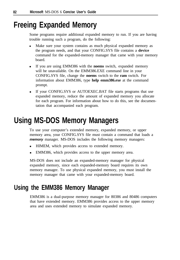## **Freeing Expanded Memory**

Some programs require additional expanded memory to run. If you are having trouble running such a program, do the following:

- <sup>n</sup> Make sure your system contains as much physical expanded memory as the program needs, and that your CONFIG.SYS file contains a **device** command for the expanded-memory manager that came with your memory board.
- <sup>n</sup> If you are using EMM386 with the **noems** switch, expanded memory will be unavailable. On the EMM386.EXE command line in your CONFIG.SYS file, change the **noems** switch to the **ram** switch. For information about EMM386, type **help emm386.exe** at the command prompt.
- <sup>n</sup> If your CONFIG.SYS or AUTOEXEC.BAT file starts programs that use expanded memory, reduce the amount of expanded memory you allocate for each program. For information about how to do this, see the documentation that accompanied each program.

# **Using MS-DOS Memory Managers**

To use your computer's extended memory, expanded memory, or upper memory area, your CONFIG.SYS file must contain a command that loads a *memory* manager. MS-DOS includes the following memory managers:

- HIMEM, which provides access to extended memory.
- EMM386, which provides access to the upper memory area.

MS-DOS does not include an expanded-memory manager for physical expanded memory, since each expanded-memory board requires its own memory manager. To use physical expanded memory, you must install the memory manager that came with your expanded-memory board.

## **Using the EMM386 Memory Manager**

EMM386 is a dual-purpose memory manager for 80386 and 80486 computers that have extended memory. EMM386 provides access to the upper memory area and uses extended memory to simulate expanded memory.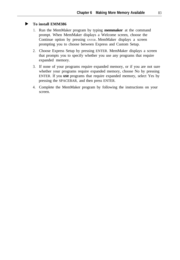#### $\blacktriangleright$ **To install EMM386**

- 1. Run the MemMaker program by typing **memmaker** at the command prompt. When MemMaker displays a Welcome screen, choose the Continue option by pressing ENTER. MemMaker displays a screen prompting you to choose between Express and Custom Setup.
- 2. Choose Express Setup by pressing ENTER. MemMaker displays a screen that prompts you to specify whether you use any programs that require expanded memory.
- 3. If none of your programs require expanded memory, or if you are not sure whether your programs require expanded memory, choose No by pressing ENTER. If you **use** programs that require expanded memory, select Yes by pressing the SPACEBAR, and then press ENTER.
- 4. Complete the MemMaker program by following the instructions on your screen.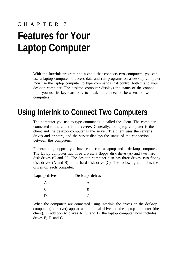# CHAPTER 7 **Features for Your Laptop Computer**

With the Interlnk program and a cable that connects two computers, you can use a laptop computer to access data and run programs on a desktop computer. You use the laptop computer to type commands that control both it and your desktop computer. The desktop computer displays the status of the connection; you use its keyboard only to break the connection between the two computers.

# **Using lnterlnk to Connect Two Computers**

The computer you use to type commands is called the client. The computer connected to the client is the *server.* Generally, the laptop computer is the client and the desktop computer is the server. The client uses the server's drives and printers, and the server displays the status of the connection between the computers.

For example, suppose you have connected a laptop and a desktop computer. The laptop computer has three drives: a floppy disk drive (A) and two hard disk drives (C and D). The desktop computer also has three drives: two floppy disk drives (A and B) and a hard disk drive (C). The following table lists the drives on each computer.

| <b>Laptop drives</b> | Desktop drives |  |
|----------------------|----------------|--|
|                      |                |  |
|                      |                |  |
|                      |                |  |

When the computers are connected using Interlnk, the drives on the desktop computer (the server) appear as additional drives on the laptop computer (the client). In addition to drives A, C, and D, the laptop computer now includes drives E, F, and G.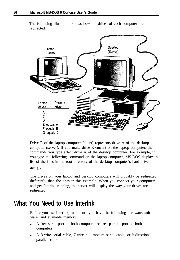

The following illustration shows how the drives of each computer are redirected.

Drive E of the laptop computer (client) represents drive A of the desktop computer (server). If you make drive E current on the laptop computer, the commands you type affect drive A of the desktop computer. For example, if you type the following command on the laptop computer, MS-DOS displays a list of the files in the root directory of the desktop computer's hard drive:

## **dir g:\**

The drives on your laptop and desktop computers will probably be redirected differently than the ones in this example. When you connect your computers and get Interlnk running, the server will display the way your drives are redirected.

## **What You Need to Use lnterlnk**

Before you use Interlnk, make sure you have the following hardware, software, and available memory:

- <sup>n</sup> A free serial port on both computers or free parallel port on both computers
- <sup>n</sup> A 3-wire serial cable, 7-wire null-modem serial cable, or bidirectional parallel cable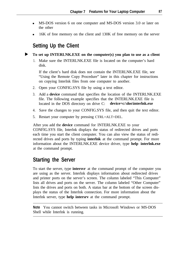- <sup>n</sup> MS-DOS version 6 on one computer and MS-DOS version 3.0 or later on the other
- <sup>n</sup> 16K of free memory on the client and 130K of free memory on the server

## **Setting Up the Client**

 $\blacktriangleright$ 

- **To set up INTERLNK.EXE on the computer(s) you plan to use as a client**
	- 1. Make sure the INTERLNK.EXE file is located on the computer's hard disk.

If the client's hard disk does not contain the INTERLNK.EXE file, see "Using the Remote Copy Procedure" later in this chapter for instructions on copying Interlnk files from one computer to another.

- 2. Open your CONFIG.SYS file by using a text editor.
- 3. Add a **device** command that specifies the location of the INTERLNK.EXE file. The following example specifies that the INTERLNK.EXE file is located in the DOS directory on drive C: **device=c:\dos\interlnk.exe**
- 4. Save the changes to your CONFIG.SYS file, and then quit the text editor.
- 5. Restart your computer by pressing CTRL+ALT+DEL.

After you add the **device** command for INTERLNK.EXE to your CONFIG.SYS file, Interlnk displays the status of redirected drives and ports each time you start the client computer. You can also view the status of redirected drives and ports by typing **interlnk** at the command prompt. For more information about the INTERLNK.EXE device driver, type **help interlnk.exe** at the command prompt.

## **Starting the Server**

To start the server, type **intersvr** at the command prompt of the computer you are using as the server. Interlnk displays information about redirected drives and printer ports on the server's screen. The column labeled "This Computer" lists all drives and ports on the server. The column labeled "Other Computer" lists the drives and ports on both. A status bar at the bottom of the screen displays the status of the Interlnk connection. For more information about the Interlnk server, type **help intersrv** at the command prompt.

**Note** You cannot switch between tasks in Microsoft Windows or MS-DOS Shell while Interlnk is running.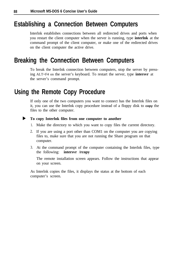## **Establishing a Connection Between Computers**

Interlnk establishes connections between all redirected drives and ports when you restart the client computer when the server is running, type **interlnk** at the command prompt of the client computer, or make one of the redirected drives on the client computer the active drive.

## **Breaking the Connection Between Computers**

To break the Interlnk connection between computers, stop the server by pressing ALT+F4 on the server's keyboard. To restart the server, type **intersvr** at the server's command prompt.

## **Using the Remote Copy Procedure**

If only one of the two computers you want to connect has the Interlnk files on it, you can use the Interlnk copy procedure instead of a floppy disk to **copy** the files to the other computer.



### **To copy Interlnk files from one computer to another**

- 1. Make the directory to which you want to copy files the current directory.
- 2. If you are using a port other than COM1 on the computer you are copying files to, make sure that you are not running the Share program on that computer.
- 3. At the command prompt of the computer containing the Interlnk files, type the following: **intersvr /rcopy**

The remote installation screen appears. Follow the instructions that appear on your screen.

As Interlnk copies the files, it displays the status at the bottom of each computer's screen.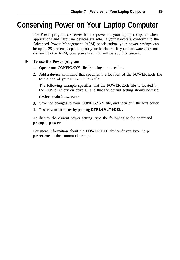# **Conserving Power on Your Laptop Computer**

The Power program conserves battery power on your laptop computer when applications and hardware devices are idle. If your hardware conforms to the Advanced Power Management (APM) specification, your power savings can be up to 25 percent, depending on your hardware. If your hardware does not conform to the APM, your power savings will be about 5 percent.

## **To use the Power program**

- 1. Open your CONFIG.SYS file by using a text editor.
- 2. Add a **device** command that specifies the location of the POWER.EXE file to the end of your CONFIG.SYS file.

The following example specifies that the POWER.EXE file is located in the DOS directory on drive C, and that the default setting should be used:

### **device=c:\dos\power.exe**

- 3. Save the changes to your CONFIG.SYS file, and then quit the text editor.
- 4. Restart your computer by pressing **CTRL+ALT+DEL.**

To display the current power setting, type the following at the command prompt: **power**

For more information about the POWER.EXE device driver, type **help power.exe** at the command prompt.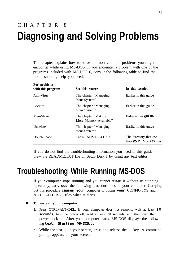# CHA P TER 8 **Diagnosing and Solving Problems**

This chapter explains how to solve the most common problems you might encounter while using MS-DOS. If you encounter a problem with one of the programs included with MS-DOS 6, consult the following table to find the troubleshooting help you need:

| For problems<br>with this program | See this source                                | In this location                                   |
|-----------------------------------|------------------------------------------------|----------------------------------------------------|
| Anti-Virus                        | The chapter "Managing"<br>Your System"         | Earlier in this guide                              |
| Backup                            | The chapter "Managing"<br>Yom System"          | Earlier in this guide                              |
| MemMaker                          | The chapter "Making"<br>More Memory Available" | Earlier in this guide                              |
| Undelete                          | The chapter "Managing"<br>Your System"         | Earlier in this guide                              |
| DoubleSpace                       | The README.TXT file                            | The directory that con-<br>tains your MS-DOS files |

If you do not find the troubleshooting information you need in this guide, view the README.TXT file on Setup Disk 1 by using any text editor.

# **Troubleshooting While Running MS-DOS**

If your computer stops running and you cannot restart it without its stopping repeatedly, carry **out** the following procedure to start your computer. Carrying out this procedure **causes your** computer to bypass **your** CONFIG.SYS and AUTOEXEC.BAT files when it starts.

```
\blacktriangleright
```
### **To restart your computer**

- 1. Press CTRL+ALT+DEL. If your computer does not respond, wait at least 1 0 seconds, turn the power off, wait at least **30** seconds, and then turn the power back on. After your computer starts, MS-DOS displays the following **text: Starting MS-DOS...**
- 2. While the text is on your screen, press and release the F5 key. A command prompt appears on your screen.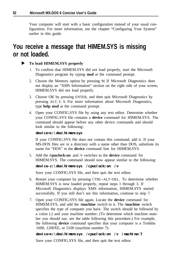Your computer will start with a basic configuration instead of your usual configuration. For more information, see the chapter "Configuring Your System" earlier in this guide.

## **You receive a message that HIMEM.SYS is missing or not loaded.**

#### ▶ **To load HIMEM.SYS properly**

- 1. To confirm that HIMEM.SYS did not load properly, start the Microsoft Diagnostics program by typing **msd** at the command prompt.
- 2. Choose the Memory option by pressing M. If Microsoft Diagnostics does not display an "XMS Information" section on the right side of your screen, HIMEM.SYS did not load properly.
- 3. Choose OK by pressing ENTER, and then quit Microsoft Diagnostics by pressing ALT, F, X. For more information about Microsoft Diagnostics, type **help msd** at the command prompt.
- 4. Open your CONFIG.SYS file by using any text editor. Determine whether your CONFIG.SYS file contains a **device** command for HIMEM.SYS. The command should appear before any other device commands and should look similar to the following:

### **device=c:\dos\himem.sys**

If your CONFIG.SYS file does not contain this command, add it. If your MS-DOS files are in a directory with a name other than DOS, substitute its name for "DOS" in the **device** command line for HIMEM.SYS.

5. Add the **/cpuclock:on** and /v switches to the **device** command for HIMEM.SYS. The command should now appear similar to the following:

### **device-c:\dos\himem.sys /cpuclock:on /v**

Save your CONFIG.SYS file, and then quit the text editor.

- 6. Restart your computer by pressing CTRL+ALT+DEL. To determine whether HIMEM.SYS is now loaded properly, repeat steps 1 through 3. If Microsoft Diagnostics displays XMS information, HIMEM.SYS started successfully. If you still don't see this information, continue to step 7.
- 7. Open your CONFIG.SYS file again. Locate the **device** command for HIMEM.SYS, and add the **/machine** switch to it. The **/machine** switch specifies the type of computer you have. The switch should be followed by a colon (:) and your machine number. (To determine which machine number you should use, see the table following this procedure.) For example, the following **device** command specifies that your computer is a Toshiba 1600, 1200XE, or 5100 (machine number 7):

### **device=c:\dos\himem.sys /cpuclock:on /v /machine:7**

Save your CONFIG.SYS file, and then quit the text editor.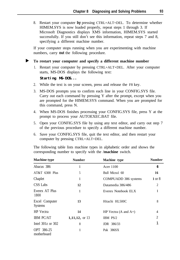8. Restart your computer **by** pressing CTRL+ALT+DEL. To determine whether HIMEM.SYS is now loaded properly, repeat steps 1 through 3. If Microsoft Diagnostics displays XMS information, HIMEM.SYS started successfully. If you still don't see this information, repeat steps 7 and 8, specifying a different machine number.

If your computer stops running when you are experimenting with machine numbers, carry **out** the following procedure.

### **To restart your computer and specify a different machine number**

1. Restart your computer by pressing CTRL+ALT+DEL. After your computer starts, MS-DOS displays the following text:

### **Starting MS-DOS...**

- 2. While the text is on your screen, press and release the F8 key.
- 3. MS-DOS prompts you to confirm each line in your CONFIG.SYS file. Carry out each command by pressing Y after the prompt, except when you are prompted for the HIMEM.SYS command. When you are prompted for this command, press N.
- 4. When MS-DOS finishes processing your CONFIG.SYS file, press Y at the prompt to process your AUTOEXEC.BAT file.
- 5. Open your CONFIG.SYS file by using any text editor, and carry out step 7 of the previous procedure to specify a different machine number.
- 6. Save your CONFIG.SYS file, quit the text editor, and then restart your computer by pressing CTRL+ALT+DEL.

| <b>Machine type</b>              | <b>Number</b>  | Machine type                    | <b>Number</b>  |
|----------------------------------|----------------|---------------------------------|----------------|
| Abacus 386                       | 1              | Acer 1100                       | 6              |
| AT&T 6300 Plus                   | 5              | Bull Micral 60                  | 16             |
| Chaplet                          | 1              | COMPUADD 386 systems            | 1 or 8         |
| CSS Labs                         | 12             | Datamedia 386/486               | $\overline{c}$ |
| Everex AT Plus<br>1800           | 1              | Everex Notebook ELX             | 1              |
| Excel Computer<br><b>Systems</b> | 13             | Hitachi HL500C                  | 8              |
| <b>HP</b> Vectra                 | 14             | HP Vectra $(A \text{ and } A+)$ | 4              |
| <b>IBM PC/AT</b>                 | 1,11,12, or 13 | IBM PS/2                        | 2              |
| Intel $301z$ or $302$            | 8              | JDR 386/33                      |                |
| OPT 386-25<br>motherboard        | 1              | Pak 386SX                       |                |

The following table lists machine types in alphabetic order and shows the corresponding number to specify with the **/machine** switch.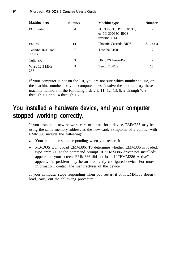| Machine type               | <b>Number</b> | <b>Machine type</b>                                            | <b>Number</b>  |
|----------------------------|---------------|----------------------------------------------------------------|----------------|
| PC Limited                 | 4             | PC 380/33C, PC 350/33C,<br>or PC 300/33C BIOS<br>revision 1.14 | $\mathfrak{D}$ |
| Philips                    | 13            | Phoenix Cascade BIOS                                           | $3,1$ , or $8$ |
| Toshiba 1600 and<br>1200XE | 7             | Toshiba 5100                                                   |                |
| Tulip SX                   | 9             | <b>UNISYS PowerPort</b>                                        | $\mathfrak{D}$ |
| Wyse 12.5 MHz<br>286       | 8             | Zenith ZBIOS                                                   | 10             |

If your computer is not on the list, you are not sure which number to use, or the machine number for your computer doesn't solve the problem, try these machine numbers in the following order: 1, 11, 12, 13, 8, 2 through 7, 9 through 10, and 14 through 16.

## **You installed a hardware device, and your computer stopped working correctly.**

If you installed a new network card or a card for a device, EMM386 may be using the same memory address as the new card. Symptoms of a conflict with EMM386 include the following:

- Your computer stops responding when you restart it.
- **n** MS-DOS won't load EMM386. To determine whether EMM386 is loaded, type emm386 at the command prompt. If "EMM386 driver not installed" appears on your screen, EMM386 did not load. If "EMM386 Active" appears, the problem may be an incorrectly configured device. For more information, contact the manufacturer of the device.

If your computer stops responding when you restart it or if EMM386 doesn't load, carry out the following procedure.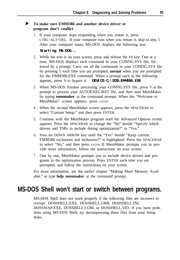## **To make sure EMM386 and another device driver or program don't conflict**

1. If your computer stops responding when you restart it, press CTRL+ALT+DEL. If your computer runs when you restart it, skip to step 5 After your computer starts, MS-DOS displays the following text:

**Starting MS-DOS...**

- 2. While the text is on your screen, press and release the F8 key. One at a time, MS-DOS displays each command in your CONFIG.SYS file, followed by a prompt. Carry out all the commands in your CONFIG.SYS file by pressing Y each time you are prompted, *except* when you are prompted for the EMM386.EXE command. When a prompt such as the following appears, press N to bypass it: **DEVICE-C:\DOS\EMM386.EXE**
- 3. When MS-DOS finishes processing your CONFIG.SYS file, press Y at the prompt to process your AUTOEXEC.BAT file, and then start MemMaker by typing **memmaker** at the command prompt. When the "Welcome to MemMaker" screen appears, press ENTER.
- 4. When the second MemMaker screen appears, press the SPACEBAR to select "Custom Setup," and then press ENTER.
- 5. Continue with the MemMaker program until the Advanced Options screen appears. Press the SPACEBAR to change the "No" beside "Specify which drivers and TSRs to include during optimization?" to "Yes."
- 6. Press the DOWN ARROW key until the "Yes" beside "Keep current EMM386 exclusions and inclusions?" is highlighted. Press the SPACEBAR to select "No," and then press ENTER. If MemMaker prompts you to provide more information, follow the instructions on your screen.
- 7. One by one, MemMaker prompts you to include device drivers and programs in the optimization process. Press ENTER each time you are prompted, and follow the instructions on your screen.

For more information, see the earlier chapter "Making More Memory Available," or type **help memmaker** at the command prompt.

## **MS-DOS Shell won't start or switch between programs.**

MS-DOS Shell does not work properly if the following files are incorrect or corrupt: DOSSHELL.EXE, DOSSHELL.GRB, DOSSHELL.INI, DOSSWAP.EXE, DOSSHELL.COM, or DOSSHELL.VID. If you have problems using MS-DOS Shell, try decompressing these files from your Setup disks.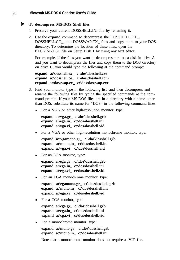### **To decompress MS-DOS Shell files**

- 1. Preserve your current DOSSHELL.INI file by renaming it.
- **2.** Use the **expand** command to decompress the DOSSHELL.EX\_, DOSSHELL.CO\_, and DOSSWAP.EX\_ files and copy them to your DOS directory. To determine the location of these files, open the PACKING.LST file on Setup Disk 1 by using any text editor.

For example, if the files you want to decompress are on a disk in drive A and you want to decompress the files and copy them to the DOS directory on drive C, you would type the following at the command prompt:

```
expand a:\dosshell.ex_ c:\dos\dosshell.exe
expand a:\dosshell.co_ c:\dos\dosshell.com
expand a:\dosswap.ex_ c:\dos\dosswap.exe
```
- 3. Find your monitor type in the following list, and then decompress and rename the following files by typing the specified commands at the command prompt. If your MS-DOS files are in a directory with a name other than DOS, substitute its name for "DOS" in the following command lines.
	- <sup>n</sup> For a VGA or other high-resolution monitor, type:

```
expand a:\vga.gr_ c:\dos\dosshell.grb
expand a:\ega.in_ c:\dos\dosshell.ini
expand a:\vga.vi_ c:\dos\dosshell.vid
```
<sup>n</sup> For a VGA or other high-resolution monochrome monitor, type:

```
expand a:\vgamono.gr_ c:\dosklosshell.grb
expand a:\mono.in_ c:\dos\dosshell.ini
expand a:\vga.vi_ c:\dos\dosshell.vid
```
■ For an EGA monitor, type:

```
expand a:\ega.gr_ c:\dos\dosshell.grb
expand a:\ega.in_ c:\dos\dosshell.ini
expand a:\ega.vi_ c:\dos\dosshell.vid
```
• For an EGA monochrome monitor, type:

```
expand a:\egamono.gr_ c:\dos\dosshell.grb
expand a:\mono.in_ c:\dos\dosshell.ini
expand a:\ega.vi_ c:\dos\dosshell.vid
```
■ For a CGA monitor, type:

```
expand a:\cga.gr_ c:\dos\dosshell.grb
expand a:\cga.in_ c:\dos\dosshell.ini
expand a:\cga.vi_ c:\dos\dosshell.vid
```
• For a monochrome monitor, type:

```
expand a:\mono.gr_ c:\dos\dosshell.grb
expand a:\mono.in_ c:\dos\dosshell.ini
```
Note that a monochrome monitor does not require a .VID file.

 $\blacktriangleright$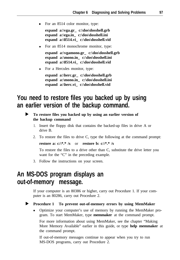■ For an 8514 color monitor, type:

```
expand a:\vga.gr_ c:\dos\dosshell.grb
expand a:\ega.in_ c:\dos\dosshell.ini
expand a:\8514.vi_ c:\dos\dosshell.vid
```
■ For an 8514 monochrome monitor, type:

```
expand a:\vgamono.gr_ c:\dos\dosshell.grb
expand a:\mono.in_ c:\dos\dosshell.ini
expand a:\8514.vi_ c:\dos\dosshell.vid
```
<sup>n</sup> For a Hercules monitor, type:

**expand a:\herc.gr\_ c:\dos\dosshell.grb expand a:\mono.in\_ c:\dos\dosshell.ini expand a:\herc.vi\_ c:\dos\dosshell.vid**

## **You need to restore files you backed up by using an earlier version of the backup command.**

- **To restore files you backed up by using an earlier version of the backup command**
	- 1. Insert the floppy disk that contains the backed-up files in drive A or drive B.
	- 2. To restore the files to drive C, type the following at the command prompt:

**restore a: c:**\\*.\* /s or **restore b: c:\\*.\*** /s

To restore the files to a drive other than C, substitute the drive letter you want for the "C" in the preceding example.

3. Follow the instructions on your screen.

## **An MS-DOS program displays an out-of-memory message.**

If your computer is an 80386 or higher, carry out Procedure 1. If your computer is an 80286, carry out Procedure 2.

**Procedure 1 To prevent out-of-memory errors by using MemMaker**

<sup>l</sup> Optimize your computer's use of memory by running the MemMaker program. To start MemMaker, type **memmaker** at the command prompt.

For more information about using MemMaker, see the chapter "Making More Memory Available" earlier in this guide, or type **help memmaker** at the command prompt.

If out-of-memory messages continue to appear when you try to run MS-DOS programs, carry out Procedure 2.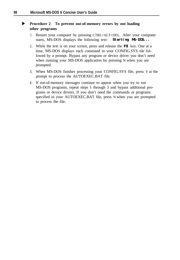#### ▶ **Procedure 2 To prevent out-of-memory errors by not loading other programs**

- 1. Restart your computer by pressing CTRL+ALT+DEL. After your computer starts, MS-DOS displays the following text: **Starting MS-DOS...**
- 2. While the text is on your screen, press and release the **F8** key. One at a time, MS-DOS displays each command in your CONFIG.SYS tile followed by a prompt. Bypass any program or device driver you don't need when running your MS-DOS application by pressing N when you are prompted.
- 3. When MS-DOS finishes processing your CONFIG.SYS file, press Y at the prompt to process the AUTOEXEC.BAT file.
- 4. If out-of-memory messages continue to appear when you try to run MS-DOS programs, repeat steps 1 through 3 and bypass additional programs or device drivers. If you don't need the commands or programs specified in your AUTOEXEC.BAT file, press N when you are prompted to process the file.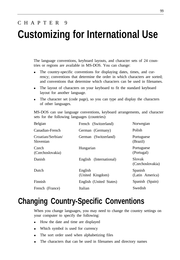# CHAPTER 9 **Customizing for International Use**

The language conventions, keyboard layouts, and character sets of 24 countries or regions are available in MS-DOS. You can change:

- The country-specific conventions for displaying dates, times, and currency; conventions that determine the order in which characters are sorted; and conventions that determine which characters can be used in filenames.
- The layout of characters on your keyboard to fit the standard keyboard layout for another language.
- <sup>n</sup> The character set (code page), so you can type and display the characters of other languages.

MS-DOS can use language conventions, keyboard arrangements, and character sets for the following languages (countries):

| Belgian                        | French (Switzerland)        | Norwegian                  |
|--------------------------------|-----------------------------|----------------------------|
| Canadian-French                | German (Germany)            | Polish                     |
| Croatian/Serbian/<br>Slovenian | German (Switzerland)        | Portuguese<br>(Brazil)     |
| Czech<br>(Czechoslovakia)      | Hungarian                   | Portuguese<br>(Portugal)   |
| Danish                         | English (International)     | Slovak<br>(Czechoslovakia) |
| Dutch                          | English<br>(United Kingdom) | Spanish<br>(Latin America) |
| Finnish                        | English (United States)     | Spanish (Spain)            |
| French (France)                | Italian                     | Swedish                    |

# **Changing Country-Specific Conventions**

When you change languages, you may need to change the country settings on your computer to specify the following:

- <sup>n</sup> How the date and time are displayed
- Which symbol is used for currency
- <sup>n</sup> The sort order used when alphabetizing files
- <sup>n</sup> The characters that can be used in filenames and directory names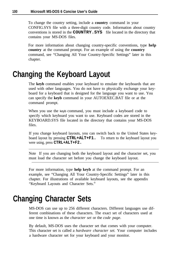<span id="page-108-0"></span>To change the country setting, include a **country** command in your CONFIG.SYS file with a three-digit country code. Information about country conventions is stored in the **COUNTRY.SYS** file located in the directory that contains your MS-DOS files.

For more information about changing country-specific conventions, type **help country** at the command prompt. For an example of using the **country** command, see "Changing All Your Country-Specific Settings" later in this chapter.

## **Changing the Keyboard Layout**

The **keyb** command enables your keyboard to emulate the keyboards that are used with other languages. You do not have to physically exchange your keyboard for a keyboard that is designed for the language you want to use. You can specify the **keyb** command in your AUTOEXEC.BAT file or at the command prompt.

When you use the keyb command, you must include a keyboard code to specify which keyboard you want to use. Keyboard codes are stored in the KEYBOARD.SYS file located in the directory that contains your MS-DOS files.

If you change keyboard layouts, you can switch back to the United States keyboard layout by pressing **CTRL+ALT+F1.** To return to the keyboard layout you were using, press **CTRL+ALT+F2.**

Note If you are changing both the keyboard layout and the character set, you must load the character set before you change the keyboard layout.

For more information, type **help keyb** at the command prompt. For an example, see "Changing All Your Country-Specific Settings" later in this chapter. For illustrations of available keyboard layouts, see the appendix "Keyboard Layouts and Character Sets."

## **Changing Character Sets**

MS-DOS can use up to 256 different characters. Different languages use different combinations of these characters. The exact set of characters used at one time is known as the *character set* or the *code page.*

By default, MS-DOS uses the character set that comes with your computer. This character set is called a *hardware character set.* Your computer includes a hardware character set for your keyboard and your monitor.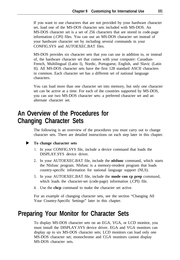<span id="page-109-0"></span>If you want to use characters that are not provided by your hardware character set, load one of the MS-DOS character sets included with MS-DOS. An MS-DOS character set is a set of 256 characters that are stored in code-page information (.CPI) files. You can use an MS-DOS character set instead of your hardware character set by including several commands in your CONFIG.SYS and AUTOEXEC.BAT files.

MS-DOS provides six character sets that you can use in addition to, or instead of, the hardware character set that comes with your computer: Canadian-French, Multilingual (Latin I), Nordic, Portuguese, English, and Slavic (Latin II). All MS-DOS character sets have the first 128 standard ASCII characters in common. Each character set has a different set of national language characters.

You can load more than one character set into memory, but only one character set can be active at a time. For each of the countries supported by MS-DOS, you can use two MS-DOS character sets: a preferred character set and an alternate character set.

## **An Overview of the Procedures for Changing Character Sets**

The following is an overview of the procedures you must carry out to change character sets. There are detailed instructions on each step later in this chapter.

### **To change character sets**

- 1. In your CONFIG.SYS file, include a device command that loads the DISPLAY.SYS device driver.
- 2. In your AUTOEXEC.BAT file, include the **nlsfunc** command, which starts the Nlsfunc program. Nlsfunc is a memory-resident program that loads country-specific information for national language support (NLS).
- 3. In your AUTOEXEC.BAT file, include the **mode con cp prep** command, which loads the character-set (code-page) information (.CPI) file.
- 4. Use the **chcp** command to make the character set active.

For an example of changing character sets, see the section "Changing All Your Country-Specific Settings" later in this chapter.

## **Preparing Your Monitor for Character Sets**

To display MS-DOS character sets on an EGA, VGA, or LCD monitor, you must install the DISPLAY.SYS device driver. EGA and VGA monitors can display up to six MS-DOS character sets; LCD monitors can load only one MS-DOS character set; monochrome and CGA monitors cannot display MS-DOS character sets.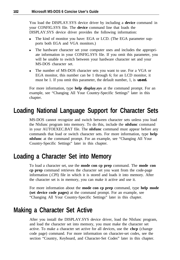<span id="page-110-0"></span>You load the DISPLAY.SYS device driver by including a **device** command in your CONFIG.SYS file. The **device** command line that loads the DISPLAY.SYS device driver provides the following information:

- The kind of monitor you have: EGA or LCD. (The EGA parameter supports both EGA and VGA monitors.)
- <sup>n</sup> The hardware character set your computer uses and includes the appropriate information in your CONFIG.SYS file. If you omit this parameter, you will be unable to switch between your hardware character set and your MS-DOS character set.
- <sup>n</sup> The number of MS-DOS character sets you want to use. For a VGA or EGA monitor, this number can be 1 through 6; for an LCD monitor, it must be 1. If you omit this parameter, the default number, 1, is **used.**

For more information, type **help display.sys** at the command prompt. For an example, see "Changing All Your Country-Specific Settings" later in this chapter.

## **Loading National Language Support for Character Sets**

MS-DOS cannot recognize and switch between character sets unless you load the Nlsfunc program into memory. To do this, include the **nlsfunc** command in your AUTOEXEC.BAT file. The **nlsfunc** command must appear before any commands that load or switch character sets. For more information, type **help nlsfunc** at the command prompt. For an example, see "Changing All Your Country-Specific Settings" later in this chapter.

## **Loading a Character Set into Memory**

To load a character set, use the **mode con cp prep** command. The **mode con cp prep** command retrieves the character set you want from the code-page information (.CPI) file in which it is stored and loads it into memory. After the character set is in memory, you can make it active and use it.

For more information about the **mode con cp prep** command, type **help mode (set device code pages)** at the command prompt. For an example, see "Changing All Your Country-Specific Settings" later in this chapter.

## **Making a Character Set Active**

After you install the DISPLAY.SYS device driver, load the Nlsfunc program, and load the character set into memory, you must make the character set active. To make a character set active for all devices, use the **chcp** (change code page) command. For more information on character-set codes, see the section "Country, Keyboard, and Character-Set Codes" later in this chapter.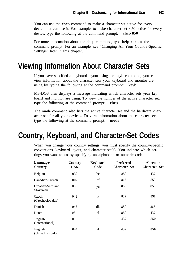<span id="page-111-0"></span>You can use the **chcp** command to make a character set active for every device that can use it. For example, to make character set 8.50 active for every device, type the following at the command prompt: **chcp 850**

For more information about the **chcp** command, type **help chcp** at the command prompt. For an example, see "Changing All Your Country-Specific Settings" later in this chapter.

## **Viewing Information About Character Sets**

If you have specified a keyboard layout using the **keyb** command, you can view information about the character sets your keyboard and monitor are using by typing the following at the command prompt: **keyb**

MS-DOS then displays a message indicating which character sets **your key**board and monitor are using. To view the number of the active character set. type the following at the command prompt: **chcp**

The **mode** command also lists the active character set and the hardware character set for all your devices. To view information about the character sets. type the following at the command prompt: **mode**

## **Country, Keyboard, and Character-Set Codes**

When you change your country settings, you must specify the country-specific conventions, keyboard layout, and character set(s). You indicate which settings you want to **use** by specifying an alphabetic or numeric code:

| Language/<br>Country           | Country<br>Code | Keyboard<br>Code | Preferred<br><b>Character Set</b> | <b>Alternate</b><br><b>Character Set</b> |
|--------------------------------|-----------------|------------------|-----------------------------------|------------------------------------------|
| Belgian                        | 032             | be               | 850                               | 437                                      |
| Canadian-French                | 002             | cf               | 863                               | 850                                      |
| Croatian/Serbian/<br>Slovenian | 038             | yu               | 852                               | 850                                      |
| Czech<br>(Czechoslovakia)      | 042             | cz               | 852                               | 890                                      |
| Danish                         | 045             | dk               | 850                               | 865                                      |
| Dutch                          | 031             | nl               | 850                               | 437                                      |
| English<br>(International)     | 061             | $+$              | 437                               | 850                                      |
| English<br>(United Kingdom)    | 044             | uk               | 437                               | 850                                      |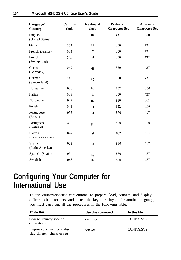| Language/<br>Country       | Country<br>Code | Keyboard<br>Code | Preferred<br><b>Character Set</b> | <b>Alternate</b><br><b>Character Set</b> |
|----------------------------|-----------------|------------------|-----------------------------------|------------------------------------------|
| English<br>(United States) | 001             | <b>us</b>        | 437                               | 850                                      |
| Finnish                    | 358             | su               | 850                               | 437                                      |
| French (France)            | 033             | fr               | 850                               | 437                                      |
| French<br>(Switzerland)    | 041             | sf               | 850                               | 437                                      |
| German<br>(Germany)        | 049             | gr               | 850                               | 437                                      |
| German<br>(Switzerland)    | 041             | sg               | 850                               | 437                                      |
| Hungarian                  | 036             | hu               | 852                               | 850                                      |
| Italian                    | 039             | it               | 850                               | 437                                      |
| Norwegian                  | 047             | no               | 850                               | 865                                      |
| Polish                     | 048             | pl               | 852                               | 8.50                                     |
| Portuguese<br>(Brazil)     | 055             | br               | 850                               | 437                                      |
| Portuguese<br>(Portugal)   | 351             | po               | 850                               | 860                                      |
| Slovak<br>(Czechoslovakia) | 042             | sl               | 852                               | 850                                      |
| Spanish<br>(Latin America) | 003             | la               | 850                               | 437                                      |
| Spanish (Spain)            | 034             | sp               | 850                               | 437                                      |
| Swedish                    | 046             | SV               | 850                               | 437                                      |

## **Configuring Your Computer for International Use**

To use country-specific conventions; to prepare, load, activate, and display different character sets; and to use the keyboard layout for another language, you must carry out all the procedures in the following table.

| To do this                                                    | Use this command | In this file |
|---------------------------------------------------------------|------------------|--------------|
| Change country-specific<br>conventions                        | country          | CONFIG.SYS   |
| Prepare your monitor to dis-<br>play different character sets | device           | CONFIG.SYS   |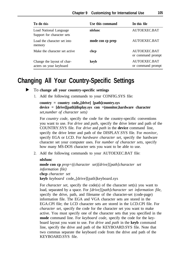| To do this                                            | Use this command | In this file                      |
|-------------------------------------------------------|------------------|-----------------------------------|
| Load National Language<br>Support for character sets  | nlsfunc          | AUTOEXEC.BAT                      |
| Load the character set into<br>memory                 | mode con cp prep | AUTOEXEC BAT                      |
| Make the character set active                         | chcp             | AUTOEXEC.BAT<br>or command prompt |
| Change the layout of char-<br>acters on your keyboard | kevb             | AUTOEXEC.BAT<br>or command prompt |

## **Changing All Your Country-Specific Settings**

### To **change all your country-specific settings**

1. Add the following commands to your CONFIG.SYS file:

**country = country code,,[drive] [path]country.sys device = [drive][path]display.sys con =(monitor,hardware character** *set,number of character sets)*

For *country code,* specify the code for the country-specific conventions you want to use. For *drive* and *path,* specify the drive letter and path of the COUNTRY.SYS file. For *drive* and *path* in the **device** command line, specify the drive letter and path of the DISPLAY.SYS file. For *monitor,* specify EGA or LCD. For *hardware character set,* specify the hardware character set your computer uses. For *number of character sets,* specify how many MS-DOS character sets you want to be able to use.

2. Add the following commands to your AUTOEXEC.BAT file:

#### **nlsfunc**

**mode con cp** *prep=((character set)[drive][path]character set information file)* **chcp** *character set* **keyb** *keyboard* code,,[drive][path]keyboard.sys

For *character set,* specify the code(s) of the character set(s) you want to load, separated by a space. For *[drive][path]character set information file,* specify the drive, path, and filename of the character-set (code-page) information file. The EGA and VGA character sets are stored in the EGA.CPI file; the LCD character sets are stored in the LCD.CPI file. For *character set,* specify the code for the character set you want to make active. You must specify one of the character sets that you specified in the **mode** command line. For *keyboard code,* specify the code for the keyboard layout you want to use. For *drive* and *path* in the **keyb** command line, specify the drive and path of the KEYBOARD.SYS file. Note that two commas separate the keyboard code from the drive and path of the KEYBOARD.SYS file.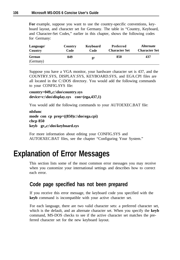<span id="page-114-0"></span>**For** example, suppose you want to use the country-specific conventions, keyboard layout, and character set for Germany. The table in "Country, Keyboard, and Character-Set Codes," earlier in this chapter, shows the following codes for Germany:

| Language/           | Country | Keyboard | Preferred            | <b>Alternate</b>     |  |  |
|---------------------|---------|----------|----------------------|----------------------|--|--|
| Country             | Code    | Code     | <b>Character Set</b> | <b>Character Set</b> |  |  |
| German<br>(Germany) | 049     | gr       | 850                  | 437                  |  |  |

Suppose you have a VGA monitor, your hardware character set is 437, and the COUNTRY.SYS, DISPLAY.SYS, KEYBOARD.SYS, and EGA.CPI files are all located in the C:\DOS directory. You would add the following commands to your CONFIG.SYS file:

```
country=049,,c:\dos\country.sys
device=c:\dos\display.sys con=(ega,437,1)
```
You would add the following commands to your AUTOEXEC.BAT file:

```
nlsfunc
mode con cp prep=((850)c:\dos\ega.cpi)
chcp 850
keyb gr,,c:\dos\keyboard.sys
```
For more information about editing your CONFIG.SYS and AUTOEXEC.BAT files, see the chapter "Configuring Your System."

## **Explanation of Error Messages**

This section lists some of the most common error messages you may receive when you customize your international settings and describes how to correct each error.

### **Code page specified has not been prepared**

If you receive this error message, the keyboard code you specified with the **keyb** command is incompatible with your active character set.

For each language, there are two valid character sets: a preferred character set, which is the default, and an alternate character set. When you specify the **keyb** command, MS-DOS checks to see if the active character set matches the preferred character set for the new keyboard layout.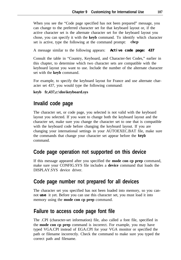<span id="page-115-0"></span>When you see the "Code page specified has not been prepared" message, you can change to the preferred character set for that keyboard layout or, if the active character set is the alternate character set for the keyboard layout you chose, you can specify it with the **keyb** command. To identify which character set is active, type the following at the command prompt: **chcp**

A message similar to the following appears: **Active code page: 437**

Consult the table in "Country, Keyboard, and Character-Set Codes," earlier in this chapter, to determine which two character sets are compatible with the keyboard layout you want to use. Include the number of the alternate character set with the **keyb** command.

For example, to specify the keyboard layout for France and use alternate character set 437, you would type the following command:

### **keyb fr,437,c:\dos\keyboard.sys**

### **Invalid code page**

The character set, or code page, you selected is not valid with the keyboard layout you selected. If you want to change both the keyboard layout and the character set, make sure you change the character set to one that is compatible with the keyboard code before changing the keyboard layout. If you are changing your international settings in your AUTOEXEC.BAT file, make sure the commands that change your character set appear before the **keyb** command.

### **Code page operation not supported on this device**

If this message appeared after you specified the **mode con cp prep** command, make sure your CONFIG.SYS file includes a **device** command that loads the DISPLAY.SYS device driver.

### **Code page number not prepared for all devices**

The character set you specified has not been loaded into memory, so you cannot **use** it yet. Before you can use this character set, you must load it into memory using the **mode con cp prep** command.

### **Failure to access code page font file**

The .CPI (character-set information) file, also called a font file, specified in the **mode con cp prep** command is incorrect. For example, you may have typed VGA.CPI instead of EGA.CPI for your VGA monitor or specified the path or filename incorrectly. Check the command to make sure you typed the correct path and filename.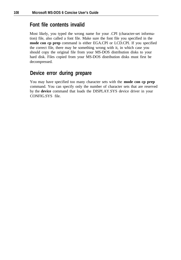### <span id="page-116-0"></span>**Font file contents invalid**

Most likely, you typed the wrong name for your .CPI (character-set information) file, also called a font file. Make sure the font file you specified in the **mode con cp prep** command is either EGA.CPI or LCD.CPI. If you specified the correct file, there may be something wrong with it, in which case you should copy the original file from your MS-DOS distribution disks to your hard disk. Files copied from your MS-DOS distribution disks must first be decompressed.

### **Device error during prepare**

You may have specified too many character sets with the **mode con cp prep** command. You can specify only the number of character sets that are reserved by the **device** command that loads the DISPLAY.SYS device driver in your CONFIG.SYS file.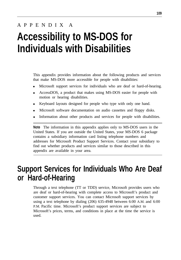# <span id="page-117-0"></span>APPENDIX A **Accessibility to MS-DOS for Individuals with Disabilities**

This appendix provides information about the following products and services that make MS-DOS more accessible for people with disabilities:

- <sup>n</sup> Microsoft support services for individuals who are deaf or hard-of-hearing.
- AccessDOS, a product that makes using MS-DOS easier for people with motion or hearing disabilities.
- Keyboard layouts designed for people who type with only one hand.
- <sup>n</sup> Microsoft software documentation on audio cassettes and floppy disks.
- <sup>n</sup> Information about other products and services for people with disabilities.

**Note** The information in this appendix applies only to MS-DOS users in the United States. If you are outside the United States, your MS-DOS 6 package contains a subsidiary information card listing telephone numbers and addresses for Microsoft Product Support Services. Contact your subsidiary to find out whether products and services similar to those described in this appendix are available in your area.

## **Support Services for Individuals Who Are Deaf or Hard-of-Hearing**

Through a text telephone (TT or TDD) service, Microsoft provides users who are deaf or hard-of-hearing with complete access to Microsoft's product and customer support services. You can contact Microsoft support services by using a text telephone by dialing (206) 635-4948 between 6:00 A.M. and 6:00 P.M. Pacific time. Microsoft's product support services are subject to Microsoft's prices, terms, and conditions in place at the time the service is used.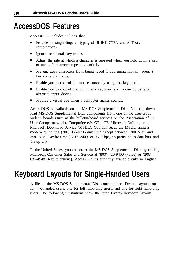## <span id="page-118-0"></span>**AccessDOS Features**

AccessDOS includes utilities that:

- Provide for single-fingered typing of SHIFT, CTRL, and ALT **key** combinations.
- Ignore accidental keystrokes.
- Adjust the rate at which a character is repeated when you hold down a key, or turn off character-repeating entirely.
- Prevent extra characters from being typed if you unintentionally press **a** key more than once.
- Enable you to control the mouse cursor by using the keyboard.
- Enable you to control the computer's keyboard and mouse by using an alternate input device.
- Provide a visual cue when a computer makes sounds.

AccessDOS is available on the MS-DOS Supplemental Disk. You can download MS-DOS Supplemental Disk components from one of the user-group bulletin boards (such as the bulletin-board services on the Association of PC User Groups network), CompuServe®, GEnie™, Microsoft OnLine, or the Microsoft Download Service (MSDL). You can reach the MSDL using a modem by calling (206) 936-6735 any time except between 1:00 A.M. and 2:30 A.M. Pacific time (1200, 2400, or 9600 bps, no parity bit, 8 data bits, and 1 stop bit).

In the United States, you can order the MS-DOS Supplemental Disk by calling Microsoft Customer Sales and Service at (800) 426-9400 (voice) or (206) 635-4948 (text telephone). AccessDOS is currently available only in English.

## **Keyboard Layouts for Single-Handed Users**

A file on the MS-DOS Supplemental Disk contains three Dvorak layouts: one for two-handed users, one for left hand-only users, and one for right hand-only users. The following illustrations show the three Dvorak keyboard layouts: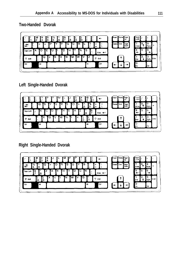### **Two-Handed Dvorak**



**Left Single-Handed Dvorak**



**Right Single-Handed Dvorak**

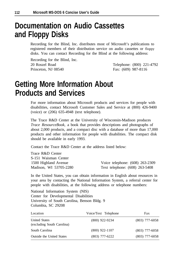## <span id="page-120-0"></span>**Documentation on Audio Cassettes and Floppy Disks**

Recording for the Blind, Inc. distributes most of Microsoft's publications to registered members of their distribution service on audio cassettes or floppy disks. You can contact Recording for the Blind at the following address:

Recording for the Blind, Inc. 20 Roszel Road Telephone: (800) 221-4792 Princeton, NJ 08540 Fax: (609) 987-8116

## **Getting More Information About Products and Services**

For more information about Microsoft products and services for people with disabilities, contact Microsoft Customer Sales and Service at (800) 426-9400 (voice) or (206) 635-4948 (text telephone).

The Trace R&D Center at the University of Wisconsin-Madison produces *Trace ResourceBook,* a book that provides descriptions and photographs of about 2,000 products, and a compact disc with a database of more than 17,000 products and other information for people with disabilities. The compact disk should be available in early 1993.

Contact the Trace R&D Center at the address listed below:

| Trace R&D Center       |                                 |
|------------------------|---------------------------------|
| S-151 Waisman Center   |                                 |
| 1500 Highland Avenue   | Voice telephone: (608) 263-2309 |
| Madison, WI 53705-2280 | Text telephone: (608) 263-5408  |

In the United States, you can obtain information in English about resources in your area by contacting the National Information System, a referral center for people with disabilities, at the following address or telephone numbers:

National Information System (NIS) Center for Developmental Disabilities University of South Carolina, Benson Bldg. 9 Columbia, SC 29208

| Location                                           | Voice/Text Telephone | Fax              |
|----------------------------------------------------|----------------------|------------------|
| <b>United States</b><br>(excluding South Carolina) | $(800)$ 922-9234     | $(803)$ 777-6058 |
| South Carolina                                     | $(800)$ 922-1107     | $(803)$ 777-6058 |
| Outside the United States                          | $(803)$ 777-6222     | $(803)$ 777-6058 |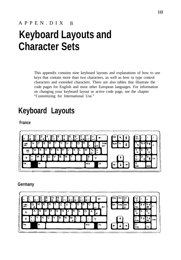# <span id="page-121-0"></span>A P P E N . D I X B **Keyboard Layouts and Character Sets**

This appendix contains nine keyboard layouts and explanations of how to use keys that contain more than two characters, as well as how to type control characters and extended characters. There are also tables that illustrate the code pages for English and most other European languages. For information on changing your keyboard layout or active code page, see the chapter "Customizing for International Use."

## **Keyboard Layouts**

**France**



### **Germany**

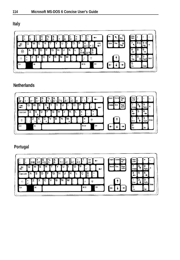**Italy**



### **Netherlands**



## **Portugal**

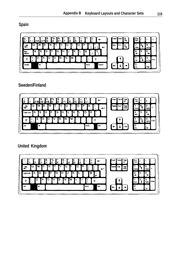**Spain**



**Sweden/Finland**



**United Kingdom**

| 12<br>з<br>c<br>E<br>w<br>⇄ | %<br>õ.<br>Φ<br>5.<br>6<br>я<br>R | -<br>$=$<br>ب              | Insert Home Page<br>Up<br>Delete End<br>Page<br>Down | Num<br>Lock<br>9<br>PgUp<br>Home |
|-----------------------------|-----------------------------------|----------------------------|------------------------------------------------------|----------------------------------|
| s<br>Caps Lock<br>Α         | G<br>п                            | ø<br>$\tilde{\phantom{a}}$ |                                                      | 5<br>n<br>-                      |
| ^<br>ଳ                      | с<br>в<br>м                       | ⋒                          |                                                      | ■ pgDn Enter<br>End              |
| At<br>l Curl                |                                   | Ctrl<br>Alt Gr             |                                                      | Del<br>Ins                       |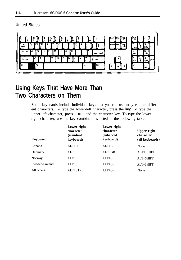### <span id="page-124-0"></span>**United States**



## **Using Keys That Have More Than Two Characters on Them**

Some keyboards include individual keys that you can use to type three different characters. To type the lower-left character, press the **key.** To type the upper-left character, press SHIFT and the character key. To type the lowerright character, use the key combinations listed in the following table.

| Keyboard       | Lower-right<br>character<br>(standard<br>keyboard) | Lower-right<br>character<br>(enhanced<br>keyboard) | <b>Upper-right</b><br>character<br>(all keyboards) |
|----------------|----------------------------------------------------|----------------------------------------------------|----------------------------------------------------|
| Canada         | ALT+SHIFT                                          | $ALT+GR$                                           | None                                               |
| Denmark        | ALT.                                               | $ALT+GR$                                           | ALT+SHIFI                                          |
| Norway         | ALT.                                               | $AI.T+GR$                                          | ALT+SHIFT                                          |
| Sweden/Finland | ALT                                                | $ALT + GR$                                         | ALT+SHIFT                                          |
| All others     | ALT+CTRL                                           | $ALT + GR$                                         | None                                               |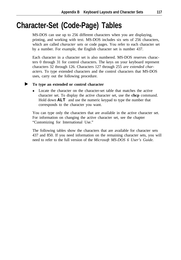## <span id="page-125-0"></span>**Character-Set (Code-Page) Tables**

MS-DOS can use up to 256 different characters when you are displaying, printing, and working with text. MS-DOS includes six sets of 256 characters, which are called *character sets* or code pages. You refer to each character set by a number. For example, the English character set is number 437.

Each character in a character set is also numbered. MS-DOS reserves characters 0 through 31 for control characters. The keys on your keyboard represent characters 32 through 126. Characters 127 through 255 *are extended characters.* To type extended characters and the control characters that MS-DOS uses, carry out the following procedure.

### **To type an extended or control character**

▶

<sup>l</sup> Locate the character on the character-set table that matches the active character set. To display the active character set, use the **chcp** command. Hold down **ALT** and use the numeric keypad to type the number that corresponds to the character you want.

You can type only the characters that are available in the active character set. For information on changing the active character set, see the chapter "Customizing for International Use."

The following tables show the characters that are available for character sets 437 and 850. If you need information on the remaining character sets, you will need to refer to the full version of the *Microsoft MS-DOS 6 User's Guide.*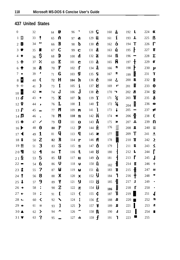### **437 United States**

| $\mathbf{0}$                          |                | 32 |    | 64 | e            | 96  | ٩            | 128 | ç           | 160 | á  | 192 | L           | 224 | $\alpha$                |
|---------------------------------------|----------------|----|----|----|--------------|-----|--------------|-----|-------------|-----|----|-----|-------------|-----|-------------------------|
| 1                                     | Θ              | 33 | ţ  | 65 | A            | 97  | a            | 129 | ü           | 161 | í  | 193 | T           | 225 | ß                       |
| $\overline{c}$                        | B              | 34 | Ψ  | 66 | B            | 98  | Ъ            | 130 | é           | 162 | ó  | 194 | T           | 226 | Г                       |
| 3                                     | v              | 35 | Ħ  | 67 | C            | 99  | C            | 131 | â           | 163 | ú  | 195 | Ł           | 227 | П                       |
| 4                                     |                | 36 | \$ | 68 | D            | 100 | d            | 132 | ä           | 164 | ñ  | 196 |             | 228 | Σ                       |
| 5                                     | Ϋ              | 37 | Z, | 69 | E            | 101 | e            | 133 | à           | 165 | Ñ  | 197 | ╂           | 229 | Œ                       |
| 6                                     |                | 38 | å  | 70 | $\mathbf F$  | 102 | f            | 134 | å           | 166 | 9  | 198 | ╞           | 230 | μ                       |
| 7                                     |                | 39 | J  | 71 | G            | 103 | g            | 135 | ç           | 167 | 2  | 199 | ╟           | 231 | γ                       |
| 8                                     | $\bullet$      | 40 | t  | 72 | Η            | 104 | h            | 136 | ê           | 168 | i, | 200 | Ľ           | 232 | $\overline{2}$          |
| 9                                     | Ō              | 41 | )  | 73 | I            | 105 | $\mathbf{i}$ | 137 | ë           | 169 | г  | 201 | lī          | 233 | θ                       |
| 10                                    | ୍              | 42 | ×  | 74 | J            | 106 | j            | 138 | è           | 170 | ┓  | 202 | 쁘           | 234 | Ω                       |
| 11                                    | ď              | 43 | ۰  | 75 | K            | 107 | k            | 139 | ï           | 171 | ķ  | 203 | ĪĪ          | 235 | δ                       |
| 12                                    | ¥              | 44 | J  | 76 | L            | 108 | ı            | 140 | î           | 172 | k  | 204 | lŀ          | 236 | œ                       |
| 13                                    | Р              | 45 |    | 77 | M            | 109 | m            | 141 | ì           | 173 | į, | 205 | $=$         | 237 | ø                       |
| $14$ $\blacksquare$                   |                | 46 |    | 78 | N            | 110 | n            | 142 | Ä           | 174 | œ  | 206 | ⋕           | 238 | €                       |
| 15 *                                  |                | 47 | ∕  | 79 | 0            | 111 | O            | 143 | Å           | 175 | æ  | 207 | ᆂ           | 239 | n                       |
| 16                                    | ▶              | 48 | 0  | 80 | $\mathbf{P}$ | 112 | p            | 144 | É           | 176 | Ø, | 208 | Щ           | 240 | $\equiv$                |
| 17                                    | ◀              | 49 | 1  | 81 | Q            | 113 | q            | 145 | æ           | 177 | 雛  | 209 | T           | 241 | 土                       |
| $18$ <sup><math>\uparrow</math></sup> |                | 50 | 2  | 82 | R            | 114 | r            | 146 | Æ           | 178 | 躢  | 210 | π           | 242 | 2                       |
| 19 !!                                 |                | 51 | 3  | 83 | S            | 115 | S            | 147 | ô           | 179 |    | 211 | Щ           | 243 | $\overline{\mathsf{z}}$ |
| 20                                    | П              | 52 | 4  | 84 | T            | 116 | t            | 148 | ö           | 180 |    | 212 | F           | 244 | ſ                       |
| 21                                    | ğ              | 53 | 5  | 85 | U            | 117 | u            | 149 | ò           | 181 | ┪  | 213 | r           | 245 | J                       |
| $2\sqrt{2}$                           | $\blacksquare$ | 54 | 6  | 86 | V            | 118 | Ų            | 150 | û           | 182 | ╢  | 214 | Π           | 246 | ÷                       |
| 23                                    | 1              | 55 | 7  | 87 | U            | 119 | W            | 151 | ù           | 183 | Π  | 215 | K           | 247 | $\approx$               |
| 24                                    | t              | 56 | 8  | 88 | X            | 120 | ×            | 152 | ij          | 184 | ٦  | 216 | $\ddagger$  | 248 | ۰                       |
| 25                                    | $\downarrow$   | 57 | 9  | 89 | Y            | 121 | ÿ            | 153 | ö           | 185 | ╣  | 217 | $\mathbf l$ | 249 | ٠                       |
| 26                                    | $\rightarrow$  | 58 | I  | 90 | Z            | 122 | z            | 154 | ij          | 186 | N  | 218 | Г           | 250 | $\blacksquare$          |
| 27                                    | ٠              | 59 | ;  | 91 | L            | 123 | ſ            | 155 | ¢           | 187 | 11 | 219 |             | 251 | J                       |
| 28                                    | ц              | 60 | ∢  | 92 | 丶            | 124 | ł            | 156 | £           | 188 | Щ  | 220 |             | 252 | 'n                      |
| 29                                    | ٠              | 61 | =  | 93 | I            | 125 | }            | 157 | ¥           | 189 | Щ  | 221 |             | 253 | 2                       |
| 30                                    | Δ              | 62 | ⋗  | 94 | ^            | 126 |              | 158 | R           | 190 | L  | 222 | I           | 254 | п                       |
| 31                                    | ▼              | 63 | 7  | 95 |              | 127 | ۵            | 159 | $\mathbf f$ | 191 | ٦  | 223 |             | 255 |                         |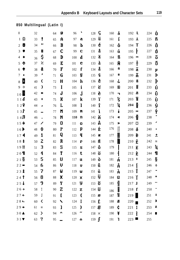**850 Multilingual (Latin I)**

| $\mathbf{0}$                  | 32 |                      | 64 | G            | 96  |              | 128     | ç                     | 160 | á  | 192 | <b>L</b>             | 224 | ó      |
|-------------------------------|----|----------------------|----|--------------|-----|--------------|---------|-----------------------|-----|----|-----|----------------------|-----|--------|
| Θ<br>$\mathbf{1}$             | 33 | ţ                    | 65 | A            | 97  | a            | 129     | ü                     | 161 | í  | 193 | $\mathbf{r}$         | 225 | ß      |
| ø<br>$\overline{c}$           | 34 | v                    | 66 | B            | 98  | Ъ            | 130     | é                     | 162 | ó  | 194 | $\mathbf T$          | 226 | ô      |
| 3                             | 35 | #                    | 67 | C            | 99  | C            | 131     | â                     | 163 | ú  | 195 | ┠                    | 227 | ò      |
| 4                             | 36 | \$                   | 68 | D            | 100 | d            | 132     | ä                     | 164 | ñ  | 196 | -                    | 228 | õ      |
| Ŷ<br>5                        | 37 | z                    | 69 | E            | 101 | e            | 133     | à                     | 165 | Ñ  | 197 | $\ddagger$           | 229 | Õ      |
| 6                             | 38 | å                    | 70 | F            | 102 | f            | 134     | å                     | 166 | 으  | 198 | $\tilde{\mathbf{a}}$ | 230 | μ      |
| 7                             | 39 | J                    | 71 | G            | 103 | g            | 135     | ç                     | 167 | ē  | 199 | Ã                    | 231 | Þ      |
| ŀ<br>8                        | 40 | €                    | 72 | Η            | 104 | h            | 136     | ê                     | 168 | غ  | 200 | L                    | 232 | Þ      |
| Ö<br>9                        | 41 | J                    | 73 | I            | 105 | i            | 137     | Ë                     | 169 | Ø  | 201 | ſ                    | 233 | Ú      |
| þ<br>10                       | 42 | ÷                    | 74 | J            | 106 | j            | 138     | è                     | 170 | ┑  | 202 | 쁘                    | 234 | Û      |
| 116                           | 43 | ÷                    | 75 | K            | 107 | k            | 139     | ï                     | 171 | ķ  | 203 | Ī                    | 235 | ù      |
| 129                           | 44 | J                    | 76 | L            | 108 | $\mathbf{l}$ | 140     | î                     | 172 | k  | 204 | lŀ                   | 236 | ý      |
| 13P                           | 45 |                      | 77 | Μ            | 109 | m            | 141     | ì                     | 173 | i  | 205 | $\equiv$             | 237 | Ý      |
| 14                            | 46 |                      | 78 | N            | 110 | n            | 142     | Ä                     | 174 | ĸ  | 206 | #                    | 238 |        |
| $15*$                         | 47 | ∕                    | 79 | 0            | 111 | 0            | 143     | Å                     | 175 | ×  | 207 | $\alpha$             | 239 | ł      |
| 16                            | 48 | 0                    | 80 | P            | 112 | p            | 144     | É                     | 176 | I  | 208 | δ                    | 240 | ٠      |
| 17 <sup>4</sup>               | 49 | $\mathbf{1}$         | 81 | Q            | 113 | q            | 145     | æ                     | 177 |    | 209 | Đ                    | 241 | ±      |
| 181                           | 50 | 2                    | 82 | R            | 114 | r            | 146     | Æ                     | 178 |    | 210 | Ê                    | 242 | $=$    |
| 19‼                           | 51 | з                    | 83 | S            | 115 | S            | 147     | ô                     | 179 |    | 211 | Ë                    | 243 | ¥      |
| $20$ T                        | 52 | 4                    | 84 | T            | 116 | t            | 148     | ö                     | 180 | ┫  | 212 | È                    | 244 | П      |
| ş<br>2 1                      | 53 | 5                    | 85 | U            | 117 | u            | 149     | ò                     | 181 | Á  | 213 | I                    | 245 | ŝ      |
| $22 -$                        | 54 | 6                    | 86 | V            | 118 | V            | 150     | û                     | 182 | Â  | 214 | í                    | 246 | $\div$ |
| $23$ $\ddagger$               | 55 | 7                    | 87 | W            | 119 | ω            | 151     | ù                     | 183 | À  | 215 | î                    | 247 | ÷      |
| 241                           | 56 | 8                    | 88 | X            | 120 | x            | 152     | ij                    | 184 | Ø  | 216 | Ï                    | 248 | o      |
| 251                           | 57 | 9                    | 89 | Y            | 121 | y            | 153     | ö                     | 185 | ╣  | 217 | $\mathbf{I}$         | 249 | .,     |
| $26 +$                        | 58 | $\ddot{\phantom{a}}$ | 90 | Z            | 122 | Z            | 154     | ij                    | 186 | II | 218 | $\Gamma$             | 250 |        |
| $27 +$                        | 59 | ;                    | 91 | $\mathbf{r}$ | 123 | ſ            | 155     | Ø                     | 187 | 1  | 219 |                      | 251 | ł      |
| 28L                           | 60 | ∢                    | 92 | 丶            | 124 | i            | 156     | £                     | 188 | Л  | 220 |                      | 252 | 3      |
| $29 +$                        | 61 | $=$                  | 93 | 1            | 125 | }            | $157\,$ | Ø                     | 189 | ¢  | 221 |                      | 253 | 2      |
| $30 \triangle$                | 62 | ⋋                    | 94 | ۸            | 126 |              | 158     | $\boldsymbol{\times}$ | 190 | ¥  | 222 | ì                    | 254 | П      |
| $31$ $\overline{\phantom{1}}$ | 63 | 7                    | 95 |              | 127 | Δ            | 159     | f                     | 191 | ٦  | 223 |                      | 255 |        |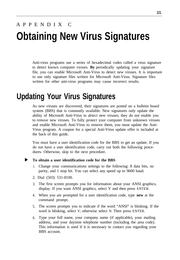# <span id="page-128-0"></span>APPENDIX C **Obtaining New Virus Signatures**

Anti-virus programs use a series of hexadecimal codes called a virus signature to detect known computer viruses. **By** periodically updating your signature file, you can enable Microsoft Anti-Virus to detect new viruses. It is important to use only signature files written for Microsoft Anti-Virus. Signature files written for other anti-virus programs may cause incorrect results.

## **Updating Your Virus Signatures**

As new viruses are discovered, their signatures are posted on a bulletin board system (BBS) that is constantly available. New signatures only update the ability of Microsoft Anti-Virus to *detect* new viruses; they do not enable you to *remove* new viruses. To fully protect your computer from unknown viruses and enable Microsoft Anti-Virus to remove them, you must update the Anti-Virus program. A coupon for a special Anti-Virus update offer is included at the back of this guide.

You must have a user identification code for the BBS to get an update. If you do not have a user identification code, carry out both the following procedures. Otherwise, skip to the next procedure.

#### ▶ **To obtain a user identification code for the BBS**

- 1. Change your communications settings to the following: 8 data bits, no parity, and 1 stop bit. You can select any speed up to 9600 baud.
- 2. Dial (503) 531-8100.
- 3. The first screen prompts you for information about your ANSI graphics, display. If you want ANSI graphics, select Y and then press ENTER.
- 4. When you are prompted for a user identification code, type **new** at the command prompt.
- 5. The screen prompts you to indicate if the word "ANSI" is blinking. If the word is blinking, select Y; otherwise select N. Then press ENTER.
- 6. Type your full name, your company name (if applicable), your mailing address, and your daytime telephone number (including the area code). This information is used if it is necessary to contact you regarding your BBS account.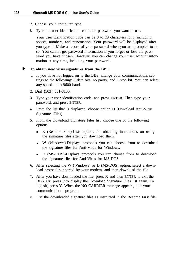- 7. Choose your computer type.
- 8. Type the user identification code and password you want to use.

Your user identification code can be 3 to 29 characters long, including spaces, numbers, and punctuation. Your password will be displayed after you type it. Make a record of your password when you are prompted to do so. You cannot get password information if you forget or lose the password you have chosen. However, you can change your user account information at any time, including your password.

#### ь **To obtain new virus signatures from the BBS**

- 1. If you have not logged on to the BBS, change your communications settings to the following: 8 data bits, no parity, and 1 stop bit. You can select any speed up to 9600 baud.
- 2. Dial (503) 531-8100.
- 3. Type your user identification code, and press ENTER. Then type your password, and press ENTER.
- 4. From the list that is displayed, choose option D (Download Anti-Virus Signature Files).
- 5. From the Download Signature Files list, choose one of the following options:
	- <sup>n</sup> R (Readme First)-Lists options for obtaining instructions on using the signature files after you download them.
	- <sup>n</sup> W (Windows)-Displays protocols you can choose from to download the signature files for Anti-Virus for Windows.
	- <sup>n</sup> D (MS-DOS)-Displays protocols you can choose from to download the signature files for Anti-Virus for MS-DOS.
- 6. After selecting the W (Windows) or D (MS-DOS) option, select a download protocol supported by your modem, and then download the file.
- 7. After you have downloaded the file, press X and then ENTER to exit the BBS. Or, press C to display the Download Signature Files list again. To log off, press Y. When the NO CARRIER message appears, quit your communications program.
- 8. Use the downloaded signature files as instructed in the Readme First file.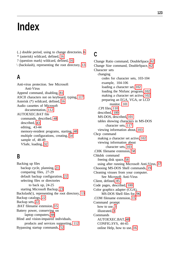# **Index**

(..) double period, using to change directories, [6](#page-17-0) \* (asterisk) wildcard, defined, [16](#page-27-0) ? (question mark) wildcard, defined, [16](#page-27-0) \ (backslash), representing the root directory, [13](#page-24-0)

## **A**

Anti-virus protection. See Microsoft Anti-Virus Append command, disabling, [81](#page-91-0) ASCII characters not on keyboard, typing, [117](#page-125-0) Asterisk (\*) wildcard, defined, [16](#page-27-0) Audio cassettes of Microsoft documentation, [112](#page-120-0) AUTOEXEC.BAT file commands, described, [48](#page-59-0) described, [43](#page-54-0) editing, 43-44 memory-resident programs, starting, [48](#page-59-0) multiple configurations, creating, [54](#page-65-0) sample of, 48-49 VSafe, loading, [32](#page-43-0)

## **B**

Backing up files backup cycle, planning, [21](#page-32-0) comparing files, 27-29 default backup configuration, [22](#page-33-0) selecting files or directories to back up, 24-25 starting Microsoft Backup, [23](#page-34-0) Backslash(\), representing the root directory, [13](#page-24-0) Backup catalogs, [22](#page-33-0) Backup sets, [22](#page-33-0) .BAT filename extension, [15](#page-26-0) Battery power, conserving on laptop computers, [88](#page-97-0) Blind and vision-impaired individuals, products and services supporting, [112](#page-120-0) Bypassing startup commands, [52](#page-63-0)

### **C**

Change Ratio command, DoubleSpace, [62](#page-72-0) Change Size command, DoubleSpace, [62](#page-72-0) Character sets changing codes for character sets, 103-104 example, 104-106 loading a character set, [102](#page-110-0) loading the Nlsfunc program, [102](#page-110-0) making a character set active, [102](#page-110-0) preparing an EGA, VGA, or LCD monitor, [101](#page-109-0) .CPI files, [110](#page-118-0) described, [100](#page-108-0) MS-DOS, described, [101](#page-109-0) tables showing characters in MS-DOS character sets, [117](#page-125-0) viewing information about, [103](#page-111-0) Chcp command making a character set active, [102](#page-110-0) viewing information about character sets, [103](#page-111-0) .CHK filename extension, [58](#page-68-0) Chkdsk command freeing disk space, [58](#page-68-0) using after running Microsoft Anti-Virus, [37](#page-48-0) Choosing MS-DOS Shell commands, [19](#page-30-0) Cleaning viruses from your computer. See Microsoft Anti-Virus Client, defined[, 85](#page-94-0) Code pages, described, [100](#page-108-0) Color graphics adapter (CGA), MS-DOS Shell files for, [96](#page-104-0) .COM filename extension, [15](#page-26-0) Command prompt how to use, [3](#page-14-0) illustrated, [3](#page-14-0) Commands AUTOEXEC.BAT, [48](#page-59-0) CONFIG.SYS, 44-45 online Help, how to use, [16](#page-27-0)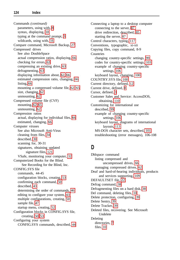Commands *(continued)* parameters, using with, [8](#page-19-0) syntax, displaying, [18](#page-29-0) typing at the command prompt, [3](#page-14-0) wildcards, using with, [16](#page-27-0) Compare command, Microsoft Backup, [27](#page-38-0) Compressed drives See also DoubleSpace actual compression ratios, displaying, [66](#page-76-0) checking for errors, [63](#page-73-0) compressing an existing drive, [63](#page-73-0) defragmenting, [63](#page-73-0) displaying information about, [62,](#page-72-0) [66](#page-76-0) estimated compression ratio, changing, [66](#page-76-0) listing, [66](#page-76-0) mounting a compressed volume file, [62,](#page-72-0) [65](#page-75-0) size, changing, [62](#page-72-0) unmounting, [62](#page-72-0) Compressed volume file (CVF) mounting, [62,](#page-72-0) [65](#page-75-0) unmounting, [62](#page-72-0) Compression ratios actual, displaying for individual files, [66](#page-76-0) estimated, changing, [66](#page-76-0) Computer viruses See also Microsoft Anti-Virus cleaning from files, [34](#page-45-0) described, [30](#page-41-0) scanning for, 30-31 signatures, obtaining updated signature files, [121](#page-128-0) VSafe, monitoring your computer, [32](#page-43-0) Computerized Books for the Blind. See Recording for the Blind, Inc. CONFIG.SYS file commands, 44-45 configuration blocks, creating, [53](#page-64-0) confirming each command, [50](#page-61-0) described, [43](#page-54-0) determining the order of commands, [46](#page-57-0) editing to configure your system, [43](#page-54-0) multiple configurations, creating, [50](#page-61-0) sample file, [47](#page-58-0) startup menu, creating, [52](#page-63-0) Configuration blocks in CONFIG.SYS file, creating, [50,](#page-61-0) [53](#page-64-0) Configuring your system CONFIG.SYS commands, described, [44](#page-55-0)

Connecting a laptop to a desktop computer connecting to the server, [87](#page-96-0) drive redirection, described, [85](#page-94-0) starting the server, [87](#page-96-0) Control characters, typing, [117](#page-125-0) Conventions, typographic, xi-xii Copying files, copy command, 8-9 **Countries** changing country-specific settings, [99](#page-107-0) codes for country-specific settings, [103](#page-111-0) example of changing country-specific settings, [106](#page-114-0) keyboard layout, changing, [100](#page-108-0) COUNTRY.SYS file, [100](#page-108-0) Current directory, defined, [12](#page-23-0) Current drive, defined, [8](#page-19-0) Cursor, defined, [3](#page-14-0) Customer Sales and Service: AccessDOS, obtaining, [110](#page-118-0) Customizing for international use described, [99](#page-107-0) example of changing country-specific settings, [106](#page-114-0) keyboard layout, diagrams of international layouts, [113](#page-121-0) MS-DOS character sets, described, [101](#page-109-0) troubleshooting (error messages), 106-108

## **D**

Dblspace command listing compressed and uncompressed drives, [66](#page-76-0) managing compressed drives, [62](#page-72-0) Deaf and hard-of-hearing individuals, products and services supporting, [109](#page-117-0) DEFAULTSET file, [22](#page-33-0) Defrag command, [38](#page-49-0) Defragmenting files on a hard disk, [38](#page-49-0) Del command, deleting files, [10](#page-21-0) Delete protection, configuring, [39](#page-50-0) Delete Sentry, [39](#page-50-0) Delete Tracker, [39](#page-50-0) Deleted files, recovering. See Microsoft Undelete Deleting directories, [7](#page-18-0) files. [10](#page-21-0)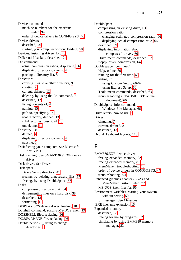Device command machine numbers for the /machine switch, [94](#page-102-0) order of device drivers in CONFIG.SYS, [46](#page-57-0) Device drivers described, [46](#page-57-0) starting your computer without loading, [50](#page-61-0) Devices, installing drivers for, [46](#page-57-0) Differential backup, described, [21](#page-32-0) Dir command actual compression ratios, displaying, [66](#page-76-0) displaying directory contents, [4](#page-15-0) pausing a directory list, [5](#page-16-0) **Directories** copying files to another directory, [9](#page-20-0) creating, [6](#page-17-0) current, defined, [12](#page-23-0) deleting, by using the Rd command, [7](#page-18-0) described, [12](#page-23-0) listing contents of, [4](#page-15-0) naming, [15](#page-26-0) path to, specifying, [14](#page-25-0) root directory, defined, [13](#page-24-0) subdirectories, described, [13](#page-24-0) undeleting, [41](#page-52-0) Directory list defined, [4](#page-15-0) displaying directory contents, [4](#page-15-0) pausing, [5](#page-16-0) Disinfecting your computer. See Microsoft Anti-Virus Disk caching. See SMARTDRV.EXE device driver Disk drives. See Drives Disk space Delete Sentry directory, [41](#page-52-0) freeing, by deleting unnecessary files, [57](#page-67-0) freeing, by using DoubleSpace, [57](#page-67-0) Disks compressing files on a disk, [64](#page-74-0) defragmenting files on a hard disk, [38](#page-49-0) described, [13](#page-24-0) formatting, [11](#page-22-0) DISPLAY.SYS device driver, loading, [101](#page-109-0) Dosshell command, starting MS-DOS Shell, [19](#page-30-0) DOSSHELL files, replacing, [96](#page-104-0) DOSSWAP.EXE file, replacing, [96](#page-104-0) Double period (..), using to change directories. [6](#page-17-0)

DoubleSpace compressing an existing drive, [63](#page-73-0) compression ratio changing estimated compression ratio, [66](#page-76-0) displaying actual compression ratio, [66](#page-76-0) described, [59](#page-69-0) displaying information about compressed drives, [66](#page-76-0) Drive menu commands, described, [62](#page-72-0) floppy disks, compression, [64](#page-74-0) DoubleSpace (continued) Help, online, [59](#page-69-0) running for the first time, [60](#page-70-0) setting up using Custom Setup, 60-62 using Express Setup, [60](#page-70-0) Tools menu commands, described, [63](#page-73-0) troubleshooting (README.TXT online document), [66](#page-76-0) DoubleSpace Info command, Windows File Manager, [66](#page-76-0) Drive letters, how to use, [7](#page-18-0) Drives changing, [7](#page-18-0) current, defined, [8](#page-19-0) described, [13](#page-24-0) Dvorak keyboard layouts, [110](#page-118-0)

## **E**

EMM386.EXE device driver freeing expanded memory, [82](#page-92-0) freeing extended memory, [81](#page-91-0) MemMaker, troubleshooting, [76](#page-86-0) order of device drivers in CONFIG.SYS, [47](#page-58-0) troubleshooting, [94](#page-102-0) Enhanced graphics adapter (EGA) and MemMaker Custom Setup, [72](#page-82-0) MS-DOS Shell files for, [96](#page-104-0) Environment variables, starting your system without setting, [50](#page-61-0) Error messages. See Messages .EXE filename extension, [15](#page-26-0) Expanded memory described, [68](#page-78-0) freeing for use by programs, [82](#page-92-0) simulating by using EMM386 memory manager, [82](#page-92-0)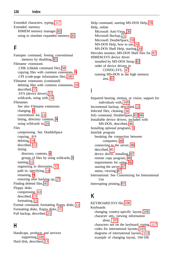Extended characters, typing, [117](#page-125-0) Extended memory HIMEM memory manager, [82](#page-92-0) using to simulate expanded memory, [82](#page-92-0)

## **F**

Fastopen command, freeing conventional memory by disabling, [81](#page-91-0) Filename extensions .CHK (chkdsk command file), [58](#page-68-0) copying files with common extensions, [9](#page-20-0) .CPI (code-page information file), [100](#page-108-0) Filename extensions (continued) deleting files with common extensions, [10](#page-21-0) described, [15](#page-26-0) .SYS (device driver), [15](#page-26-0) wildcards, using with, [16](#page-27-0) Filenames See also Filename extensions changing, [9](#page-20-0) conventions for, [15](#page-26-0) listing, directory contents, [4](#page-15-0) using wildcards in, [16](#page-27-0) Files compressing. See DoubleSpace copying, 8-9 deleting, [10](#page-21-0) described, [12](#page-23-0) listing directory contents, [4](#page-15-0) groups of files by using wildcards, [9](#page-20-0) naming, [15](#page-26-0) organizing in directories, [12](#page-23-0) path to, specifying, [14](#page-25-0) renaming, [9](#page-20-0) restoring after backing up, [27](#page-38-0) Finding deleted files, [41](#page-52-0) Floppy disks compressing, [63](#page-73-0) described, [13](#page-24-0) formatting, [11](#page-22-0) Format command, formatting floppy disks, [11](#page-22-0) Formatting disks, floppy disks, [11](#page-22-0) Full backup, described, [21](#page-32-0)

### **H**

Handicaps, products and services supporting, [109](#page-117-0) Hard disk, described, [13](#page-24-0)

Help command, starting MS-DOS Help, [16](#page-27-0) Help, online Microsoft Anti-Virus, [30](#page-41-0) Microsoft Backup, [21](#page-32-0) Microsoft DoubleSpace, [59](#page-69-0) MS-DOS Help, how to use, [16](#page-27-0) MS-DOS Shell Help, starting, [20](#page-31-0) Hercules monitor, MS-DOS Shell files for, [97](#page-105-0) HIMEM.SYS device driver installed by MS-DOS Setup, [82](#page-92-0) order of device drivers in CONFIG.SYS, [47](#page-58-0) running MS-DOS in the high memory area, [81](#page-91-0)

### **I**

Impaired hearing, motion, or vision, support for individuals with, [109](#page-117-0) Incremental backup, described, [21](#page-32-0) Infected files, cleaning, [34](#page-45-0) Info command, DoubleSpace, [62,](#page-72-0) [66](#page-76-0) Installable device drivers, included with MS-DOS, described, [46](#page-57-0) Installing optional programs, [1](#page-12-0) Interlnk program breaking the connection between computers, [88](#page-97-0) connecting to the server, [88](#page-97-0) described, [85](#page-94-0) device driver, installing, [87](#page-96-0) remote copy program, [88](#page-97-0) requirements for using, [86](#page-95-0) starting the server, [87](#page-96-0) status, viewing, [87](#page-96-0) International. See Customizing for International Use Interrupting printing, [97](#page-105-0)

### **K**

KEYBOARD.SYS file, [100](#page-108-0) Keyboards changing country-specific layout, [100](#page-108-0) character sets, viewing information about, [103](#page-111-0) characters not on the keyboard, typing, [117](#page-125-0) codes for international layouts, [103](#page-111-0) diagrams of international layouts, [113](#page-121-0) example of changing layout, 104-106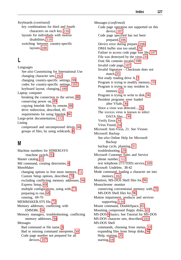Keyboards *(continued)* key combinations for third and fourth characters on each key, [116](#page-124-0) layouts for individuals with motion disabilities, [110](#page-118-0) switching between country-specific layouts, [100](#page-108-0)

## **L**

Languages See *also* Customizing for International Use changing character sets, [102](#page-110-0) changing country-specific settings, [99](#page-107-0) codes for country-specific settings, [103](#page-111-0) keyboard layout, changing, [100](#page-108-0) Laptop computer breaking the connection to the server, [88](#page-97-0) conserving power on, [89](#page-98-0) copying Interlnk files by remote, [88](#page-97-0) drive redirection, described, 85 requirements for using Interlnk, [86](#page-95-0) Large-print documentation, [112](#page-120-0) Listing compressed and uncompressed drives, [66](#page-76-0) groups of files, by using wildcards, [9](#page-20-0)

### **M**

Machine numbers for HIMEM.SYS /machine switch, [93](#page-101-0) Master catalog, [22](#page-33-0) Md command, creating directories, [6](#page-17-0) MemMaker changing options to free more memory, [72](#page-82-0) Custom Setup options, described, [70](#page-80-0) excluding conflicting memory addresses, [94](#page-102-0) Express Setup, [69](#page-79-0) multiple configurations, using with, [73](#page-83-0) preparing to run, [68](#page-78-0) running, 69-70 MEMMAKER.STS file, [72](#page-82-0) Memory addresses, conflicting with EMM386, [94](#page-102-0) Memory managers, troubleshooting, conflicting memory addresses, [94](#page-102-0) Messages Bad command or file name, [3](#page-14-0) Bad or missing command interpreter, [50](#page-61-0) Code page number not prepared for all devices, [107](#page-115-0)

Messages *(confirmed)* Code page operation not supported on this device, [107](#page-115-0) Code page specified has not been prepared, [106](#page-114-0) Device error during prepare, [108](#page-116-0) DMA buffer size too small, [29](#page-40-0) Failure to access code page font file, [107](#page-115-0) File was destroyed by the virus, [35](#page-46-0) Font file contents invalid, [108](#page-116-0) Invalid code page, [107](#page-115-0) Invalid Signature - Checksum does not match, [35](#page-46-0) Not ready reading drive A, [7](#page-18-0) Program is trying to modify memory, [35](#page-46-0) Program is trying to stay resident in memory, [35](#page-46-0) Program is trying to write to disk, [36](#page-47-0) Resident programs were loaded after VSafe, [36](#page-47-0) Since a virus was detected..., [36](#page-47-0) The xxxxxx virus is known to infect DATA files..., [36](#page-47-0) Verify Error, [34](#page-45-0) Virus Found, [34](#page-45-0) Microsoft Anti-Virus, 21. See Viruses Microsoft Backup See *also* Online Help for Microsoft Backup backup cycle, planning, [21](#page-32-0) troubleshooting, [29](#page-40-0) Microsoft Customer Sales and Service phone number, [112](#page-120-0) text telephone (TT/TDD) service, [109](#page-117-0) Microsoft Undelete, 38-42 Mode command, loading a character set into memory, [102](#page-110-0) Monitors, MS-DOS Shell files for, [96](#page-104-0) Monochrome monitor conserving conventional memory with, [70](#page-80-0) MS-DOS Shell files for, [96](#page-104-0) Motion impairment, products and services supporting, [110](#page-118-0) Mount command, DoubleSpace, [65](#page-75-0) Mounting compressed floppy disks, [65](#page-75-0) MS-DOS [6](#page-17-0) basics. See Tutorial for MS-DOS MS-DOS character sets, described, [101](#page-109-0) MS-DOS Shell commands, choosing from menus, [19](#page-30-0) expanding files from Setup disks, [96](#page-104-0) Help, starting, [20](#page-31-0) starting, [19](#page-30-0)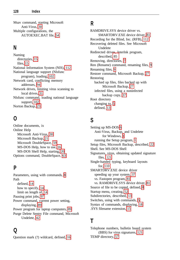Msav command, starting Microsoft Anti-Virus, [30](#page-41-0) Multiple configurations, the AUTOEXEC.BAT file, [54](#page-65-0)

## **N**

Naming directories, [15](#page-26-0) files, [15](#page-26-0) National Information System (NIS), [112](#page-120-0) National language support (Nlsfunc program), loading, [102](#page-110-0) Network card, conflicting memory addresses, [94](#page-102-0) Network drives, limiting virus scanning to local drives, [31](#page-42-0) Nlsfunc command, loading national language support, [102](#page-110-0) Norton Backup, [23](#page-34-0)

## **O**

Online documents, ix Online Help Microsoft Anti-Virus, [30](#page-41-0) Microsoft Backup, [21](#page-32-0) Microsoft DoubleSpace, [59](#page-69-0) MS-DOS Help, how to use, [16](#page-27-0) MS-DOS Shell Help, starting, [20](#page-31-0) Options command, DoubleSpace, [63](#page-73-0)

### **P**

Parameters, using with commands, [8](#page-19-0) Path defined, [14](#page-25-0) how to specify, [14](#page-25-0) limit on length of, [14](#page-25-0) Pausing print jobs, [97](#page-105-0) Power command, current power setting, displaying, [89](#page-98-0) Power program for laptop computers, [89](#page-98-0) Purge Delete Sentry File command, Microsoft Undelete, [42](#page-53-0)

## **Q**

Question mark (?) wildcard, defined, [16](#page-27-0)

### **R**

RAMDRIVE.SYS device driver vs. SMARTDRV.EXE device driver, [81](#page-91-0) Recording for the Blind, Inc. (RFB), [112](#page-120-0) Recovering deleted files. See Microsoft Undelete Redirected drives, Interlnk program, described, [85](#page-94-0) Removing, directories, [7](#page-18-0) Ren (Rename) command, renaming files, [9](#page-20-0) Renaming files, [9](#page-20-0) Restore command, Microsoft Backup, [27](#page-38-0) Restoring backed up files, files backed up with Microsoft Backup, [27](#page-38-0) infected files, using a noninfected backup copy, [37](#page-48-0) Root directory changing to, [5](#page-16-0) defined, [13](#page-24-0)

### **S**

Setting up MS-DOS [6](#page-17-0) Anti-Virus, Backup, and Undelete for Windows, [1](#page-12-0) running the Setup program, [1](#page-12-0) Setup files, Microsoft Backup, described, [22](#page-33-0) Shell. See MS-DOS Shell Signatures, virus, obtaining updated signature files, [121](#page-128-0) Single-handed typing, keyboard layouts for, [110](#page-118-0) SMARTDRV.EXE device driver speeding up your system, [37](#page-48-0) vs. Fastopen program, [81](#page-91-0) vs. RAMDRIVE.SYS device driver, [81](#page-91-0) Source of file to be copied, defined, [8](#page-19-0) Startup menu, creating, [52](#page-63-0) Subdirectories, described, [13](#page-24-0) Switches, using with commands, [5](#page-16-0) Syntax of commands, displaying, [18](#page-29-0) .SYS filename extension, [15](#page-26-0)

## **T**

Telephone numbers, bulletin board system (BBS) for virus signatures, [121](#page-128-0) TEMP directory, [57](#page-67-0)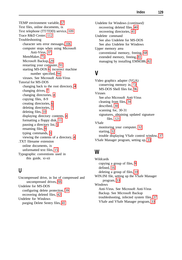TEMP environment variable, [57](#page-67-0) Text files, online documents, ix Text telephone (TT/TDD) service, [109](#page-117-0) Trace R&D Center. [112](#page-120-0) Troubleshooting character sets error messages, [106](#page-114-0) computer stops when using Microsoft Anti-Virus, [37](#page-48-0) MemMaker, [75](#page-85-0) Microsoft Backup, [29](#page-40-0) restarting your computer, [91](#page-99-0) starting MS-DOS [6,](#page-17-0) incorrect machine number specified, [94](#page-102-0) viruses. See Microsoft Anti-Virus Tutorial for MS-DOS changing back to the root directory, [4](#page-15-0) changing drives, [7](#page-18-0) changing directories, [4](#page-15-0) copying files, 8-9 creating directories, [6](#page-17-0) deleting directories, [7](#page-18-0) deleting files, [10](#page-21-0) displaying directory contents, [4](#page-15-0) formatting a floppy disk, [11](#page-22-0) pausing a directory list, [5](#page-16-0) renaming files, [9](#page-20-0) typing commands, [3](#page-14-0) viewing the contents of a directory, [4](#page-15-0) .TXT filename extension online documents, ix unformatted text files, [15](#page-26-0) Typographic conventions used in this guide, xi-xii

## **U**

Uncompressed drive, in list of compressed and uncompressed drives, [66](#page-76-0) Undelete for MS-DOS configuring delete protection, [39](#page-50-0) recovering deleted files, [42](#page-53-0) Undelete for Windows purging Delete Sentry files, [41](#page-52-0)

Undelete for Windows *(continued)* recovering deleted files, [40](#page-51-0) recovering directories, [41](#page-52-0) Undelete command See also Undelete for MS-DOS See also Undelete for Windows Upper memory area conventional memory, freeing, [68](#page-78-0) extended memory, freeing, [81](#page-91-0) managing by installing EMM386, [82](#page-92-0)

## **v**

Video graphics adapter (VGA) conserving memory in, [72](#page-82-0) MS-DOS Shell files for, [96](#page-104-0) Viruses See *also* Microsoft Anti-Virus cleaning from files, [34](#page-45-0) described, [30](#page-41-0) scanning for, 30-31 signatures, obtaining updated signature files, [121](#page-128-0) VSafe monitoring your computer, [32](#page-43-0) starting, [32](#page-43-0) trouble displaying VSafe control window, [37](#page-48-0) VSafe Manager program, setting up, [33](#page-44-0)

### **W**

Wildcards copying a group of files, [9](#page-20-0) defined, [16](#page-27-0) deleting a group of files, [10](#page-21-0) WIN.INI file, setting up the VSafe Manager program, [33](#page-44-0) Windows Anti-Virus. See Microsoft Anti-Virus Backup. See Microsoft Backup troubleshooting, infected system files, [37](#page-48-0) VSafe and VSafe Manager program, [33](#page-44-0)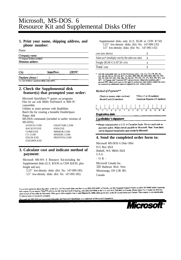## Microsoft, MS-DOS. 6 Resource Kit and Supplemental Disks Offer

#### **1. Print your name, shipping address, and phone number:**

Name

| Company name                  |             |               |  |
|-------------------------------|-------------|---------------|--|
| (if company licenses product) |             |               |  |
| Shipping address              |             |               |  |
|                               |             |               |  |
| City                          | State/Prov. | <b>ZIP/PC</b> |  |
|                               |             |               |  |

Daytime phone ( (in case we have a question about your order)

#### **2. Check the Supplemental disk feature(s) that prompted your order:**

Microsoft QuickBasic™ games and programs Files for use with IBM® ProPrinter® or IBM PC convertible Utilities to assist persons with disabilities Batch file for creating a bootable DoubleSpace floppy disk MS-DOS commands (included in earlier versions of MS-DOS): ASSIGN.COM GRAFTABL.COM BACKUP.EXE COMP EXE CV.COM EDLIN.EXE EXE2BIN.EXE JOIN.EXE MIRROR COM MSHERC.COM PRINTFIX.COM

### **3. Calculate cost and indicate method of payment:**

Microsoft MS-WS 6 Resource Kit-including the Supplemental disks (U.S. \$19.95 or CDN \$24.95, plus freight and tax)

5.25" low-density disks (Kit No. 147-099-185) 3.5" low-density disks (Kit No. 147-095-185)

Supplemental disks only (U.S. \$5.00 or CDN \$7.50) 5.25" low-density disks (Kit No. 147-099-135) 3.5" low-density disks (Kit NO. 147-095-135)

| cost (see above)                                     |  |
|------------------------------------------------------|--|
| Sales $tax*$ (multiply cost by the sales $tax$ rate) |  |
| Freight (\$5.00 U.S./\$7.50 CDN)                     |  |
| Total cost                                           |  |

Add the applicable sales tax in the following states: AZ, CA, CO, CT, DC, FL, GA, HI, LA, ID, IL, N, KS, KY, LA, MA, MD, ME, MU, NK, MO, MS, NC, ND, NE, N, NE, NY, AN WE, NY, and WY. In Canada, add 7 percent (SST (all pro

#### Method of Payment\*\*

| Check or money order enclosed<br>MasterCard (16 numbers) |  |                        |  |  |  |              |          | VISA (13 or 16 numbers) |    | American Express (15 numbers) |  |
|----------------------------------------------------------|--|------------------------|--|--|--|--------------|----------|-------------------------|----|-------------------------------|--|
|                                                          |  |                        |  |  |  |              |          |                         |    |                               |  |
|                                                          |  |                        |  |  |  | $\mathbf{x}$ | $\Omega$ | 10                      | 12 |                               |  |
|                                                          |  | <b>Expiration date</b> |  |  |  |              |          |                         |    |                               |  |

Cardholder's signature

\*\* Please send payment in U.S. or Canadian funds. Do not send cash or purchase orders. Make checks payable to Microsoft. Note: Your check will be deposited immediately upon receipt by Microsoft.

### **4. Send the completed order form to:**

Microsoft MS-DOS 6 Disk Offer  $D \cap R_{\text{ov}} 3024$ Bothell, WA 98041-3024 U.S.A.  $-OR$ Microsoft Canada Inc.

320 Matheson Blvd. West Mississauga, ON L5R 3R1

Canada

If you have questions about this offer: in the U.S. call Microsoft Sales and Service at (800) 426-9400; in Canada, call the Customer Support Centra at (800) 563-9048 before returning If you have questions about this offer: in the U.S. call Microsoft Sales and Service at (800) 426-9400; in Canada, call the Customer Support Centus at (800) 200-2000 Universe and Control Century and Service and Data and Da this coupon. If you require TDD/TT services for the deaf and hard of hearing, call (206) 633-4948 in the U.S. and (410) 508-964; the Camada. rease and we are welcomed by the welcomed by the service of the service of the se No photocopies or facsimiles accepted.

Microsoft and MS-DOS are registered trademarks and Microsoft QuickBasic is a trademark of Microsoft Corporation.

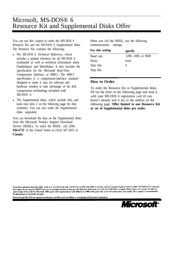## Microsoft, MS-DOS® 6 Resource Kit and Supplemental Disks Offer

You can use this coupon to order the MS-DOS 6 Resource Kit and the MS-DOS 6 Supplemental disks. The Resource Kit contains the following:

- <sup>l</sup> *The MS-DOS 6 Technical Reference,* which includes a printed reference for all MS-DOS 6 commands as well as technical information about DoubleSpace and MemMaker. It also includes the specification for the Microsoft Real-Time Compression Interface, or MRCI. The MRCI specification is a compression-interface standard designed to make it easy for software and hardware vendors to take advantage of the disk compression technology included with MS-DOS 6.
- The Supplemental disks, which include files and tools (see item 2 on the following page for disk contents). You can also order the Supplemental disks separately.

You can download the data on the Supplemental disks from the Microsoft Product Support Download Service (MSDL). To reach the MSDL, call (206) **936-6735** in the United States or (416) 507-3022 in Canada.

When you call the MSDL, use the following communications settings:

| For this setting | specify             |
|------------------|---------------------|
| Baud rate        | 1200, 2400, or 9600 |
| Parity           | none                |
| Data bits        | x                   |
| Stop bits        |                     |

### **How to Order**

To order the Resource Kit or Supplemental disks, fill out the form on the following page and send it, with your MS-DOS 6 registration card (if you haven't already sent it in), to the address on the following page. **Offer limited to one Resource Kit or set of Supplemental disks per order.**

If you have questions about this offer: in the U.S. call Microsoft Sales and Service at (800) 426-9400; in Canada, call the Customer Support Centre at (800) 563-9048 before returning this coupon. If you require TDD/TT services for the deaf and hard of hearing, call (206) 635-4948 in the U.S. and (416) 568-9641 in Canada. Please allow 2 to 4 weeks for delive upon receipt of this order by Microsoft. Offer good while supplies last or until March 31, 1994. Offer good only in the 50 United States and Canada. This coupon is not transferable. No photocopies or facsimiles accepted.

Microsoft and MS-DOS are registered trademarks and Microsoft QuickBasic is a trademark of Microsoft Corporation.

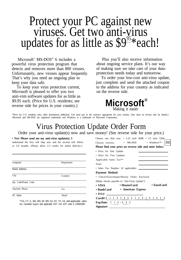# Protect your PC against new viruses. Get two anti-virus updates for as little as  $\mathbb{S}9^{95*}$  each!

Microsoft' MS-DOS" 6 includes a powerful virus protection program that detects and removes more than 800 viruses. Unfortunately, new viruses appear frequently. That's why you need an ongoing plan to keep your data safe.

To keep your virus protection current, Microsoft is pleased to offer you two anti-vim software updates for as little as \$9.95 each. (Price for U.S. residents; see reverse side for prices in your country.)

Plus you'll also receive information about ongoing service plans. It's our way of making sure we take care of your dataprotection needs today and tomorrow.

To order your low-cost anti-virus update, just complete and send the attached coupon to the address for your country as indicated on the reverse side.



\*Price for U.S. residents only; other destinations additional. You must pay in the currency appropriate for your country. (See chart on reverse side for details.)<br>Microsoft and MS-DOS are registered trademarks and Windows

## Virus Protection Update Order Form

Order your anti-virus update(s) now and save money! (See reverse side for your price.)

#### **• Yes! Please send me my anti-virus update(s). I**

understand the first will ship now and the second will follow in 3-4 months. (Please allow 2-3 weeks for initial delivery.)

|                      |            | • Price for Two Updates             |
|----------------------|------------|-------------------------------------|
|                      |            | Applicable Sales Tax**              |
| company              | Department | Total                               |
| Street Address       |            | · Sales Tax Number: (if applicable) |
|                      |            | <b>Payment Method:</b>              |
| City                 | Country    | • Check/Eurocheque/Money Orde       |
| Zip Code/Postal Code |            | (Make checks payable to "Am-Virus"  |
|                      |            | • MasterCar<br>$\cdot$ VISA         |
| Daytime Phone        | Fax        | • BankCard<br>• American            |
| PC Make              | Model      | $\cdot$ P.O.#                       |
|                      |            | $Card#: 1 + 1 + 1 + 1 + 1$          |

\*\*CA, CT, IL, MA, MD, MI, MN, NJ, NY, TX, VA, add applicable sales tax. Canadian buyers add applicable GST. Our GST code is 129820296.

| Choose one disk size: $\cdot$ 5.25 inch 360K $\cdot$ 3.5 inch 720K |            |
|--------------------------------------------------------------------|------------|
| Choose version: • MS-DOS • Windows <sup>TM</sup>                   | <b>ENG</b> |
| Please find your price on reverse side and enter below:            |            |
| • Price for One Update                                             |            |
| • Price for Two Updates                                            |            |
| Applicable Sales Tax**                                             |            |
| Total                                                              |            |
| · Sales Tax Number: (if applicable)                                |            |
| <b>Payment Method:</b>                                             |            |
| • Check/Eurocheque/Money Order Enclosed                            |            |
| (Make checks payable to "Am-Virus Update")                         |            |
| $\bullet$ MasterCard<br>• VISA                                     | • EuroCard |
| • BankCard • American Express                                      |            |
|                                                                    |            |
| $Card#: I I I I I I I I I I I I I I I I I$                         |            |
| Exp.Date:                                                          |            |
| <b>Signature</b>                                                   |            |
|                                                                    |            |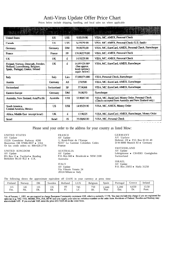### Anti-Virus Update Offer Price Chart

Prices below include shipping, handling, and local sales tax where applicable

|                                                                                                        |               |           |                                                                  | and the state of the state of the state of the state of the state of the state of the state of the state of the |
|--------------------------------------------------------------------------------------------------------|---------------|-----------|------------------------------------------------------------------|-----------------------------------------------------------------------------------------------------------------|
| <b>United States</b>                                                                                   | <b>US</b>     | US\$      | 9.95/19.90                                                       | VISA, MC, AMEX, Personal Check                                                                                  |
| Canada                                                                                                 | US            | US\$      | 14.95/29.90                                                      | VISA, MC, AMEX, Personal Check (U.S. funds)                                                                     |
| Germany                                                                                                | Germany       | DM        | 39.00/70.00                                                      | VISA, MC, EuroCard, AMEX, Personal Check, Eurocheque                                                            |
| France                                                                                                 | France        | $F\!F$    | 139,90/279,80                                                    | VISA, MC, AMEX, Personal Check                                                                                  |
| UK                                                                                                     | UK            | £         | 14.95/29.90                                                      | VISA, MC, AMEX, Personal Check                                                                                  |
| Finland, Norway, Denmark, Sweden,<br>Holland, Luxembourg, Belgium,<br>Spain, Portugal, Greece, Ireland | UK            | £         | 14.95*/29.90*<br>(See approx.<br>local currency<br>equiv. below) | VISA, MC, EuroCard, AMEX, Eurocheque                                                                            |
| <b>Italy</b>                                                                                           | Italy         | Lira      | 37,000/75,000                                                    | VISA, Personal Check, Eurocheque                                                                                |
| Austria                                                                                                | Germany       | AS        | 279/500                                                          | VISA, MC, EuroCard, AMEX, Eurocheque                                                                            |
| Switzerland                                                                                            | Switzerland   | SF        | 37.90/68                                                         | VISA, MC, EuroCard, AMEX, Eurocheque                                                                            |
| <b>Eastern Europe</b>                                                                                  | Germany       | <b>DM</b> | 39,00/70                                                         | Eurocheque                                                                                                      |
| Australia, New Zealand, Asia/Pacific                                                                   | Australia     | US\$      | 33.90/67.80                                                      | VISA, MC, BankCard, Money Order, Personal Check<br>(Checks accepted from Australia and New Zealand only)        |
| South America.<br>Central America, Mexico                                                              | US            | US\$      | 14.95/29.90                                                      | VISA, MC, AMEX, Money Order                                                                                     |
| Africa, Middle East (except Israel)                                                                    | UK            | £         | 13.90/25                                                         | VISA, MC, EuroCard, AMEX, Eurocheque, Money Order                                                               |
| <b>Israel</b>                                                                                          | <b>Israel</b> | IS.       | 35.00/60.00                                                      | VISA, MC, Personal Check                                                                                        |

Please send your order to the address for your country as listed Mow:

UNITED STATES AV Update 15220 Greenbrier Parkway #200 Beaverton, OR 97006-9937 • USA Or fax credit orders to: 800-626-2778

UNITED KINGDOM AV Update PO. Box  $15 \bullet$  Twyford  $\bullet$  Reading Berkshire  $RGI0$  9LZ  $\bullet$  U.K.

AV Update 1, Rond-Point de l'Europe 92257 La Garenne Colombes Cedex France AUSTRALIA AV Update P.O. Box  $660 \cdot$  Brookvale  $\cdot$  NSW 2100 Australia ITALY AV Update Via Vittorio Veneto 24

GERMANY AV Update Hoferstr. 1/II • P.O. Box 83 01 49 D-W-8000 Munich 83 · Germany

SWITZERLAND AV Update Lebrigstrasse • CH-8583 Goetighofen Switzerland

ISRAEL AV Update P.O. Box  $25055 \div$  Haifa 31250

The following shows the approximate equivalent off £14.95 in your currency at press time:

FRANCE

| Finland    | Norway     | DK                | -<br>Sweden      | Holland       | <b>TTV</b><br>LUΔ | Belgium    | $\sim$<br>Spain | Portugal      | Greece       | Ireland        |
|------------|------------|-------------------|------------------|---------------|-------------------|------------|-----------------|---------------|--------------|----------------|
| 115<br>Fm. | 145<br>Nk. | 125<br>122<br>Dk. | 135<br><b>SK</b> | 40<br>T.<br>. | 745<br>. .<br>ы.  | 750<br>Bf. | 2,600<br>Ptas   | 3,200<br>Esc. | 4.650<br>Dr. | 13.50<br>Punt. |

20124 Milano • Italy

\*As of January 1, 1993, we are required to charge European Community customers VAT, which is currently 17.5%. You may exclude this charge if you are registered for<br>sales tax (e.g. VAT, TVA, MOMS, FPA, IVA, BTW) and you sup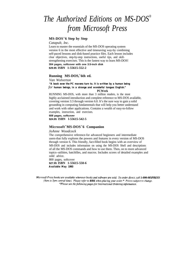## *The Authorized Editions on MS-DOS® from Microsoft Press*

### **MS-DOS ® 6 Step by Step**

*Catapult, Inc.*

Learn to master the essentials of the MS-DOS operating system version 6 in the most effective and timesaving way-by combining self-paced lessons and disk-based practice files. Each lesson includes clear objectives, step-by-step instructions, useful tips, and skillstrengthening exercises. This is the fastest way to learn MS-DOS! **304 pages, softcover with one 3.5-inch disk \$29.95 ISBN 1-55615-552-2**

#### **Running MS-DOS,® 6th ed.**

*Van Wolverton*

*"A book even the PC mavens turn to. it is written by a human being for human beings, in a strange and wonderful tongue: English."* **PCWeek**

RUNNING MS-DOS, with more than 3 million readers, is the most highly acclaimed introduction and complete reference to MS-DOS available, covering version 3.3 through version 6.0. It's the sure way to gain a solid grounding in computing fundamentals that will help you better understand and work with other applications. Contains a wealth of easy-to-follow examples, instruction, and exercises.

**608 pages, softcover \$24.95 ISBN l-55615-542-5**

#### **Microsoft ® MS-DOS ® 6 Companion**

#### *JoAnne Woodcock*

The comprehensive reference-for advanced beginners and intermediate users-that fully explores the powers and features in every version of MS-DOS through version 6. This friendly, fact-filled book begins with an overview of MS-DOS and includes information on using the MS-DOS Shell and descriptions of all the MS-DOS commands and how to use them. Then, on to more advanced topics--utilities, batchfiles, and macros. Includes scores of detailed examples and solid advice.

800 pages, softcover **\$27.95 ISBN 1-55615-550-6** *Available May 1993*

Microsoft Press books are available wherever books and software are sold. To order direct, call 1-800-MSPRESS (8am to 5pm central time). Please refer to BBK when placing your order.\* Prices subject to change. \*Please see the following pages for International Ordering information.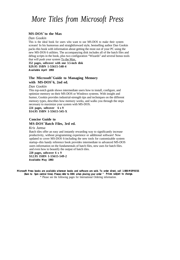## *More Titles from Microsoft Press*

#### **MS-DOS ® to the Max**

*Dan Gookin*

This is the ideal book for users who want to use MS-DOS to make their system scream! In his humorous and straightforward style, bestselling author Dan Gookin packs this book with information about getting the most out of your PC using the new MS-DOS 6 utilities. The accompanying disk includes all of the hatch files and debug scripts in the book, plus two configuration "Wizards" and several bonus tools that will push your system To the Max.

**352 pages, softcover with one 3.5-inch disk \$29.95 ISBN 1-55615-548-4** *Available April 1993*

### **The Microsoft® Guide to Managing Memory with MS-DOS® 6, 2nd ed.**

#### *Dan Gookin*

This top-notch guide shows intermediate users how to install, configure, and optimize memory on their MS-DOS or Windows systems. With insight and humor, Gookin provides industrial-strength tips and techniques on the different memory types, describes how memory works, and walks you through the steps necessary to maximize your system with MS-DOS.

#### **224 pages, softcover 6 x 9 \$14.95 ISBN 1-55615-545-X**

#### **Concise Guide to MS-DOS ® Batch Files, 3rd ed.**

#### *Kris Jamsa*

Batch tiles offer an easy and instantly rewarding way to significantly increase productivity, without programming experience or additional software! Now updated to cover MS-DOS 6-including the new tools for customizable system startup--this handy reference book provides intermediate to advanced MS-DOS users information on the fundamentals of batch files, new uses for batch files. and even how to beautify the output of batch tiles.

**220 pages, softcover 6 x 9 \$12.95 ISBN 1-55615-549-2** *Available May 1993*

*Microsoft Press books are available wherever books and software are sold. To order direct, call 1-800-MSPRESS (8am to 5pm central time). Please refer to BBK when placing your order \* Prices subject to change.* \* Please see the following pages for International Ordering information.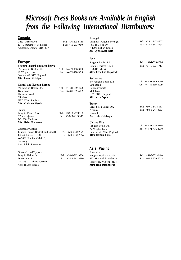## *Microsoft Press Books are Available in English from the Following International Distributors:*

Tel: 416-293-8141 Fax: 416-293-0846

Tel: +44-81-899-4000 Fax: +44-81-899-4099

Tel: +33-61-22-93-38 Fax: +33-61-21-36-19

### *Canada*

Gage Distribution I64 Commander Boulevard Agincourt, Ontario M1S 3C7

#### *Europe*

**Belgium/Luxembourg/Scandinavia** c/o Penguin Books Ltd. 27 Wrights Lane London W8 5TZ, England *Attn: Emma McIntyre* Tel: +44-71-416-3000 Fax: +44-71-416-3290

#### **Central and Eastern Europe**

c/o Penguin Books Ltd. Bath Road Harmondsworth Middlesex UB7 0DA. England *Attn. Christine Marriott*

France Penguin France S.A. 17 rue Lejeune F-31000 Toulouse *Attn: Helen Woodeson*

#### Germany/Austria Penguin Books Deutschland GmbH Tel: +49-69-727623 Friedrichstrasse 10-12 W-5000 Frankfurt/Main 1, Germany Attn: Edith Strommen Fax: +49-69-727914

Greece/Israel/Cyprus Penguin Hellas Ltd. Dimocritou<sub>3</sub> GR-106 71 Athens, Greece Attn: Bianca Karris

Tel: +30-1-362-9866 Fax: +30-1-362-3980 Portugal Longman Penguin Portugal Rua da Gloria 10 P-1298 Lisbon Codex *Am: Lynne Archibald*

### Spain

#### Penguin Books S.A. C/San Bernardo 117-6 E-28015 Madrid *Attn: Geraldine Kilpatrick*

#### **Switzerland**

c/o Penguin Books Ltd. Bath Road Harmondsworth Middlesex UB7 0DA, England *Attn: Mike Bryan*

#### **Turkey** Sezai Selek Sokak 10/2

Nisantas Istanbul Am: Lale Colakoglu

#### **UK and Eire**

Penguin Books Ltd. 27 Wrights Lane London W8 5TZ, England *Attn: Alastair Rolfe*

*Asia Pacific*

Australia Penguin Books Australia 487 Maroondah Highway Ringwood, Victoria 3134 *Attn: John Dennithorne*

Tel: +35-1-347-4727 Fax: +35-1-347-7794

Tel: +34-1-593-1306 Fax: +34-1-593-4711

Tel: +44-81-899-4000 Fax: +44-81-899-4099

Tel: +90-1-247-8551 Fax: +90-1-247-8983

Tel: +44-71-416-3166 Fax: +44-71-416-3290

Tel: +61-3-871-2400 Fax: +61-3-870-7618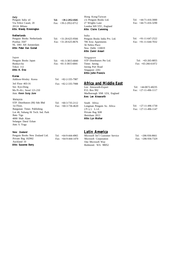| Italy<br>Penguin Italia srl<br>Via Felice Casati, 20<br>20124 Milano<br><b>Attn. Wendy Rimmington</b>                                                                                            | Tel:<br>$+39-2-2952-0585$<br>Fax: +39-2-2952-0712 | Hong Kong/Taiwan<br>c/o Penguin Books Ltd.<br>27 Wrights Lane<br>London W8 5TZ., England<br>Attn: Claire Cumming                   | Tel: $+44-71-416-3000$<br>Fax: +44-71-416-3290   |
|--------------------------------------------------------------------------------------------------------------------------------------------------------------------------------------------------|---------------------------------------------------|------------------------------------------------------------------------------------------------------------------------------------|--------------------------------------------------|
| <b>Netherlands</b><br>Penguin Books Netherlands<br>Postbus 3507<br>NL 1001 AH Amsterdam<br>Attn: Peter Van Gorsel                                                                                | Tel: $+31-20-625-9566$<br>Fax: $+31-20-625-8676$  | India<br>Penguin Books India Pvt. Ltd.<br>706 Eros Apartments<br>56 Nehru Place<br>New Delhi 110019<br>Attn: Zamir Ansari          | Tel: $+91-11-647-2522$<br>Fax: +91-11-644-7032   |
| Japan<br>Penguin Books Japan<br>Bunkyo-ku<br>Tokyo 112<br>Attn: H. Ono                                                                                                                           | Tel: $+81-3-3815-6840$<br>Fax: $+81-3-3815-6841$  | Singapore<br>STP Distributors Pte Ltd.<br>Times Jurong<br>Jurong Port Road<br>Singapore 2261<br><b>Attn: John Francis</b>          | Tel: $+65-265-8855$<br>Fax: $+65-266-61072$      |
| Korea<br>Addison-Wesley Korea                                                                                                                                                                    | Tel: +82-2-335-7987                               |                                                                                                                                    |                                                  |
| 3rd Floor 403-16<br>Seo Kyo-Dong<br>Ma Po-Ku, Seoul 121-210<br>Attn: Kwon Sung June                                                                                                              | $Fax: +82-2-335-7988$                             | <b>Africa and Middle East</b><br>Len Ainsworth-Export<br>P.O. Box 992<br>Marlborough SN8 1ZA, England<br><b>Ann: Len Ainsworth</b> | Tel: +44-0672-40235<br>Fax: +27-11-496-1117      |
| Malaysia<br>STP Distributors (M) Sdn Bhd<br>1st Floor.<br>Bangunan Times Publishing<br>Lot 46, Subang Hi Tech. Ind. Park<br>Batu Tiga<br>4000 Shah Alam<br>Selangor Darul Eshan<br>Attn: S. Yoga | Tel: $+60-3-735-2112$<br>Fax: $+60-3-736-4620$    | South Africa<br>Longman Penguin So. Africa<br>$( Pty)$ Ltd.<br>Private Bag X08<br>Bertsham 2013<br>Attn: Lyn Walker                | Tel: $+27-11-496-1730$<br>Fax: $+27-11-496-1147$ |
| New Zealand<br>Penguin Books New Zealand Ltd.                                                                                                                                                    | Tel: +64-9-444-4965                               | Latin America<br>Microsoft Int'l Customer Service                                                                                  | Tel: +206-936-8661                               |

Penguin Books New Zealand Ltd. Private Bag 102902 Auckland 10 *Attn: Suzanne Berry*

Tel: +64-9-444-4965 Fax: +64-9-444-1470

Microsoft Int'l Customer Service Microsoft Corporation One Microsoft Way Redmond. WA 98052

Tel: +206-936-8661 Fax: +206-936-7329